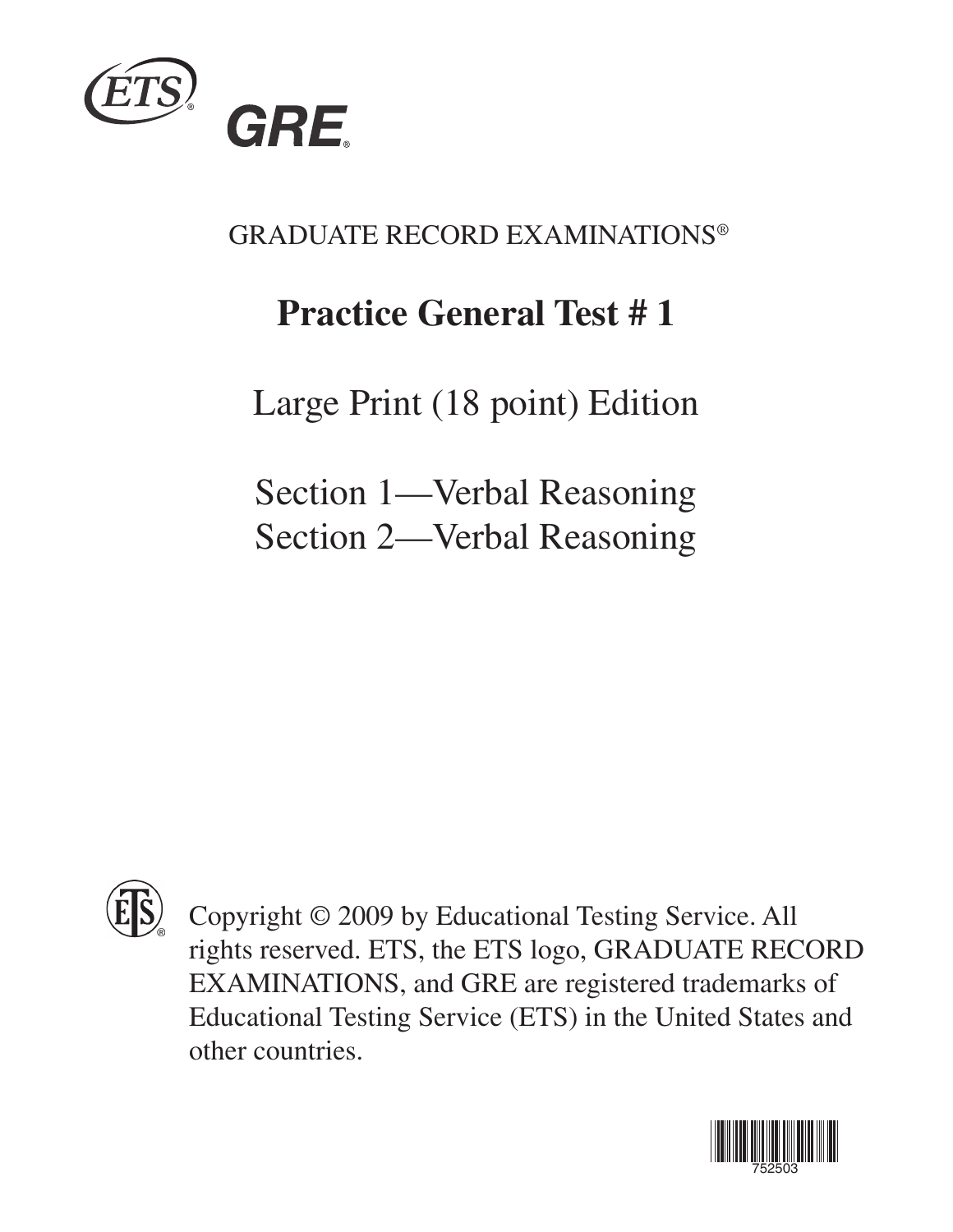

GRADUATE RECORD EXAMINATIONS®

# **Practice General Test # 1**

Large Print (18 point) Edition

Section 1—Verbal Reasoning Section 2—Verbal Reasoning



Copyright © 2009 by Educational Testing Service. All rights reserved. ETS, the ETS logo, GRADUATE RECORD EXAMINATIONS, and GRE are registered trademarks of Educational Testing Service (ETS) in the United States and other countries.

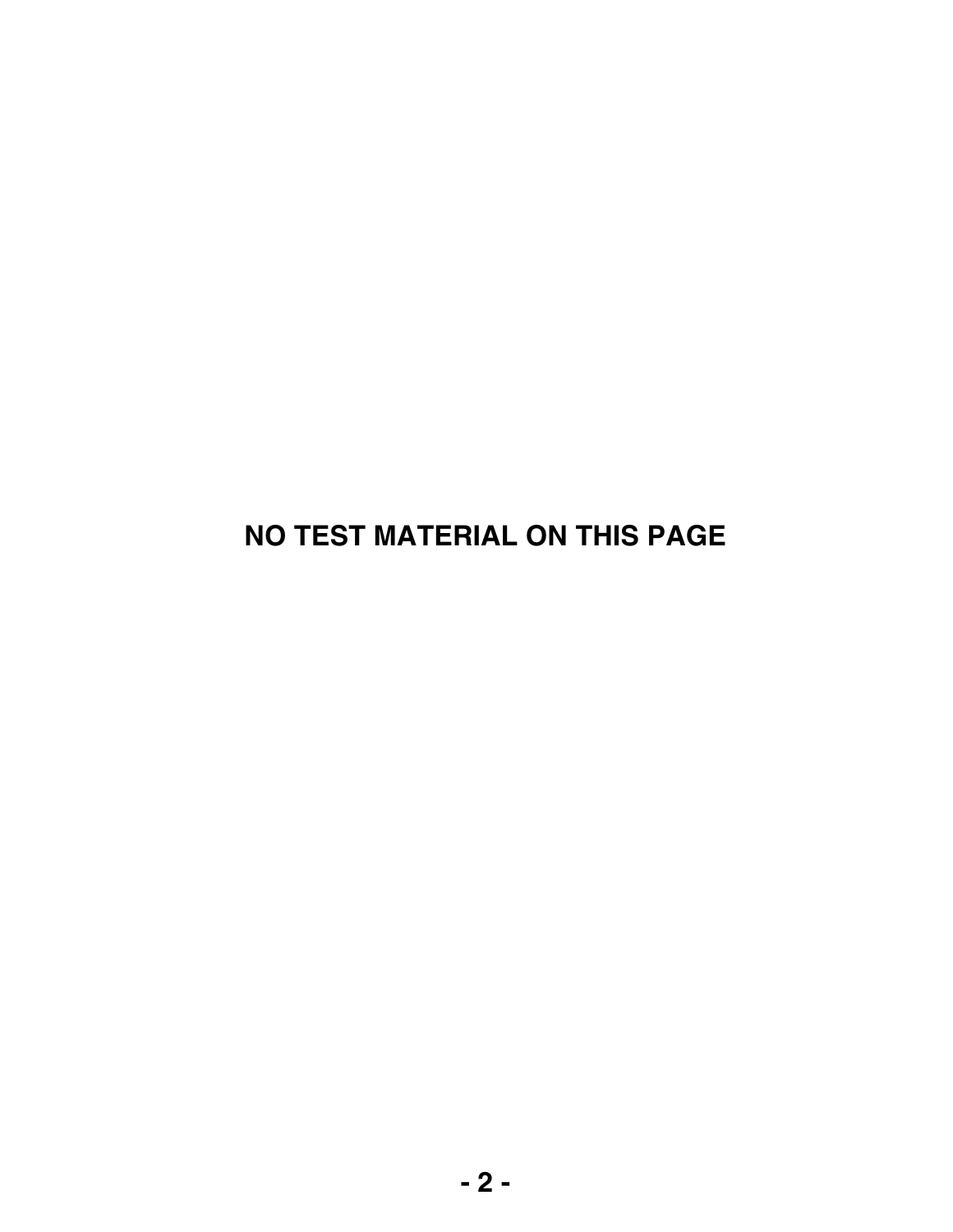## **NO TEST MATERIAL ON THIS PAGE**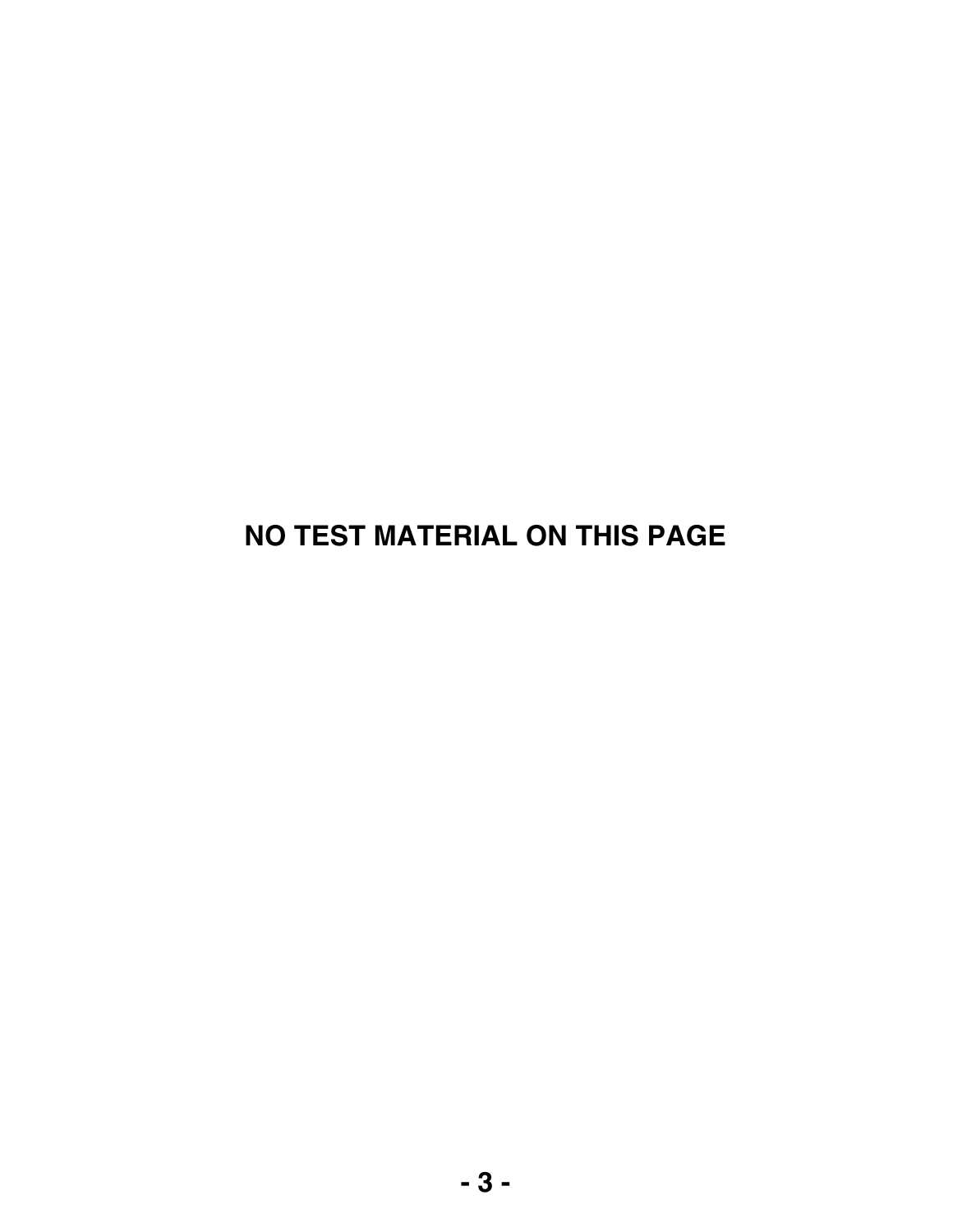## **NO TEST MATERIAL ON THIS PAGE**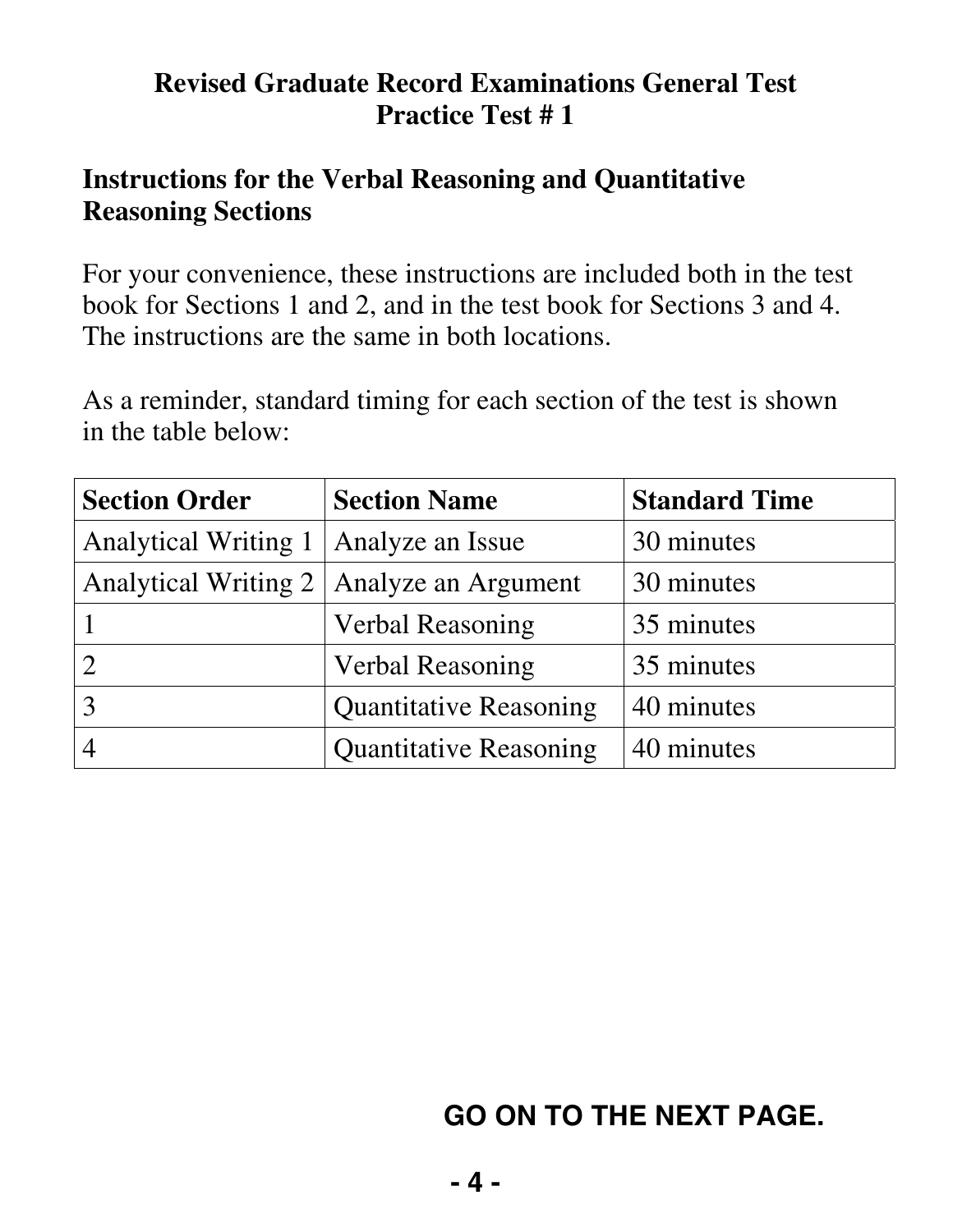#### **Revised Graduate Record Examinations General Test Practice Test # 1**

#### **Instructions for the Verbal Reasoning and Quantitative Reasoning Sections**

For your convenience, these instructions are included both in the test book for Sections 1 and 2, and in the test book for Sections 3 and 4. The instructions are the same in both locations.

As a reminder, standard timing for each section of the test is shown in the table below:

| <b>Section Order</b>        | <b>Section Name</b>                        | <b>Standard Time</b> |
|-----------------------------|--------------------------------------------|----------------------|
| <b>Analytical Writing 1</b> | Analyze an Issue                           | 30 minutes           |
|                             | Analytical Writing 2   Analyze an Argument | 30 minutes           |
|                             | <b>Verbal Reasoning</b>                    | 35 minutes           |
| $\overline{2}$              | <b>Verbal Reasoning</b>                    | 35 minutes           |
| 3                           | <b>Quantitative Reasoning</b>              | 40 minutes           |
|                             | <b>Quantitative Reasoning</b>              | 40 minutes           |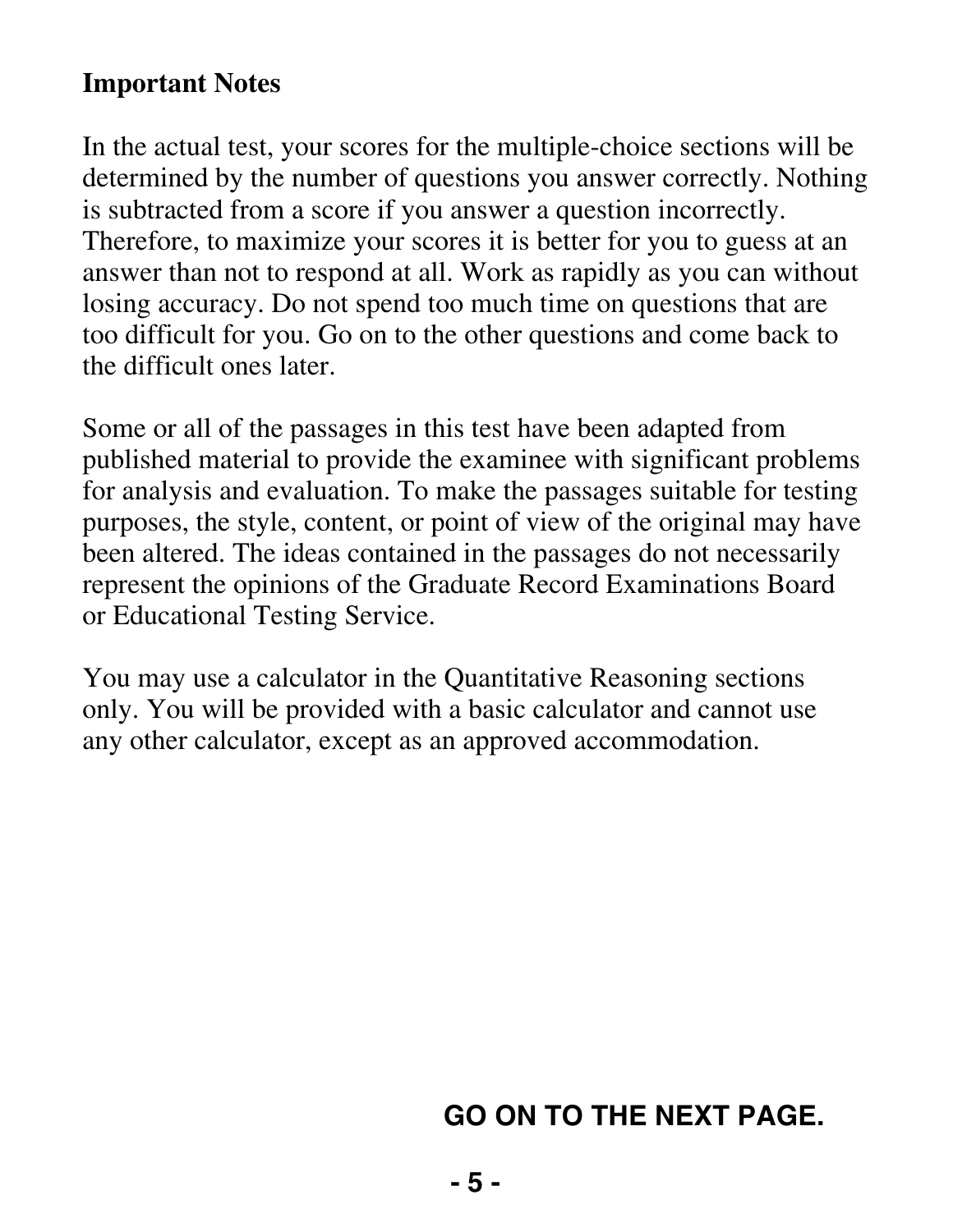#### **Important Notes**

In the actual test, your scores for the multiple-choice sections will be determined by the number of questions you answer correctly. Nothing is subtracted from a score if you answer a question incorrectly. Therefore, to maximize your scores it is better for you to guess at an answer than not to respond at all. Work as rapidly as you can without losing accuracy. Do not spend too much time on questions that are too difficult for you. Go on to the other questions and come back to the difficult ones later.

Some or all of the passages in this test have been adapted from published material to provide the examinee with significant problems for analysis and evaluation. To make the passages suitable for testing purposes, the style, content, or point of view of the original may have been altered. The ideas contained in the passages do not necessarily represent the opinions of the Graduate Record Examinations Board or Educational Testing Service.

You may use a calculator in the Quantitative Reasoning sections only. You will be provided with a basic calculator and cannot use any other calculator, except as an approved accommodation.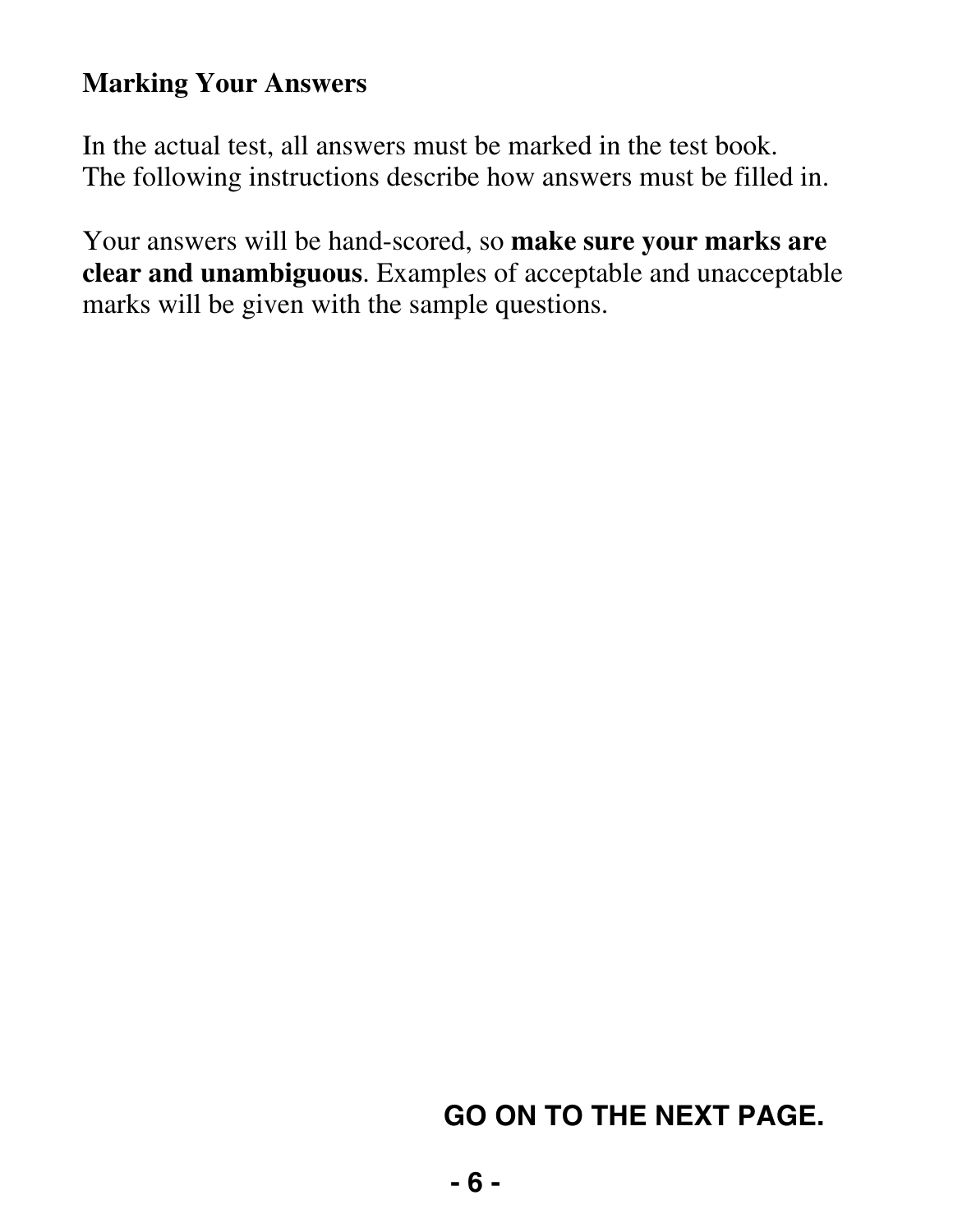### **Marking Your Answers**

In the actual test, all answers must be marked in the test book. The following instructions describe how answers must be filled in.

Your answers will be hand-scored, so **make sure your marks are clear and unambiguous**. Examples of acceptable and unacceptable marks will be given with the sample questions.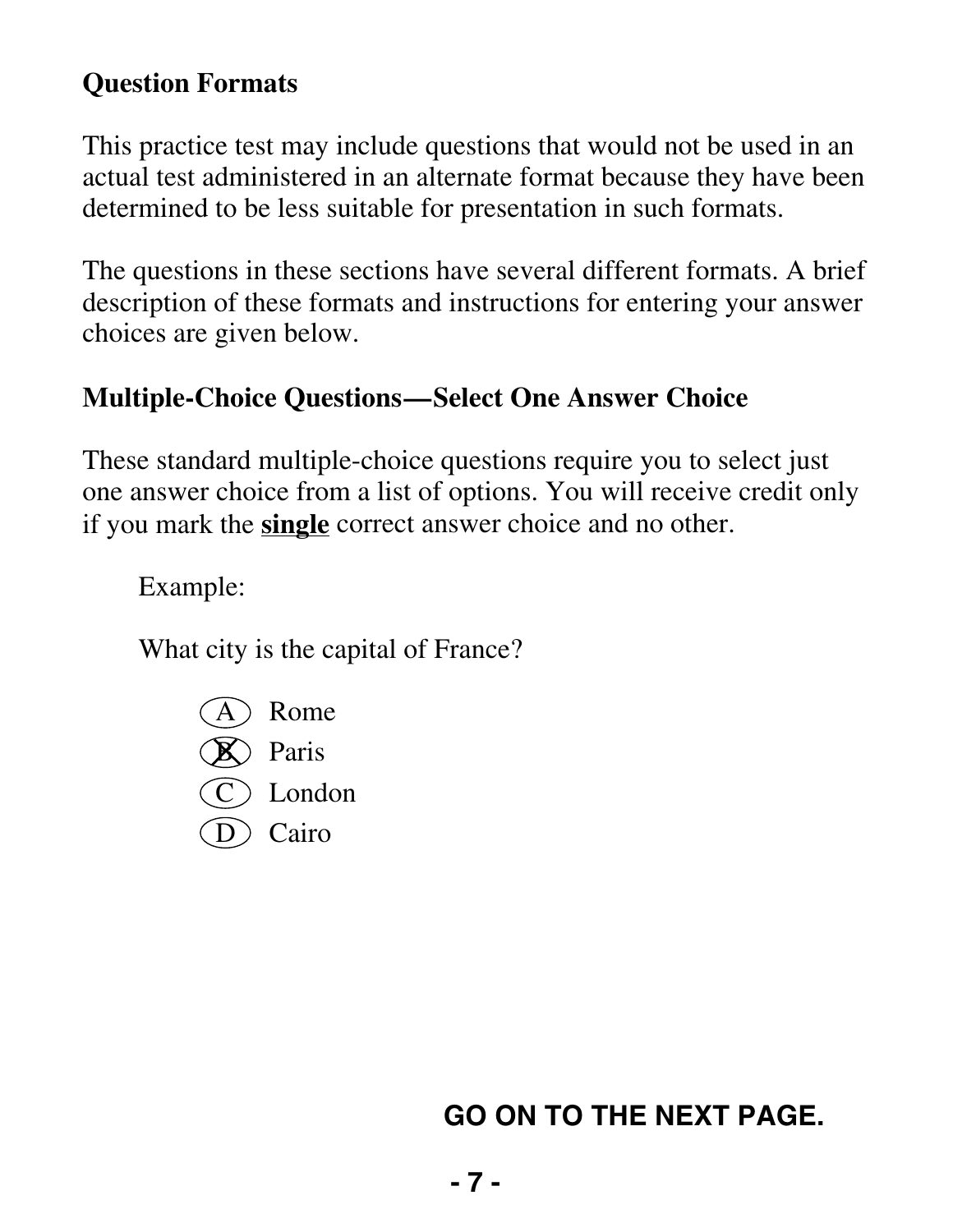### **Question Formats**

This practice test may include questions that would not be used in an actual test administered in an alternate format because they have been determined to be less suitable for presentation in such formats.

The questions in these sections have several different formats. A brief description of these formats and instructions for entering your answer choices are given below.

#### **Multiple-Choice Questions—Select One Answer Choice**

These standard multiple-choice questions require you to select just one answer choice from a list of options. You will receive credit only if you mark the **single** correct answer choice and no other.

Example:

What city is the capital of France?

- Rome
- $\mathbb{R}$  Paris
- ) London
- D Cairo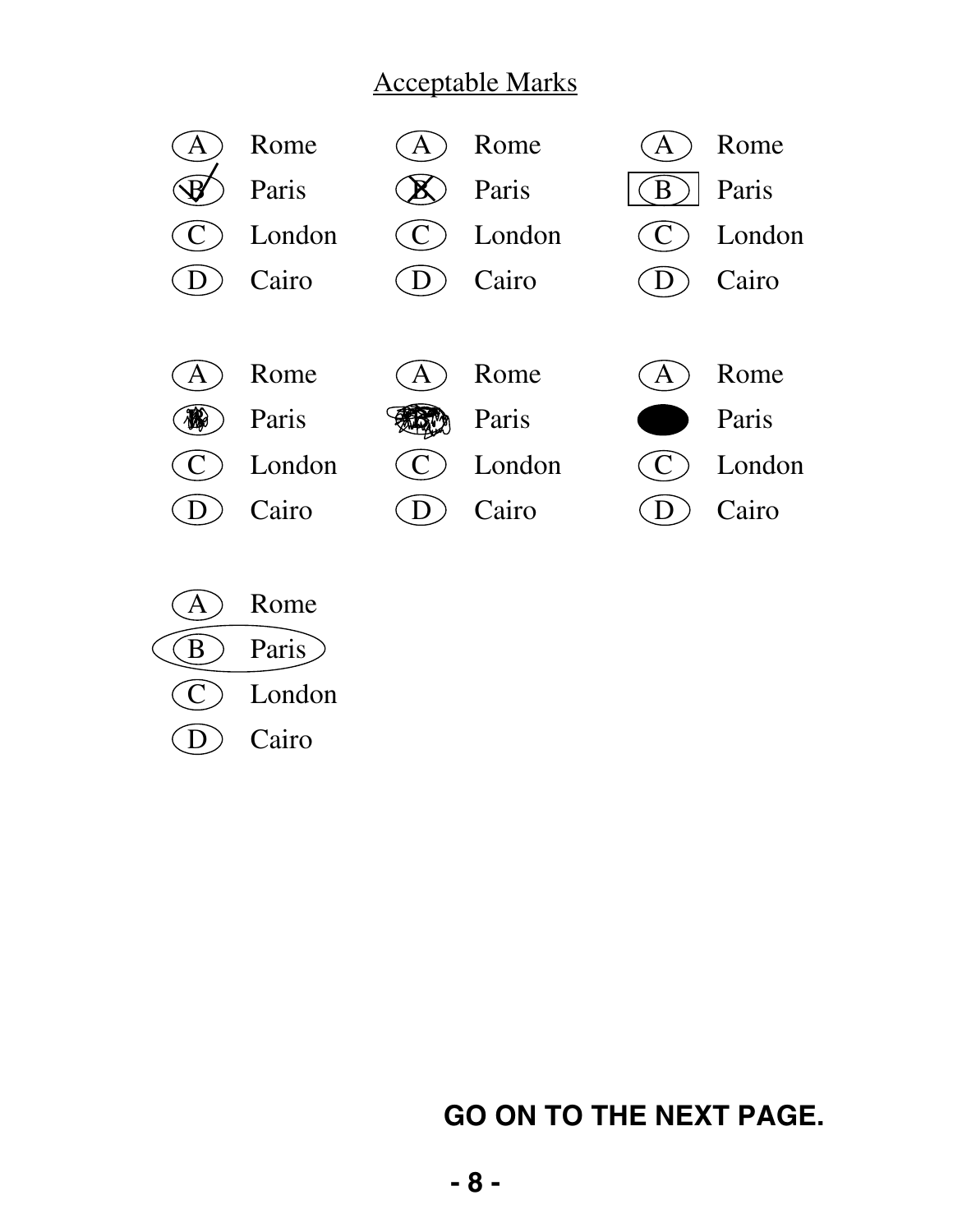#### Acceptable Marks



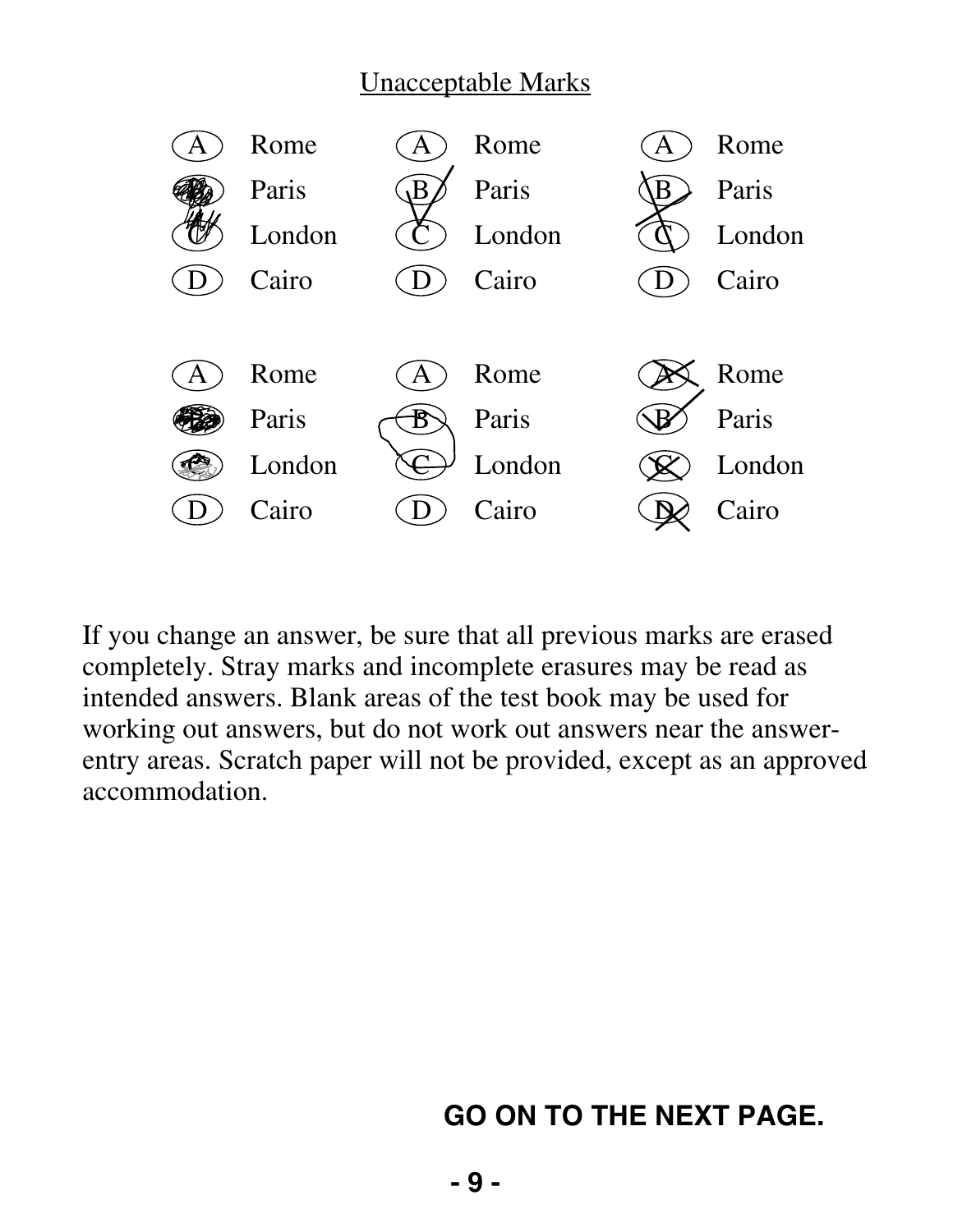#### Unacceptable Marks



If you change an answer, be sure that all previous marks are erased completely. Stray marks and incomplete erasures may be read as intended answers. Blank areas of the test book may be used for working out answers, but do not work out answers near the answerentry areas. Scratch paper will not be provided, except as an approved accommodation.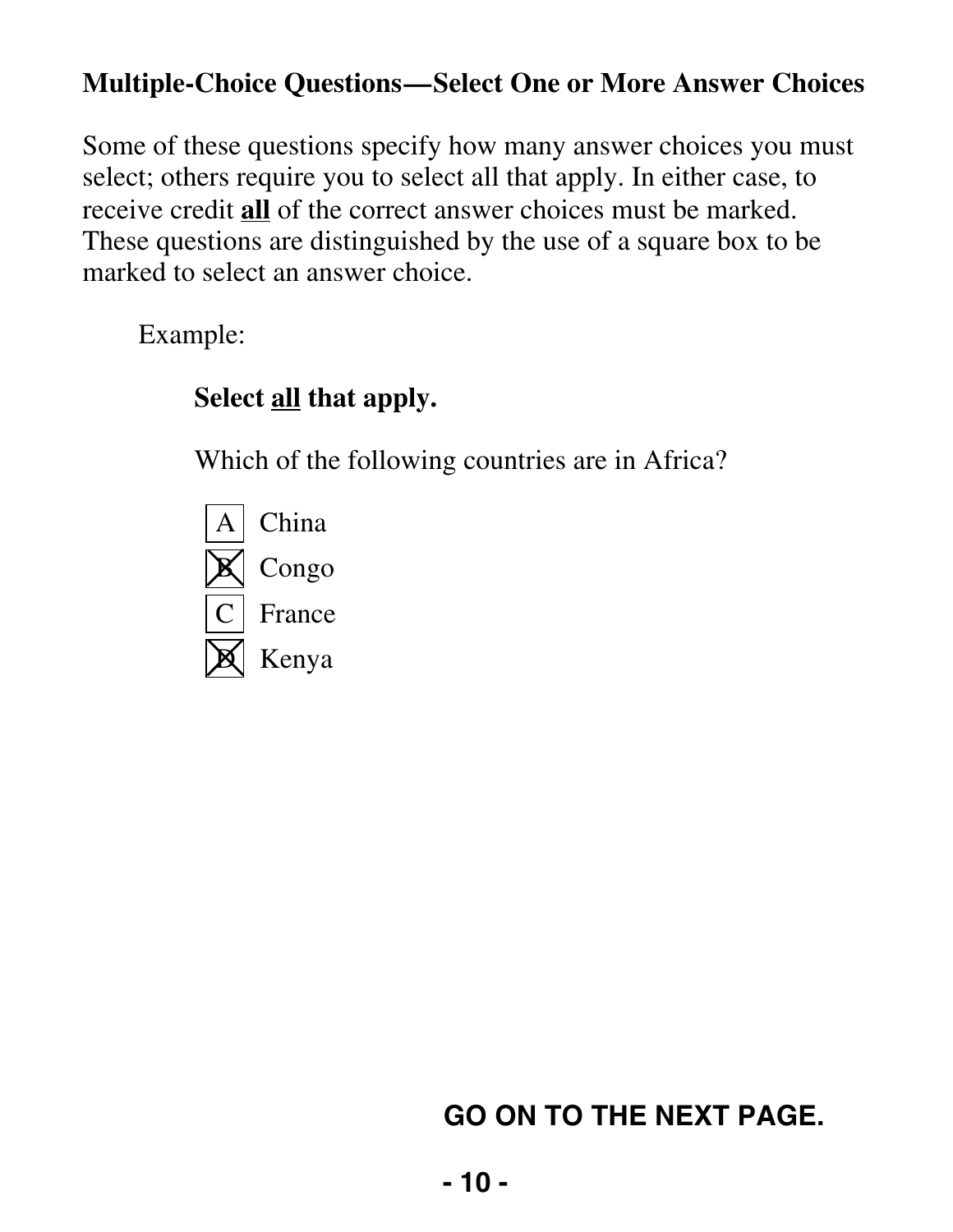### **Multiple-Choice Questions—Select One or More Answer Choices**

Some of these questions specify how many answer choices you must select; others require you to select all that apply. In either case, to receive credit **all** of the correct answer choices must be marked. These questions are distinguished by the use of a square box to be marked to select an answer choice.

Example:

### **Select all that apply.**

Which of the following countries are in Africa?

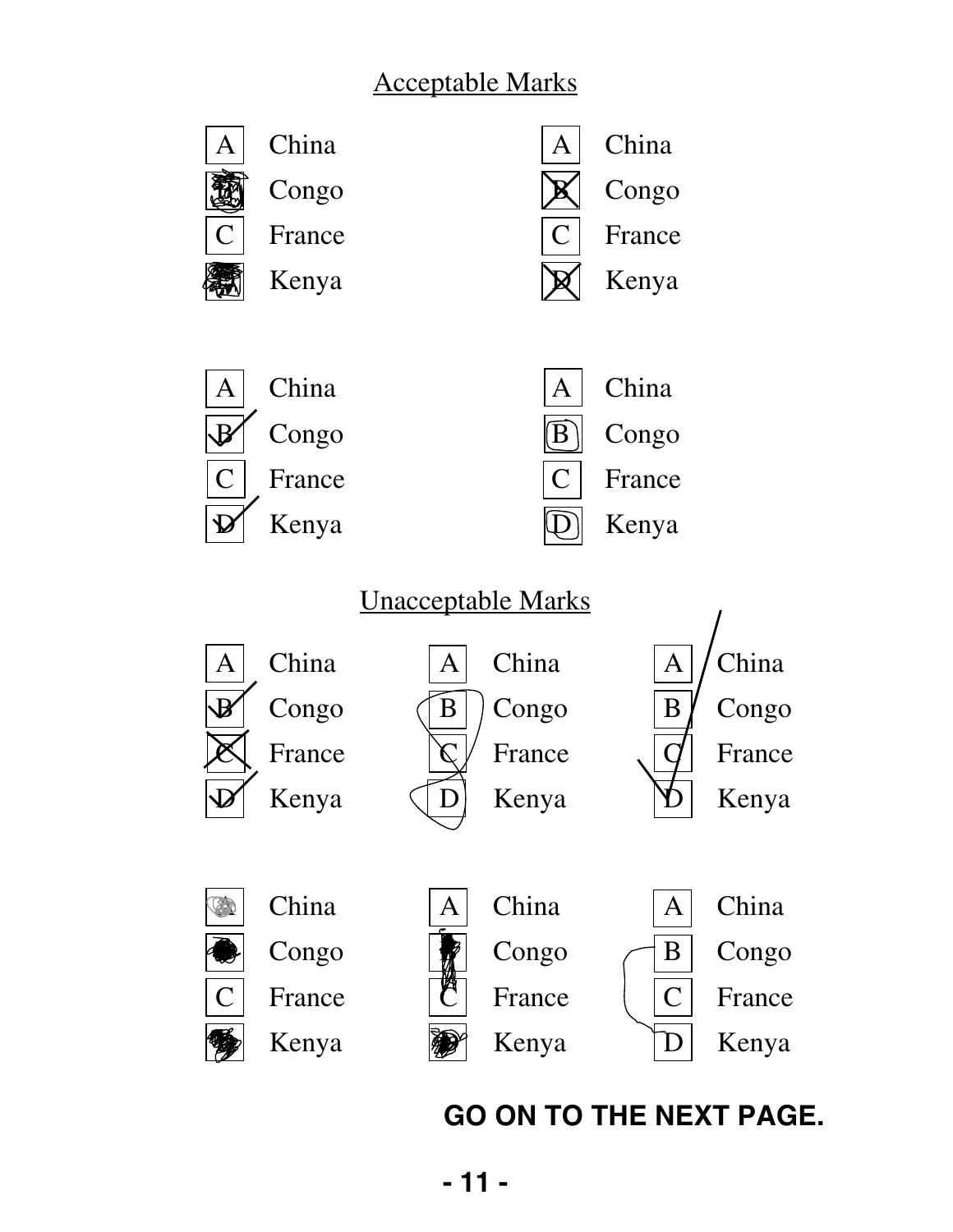### Acceptable Marks

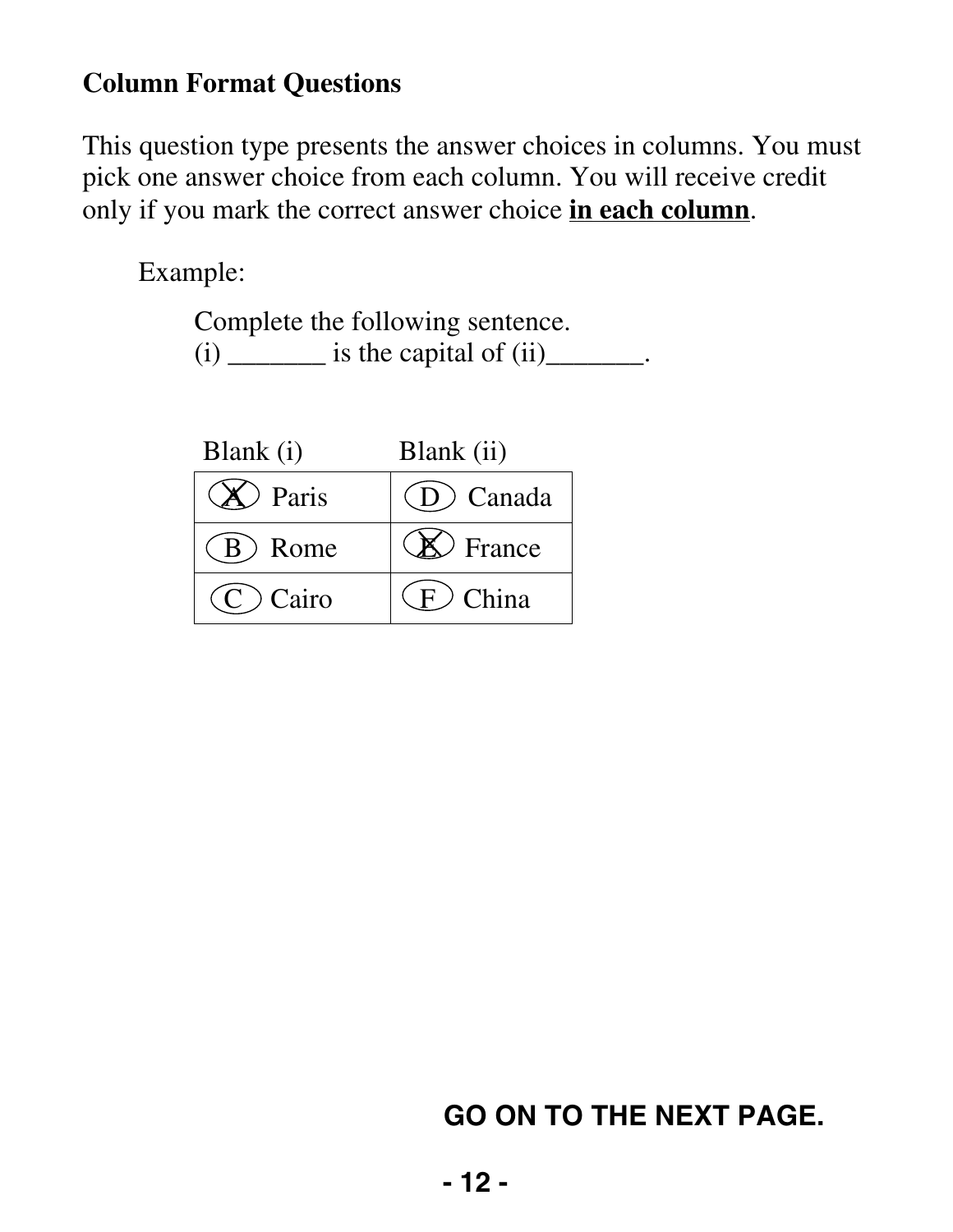### **Column Format Questions**

This question type presents the answer choices in columns. You must pick one answer choice from each column. You will receive credit only if you mark the correct answer choice **in each column**.

Example:

Complete the following sentence.  $(i)$  \_\_\_\_\_\_\_\_ is the capital of  $(ii)$ \_\_\_\_\_\_.

| Blank (i)   | Blank (ii)           |
|-------------|----------------------|
| Paris       | (D) Canada           |
| (B) Rome    | $\mathcal{D}$ France |
| $(C)$ Cairo | $(F)$ China          |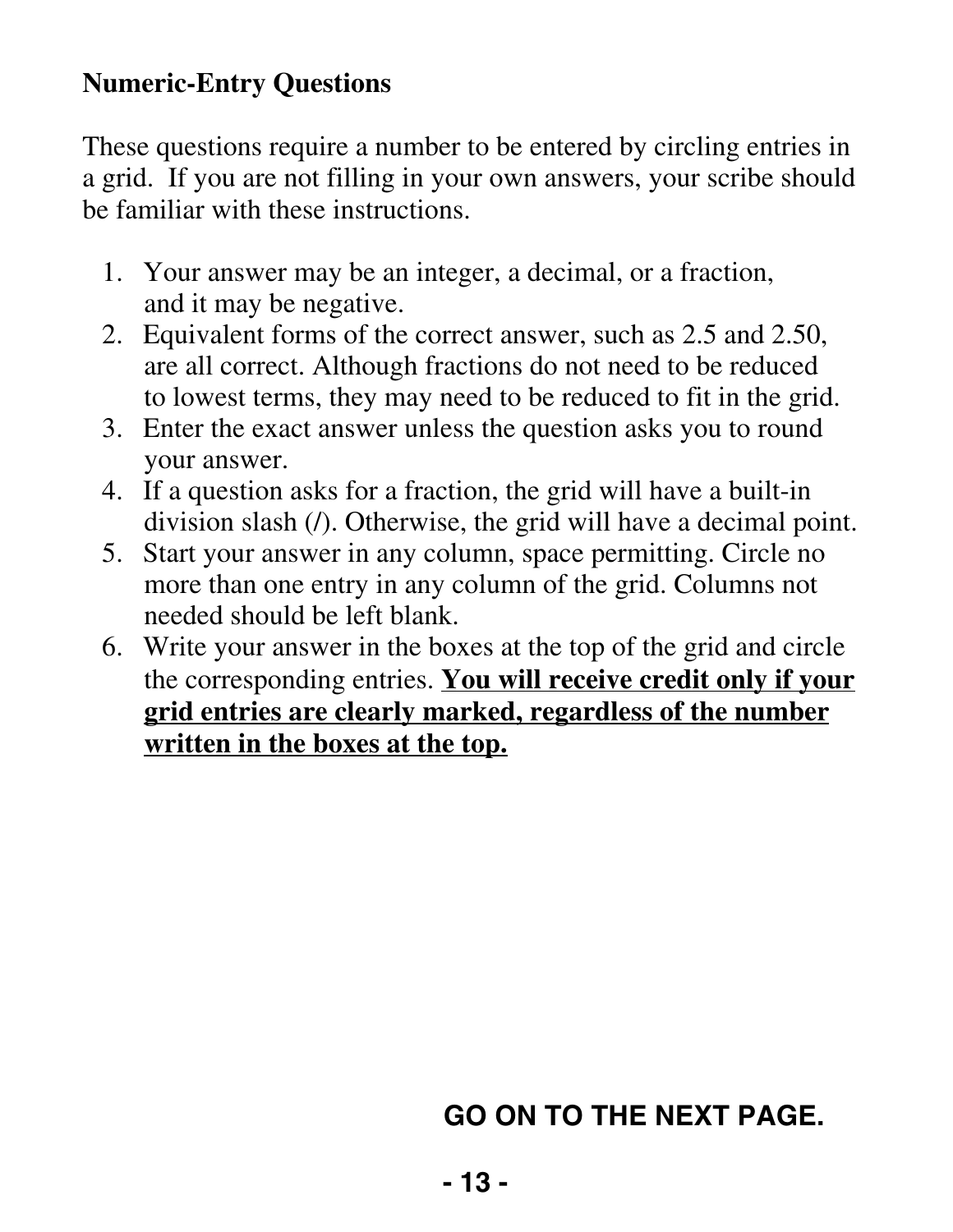### **Numeric-Entry Questions**

These questions require a number to be entered by circling entries in a grid. If you are not filling in your own answers, your scribe should be familiar with these instructions.

- 1. Your answer may be an integer, a decimal, or a fraction, and it may be negative.
- 2. Equivalent forms of the correct answer, such as 2.5 and 2.50, are all correct. Although fractions do not need to be reduced to lowest terms, they may need to be reduced to fit in the grid.
- 3. Enter the exact answer unless the question asks you to round your answer.
- 4. If a question asks for a fraction, the grid will have a built-in division slash (/). Otherwise, the grid will have a decimal point.
- 5. Start your answer in any column, space permitting. Circle no more than one entry in any column of the grid. Columns not needed should be left blank.
- 6. Write your answer in the boxes at the top of the grid and circle the corresponding entries. **You will receive credit only if your grid entries are clearly marked, regardless of the number written in the boxes at the top.**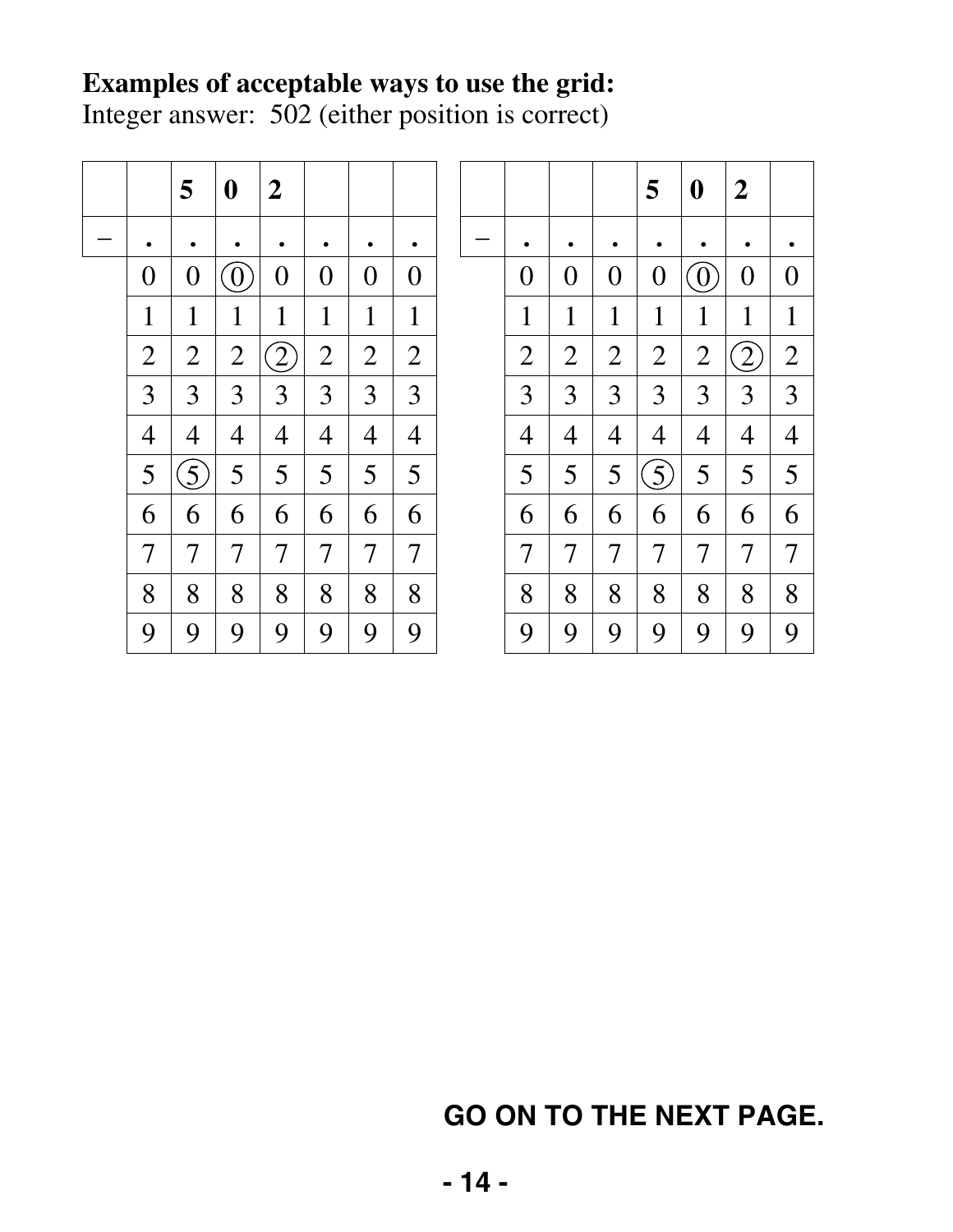### **Examples of acceptable ways to use the grid:**

Integer answer: 502 (either position is correct)

|                | 5              | $\boldsymbol{0}$   | $\boldsymbol{2}$  |                |                |                          |  |                |                |   | 5                | $\boldsymbol{0}$ | $\boldsymbol{2}$ |                |
|----------------|----------------|--------------------|-------------------|----------------|----------------|--------------------------|--|----------------|----------------|---|------------------|------------------|------------------|----------------|
| ٠              | $\bullet$      |                    |                   |                | ٠              |                          |  | ٠              |                |   |                  |                  |                  |                |
| $\overline{0}$ | $\overline{0}$ | $\left( 0 \right)$ | $\overline{0}$    | $\overline{0}$ | $\overline{0}$ | $\overline{0}$           |  | $\overline{0}$ | $\overline{0}$ | 0 | $\overline{0}$   | $\overline{0}$   | $\overline{0}$   | 0              |
| 1              | 1              | 1                  | $\mathbf 1$       | $\mathbf{1}$   | $\mathbf{1}$   | 1                        |  | $\mathbf{1}$   | $\mathbf 1$    | 1 | $\mathbf{1}$     | $\mathbf{1}$     | 1                | 1              |
| $\overline{2}$ | $\overline{2}$ | $\overline{2}$     | $\left( 2\right)$ | $\overline{2}$ | $\overline{2}$ | $\overline{2}$           |  | $\overline{2}$ | $\overline{2}$ | 2 | $\overline{2}$   | $\overline{2}$   | $\overline{2}$   | $\overline{2}$ |
| 3              | 3              | 3                  | 3                 | 3              | 3              | 3                        |  | 3              | 3              | 3 | 3                | 3                | 3                | 3              |
| 4              | $\overline{4}$ | 4                  | 4                 | $\overline{4}$ | $\overline{4}$ | $\overline{4}$           |  | $\overline{4}$ | 4              | 4 | $\overline{4}$   | $\overline{4}$   | 4                | 4              |
| 5              | $\overline{5}$ | 5                  | 5                 | 5              | 5              | 5                        |  | 5              | 5              | 5 | $\left(5\right)$ | 5                | 5                | 5              |
| 6              | 6              | 6                  | 6                 | 6              | 6              | 6                        |  | 6              | 6              | 6 | 6                | 6                | 6                | 6              |
| 7              | 7              | 7                  | 7                 | 7              | 7              | $\overline{\mathcal{I}}$ |  | 7              | $\overline{7}$ | 7 | 7                | 7                | 7                | 7              |
| 8              | 8              | 8                  | 8                 | 8              | 8              | 8                        |  | 8              | 8              | 8 | 8                | 8                | 8                | 8              |
| 9              | 9              | 9                  | 9                 | 9              | 9              | 9                        |  | 9              | 9              | 9 | 9                | 9                | 9                | 9              |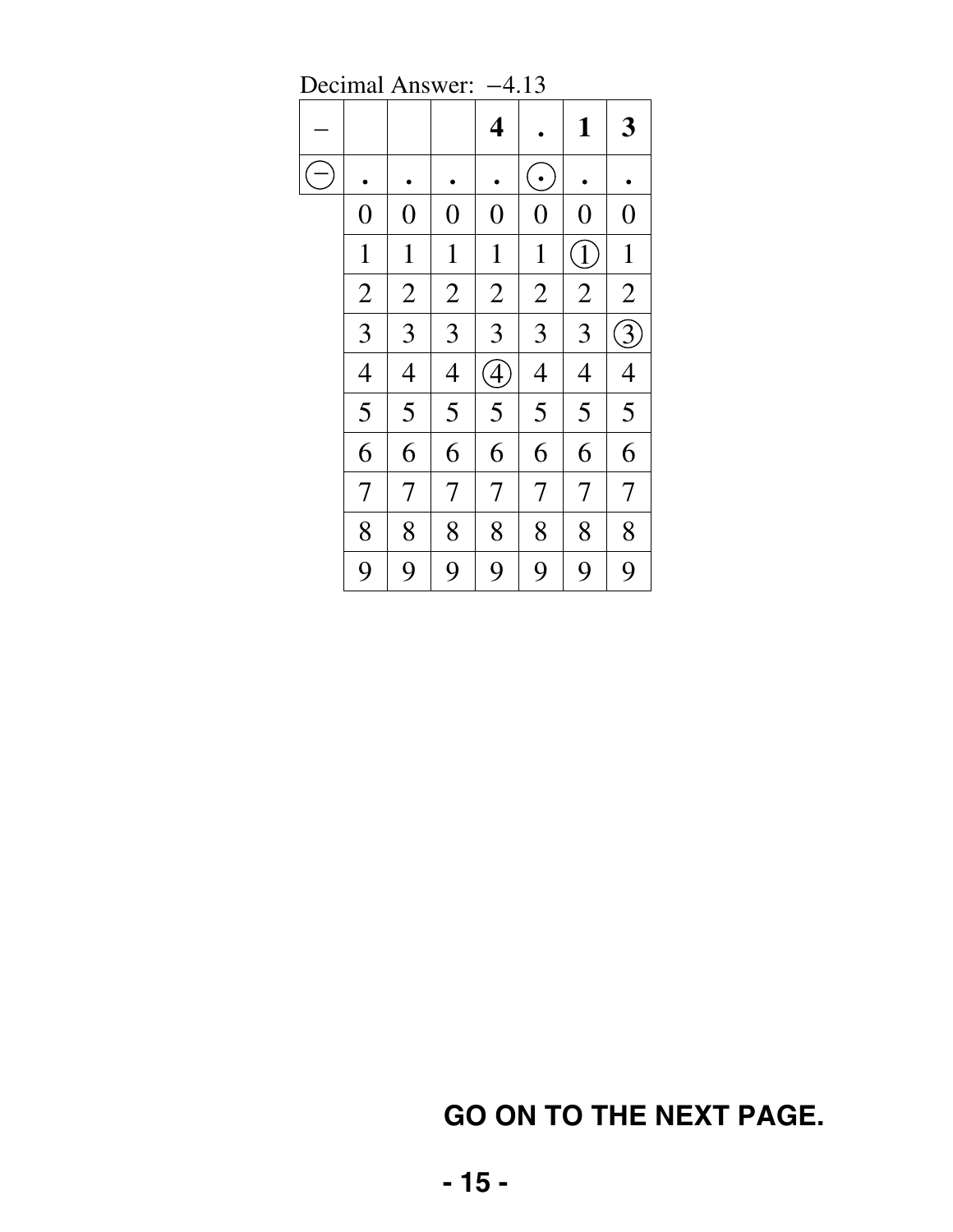|                  | Decimal Aliswer. |                |                         | 4.19           |                |                            |
|------------------|------------------|----------------|-------------------------|----------------|----------------|----------------------------|
|                  |                  |                | $\overline{\mathbf{4}}$ |                | $\mathbf{1}$   | 3                          |
|                  |                  |                |                         | $\bullet$      |                |                            |
| $\boldsymbol{0}$ | $\boldsymbol{0}$ | $\overline{0}$ | $\boldsymbol{0}$        | $\overline{0}$ | $\overline{0}$ | $\boldsymbol{0}$           |
| $\mathbf{1}$     | $\mathbf{1}$     | $\mathbf{1}$   | $\mathbf{1}$            | $\mathbf{1}$   | $\bigl\{$      | $\mathbf{1}$               |
| $\overline{2}$   | $\overline{2}$   | $\overline{2}$ | $\overline{2}$          | $\overline{2}$ | $\overline{2}$ | $\overline{2}$             |
| 3                | 3                | $\overline{3}$ | 3                       | 3              | 3              | $\widetilde{\mathfrak{Z}}$ |
| $\overline{4}$   | $\overline{4}$   | $\overline{4}$ | $\widehat{A}$           | $\overline{4}$ | $\overline{4}$ | $\overline{4}$             |
| 5                | 5                | 5              | 5                       | 5              | 5              | 5                          |
| 6                | 6                | 6              | 6                       | 6              | 6              | 6                          |
| $\overline{7}$   | $\overline{7}$   | $\overline{7}$ | $\overline{7}$          | $\overline{7}$ | $\overline{7}$ | $\overline{7}$             |
| 8                | 8                | 8              | 8                       | 8              | 8              | 8                          |
| 9                | 9                | 9              | 9                       | 9              | 9              | 9                          |

Decimal Answer: –4.13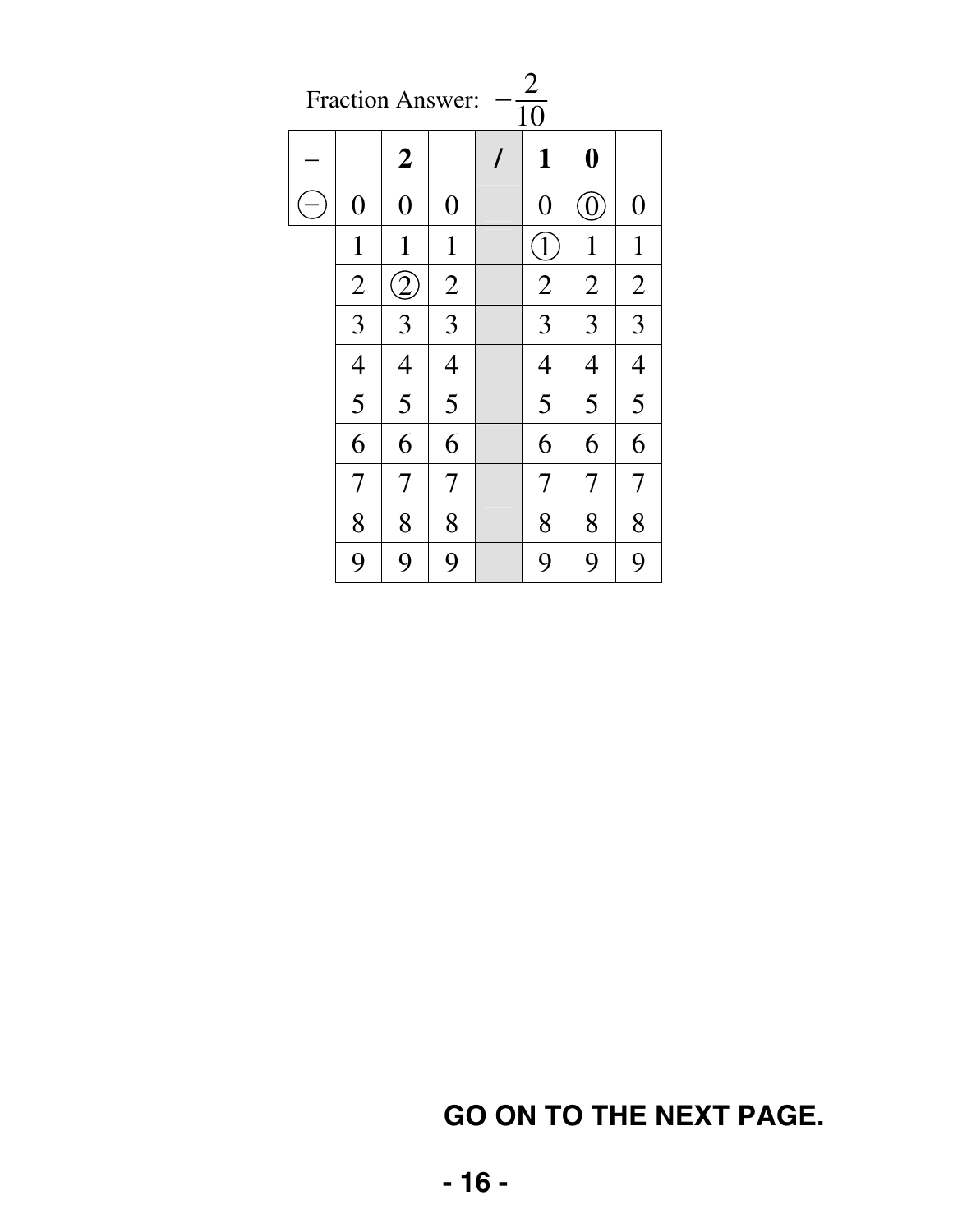| $\overline{2}$<br><b>Fraction Answer:</b><br>$\overline{10}$ |                  |                |          |                |                   |                  |
|--------------------------------------------------------------|------------------|----------------|----------|----------------|-------------------|------------------|
|                                                              | $\boldsymbol{2}$ |                | $\prime$ | 1              | $\boldsymbol{0}$  |                  |
| $\overline{0}$                                               | $\overline{0}$   | $\overline{0}$ |          | $\overline{0}$ | $\left( 0\right)$ | $\boldsymbol{0}$ |
| $\mathbf 1$                                                  | $\mathbf{1}$     | $\mathbf{1}$   |          | [1]            | $\mathbf{1}$      | $\mathbf{1}$     |
| $\overline{2}$                                               | $\overline{2}$   | $\overline{2}$ |          | $\overline{2}$ | $\overline{2}$    | $\overline{2}$   |
| 3                                                            | 3                | 3              |          | 3              | 3                 | 3                |
| $\overline{4}$                                               | $\overline{4}$   | $\overline{4}$ |          | $\overline{4}$ | $\overline{4}$    | $\overline{4}$   |
| 5                                                            | 5                | 5              |          | 5              | 5                 | 5                |
| 6                                                            | 6                | 6              |          | 6              | 6                 | 6                |
| 7                                                            | 7                | 7              |          | 7              | 7                 | 7                |
| 8                                                            | 8                | 8              |          | 8              | 8                 | 8                |
| 9                                                            | 9                | 9              |          | 9              | 9                 | 9                |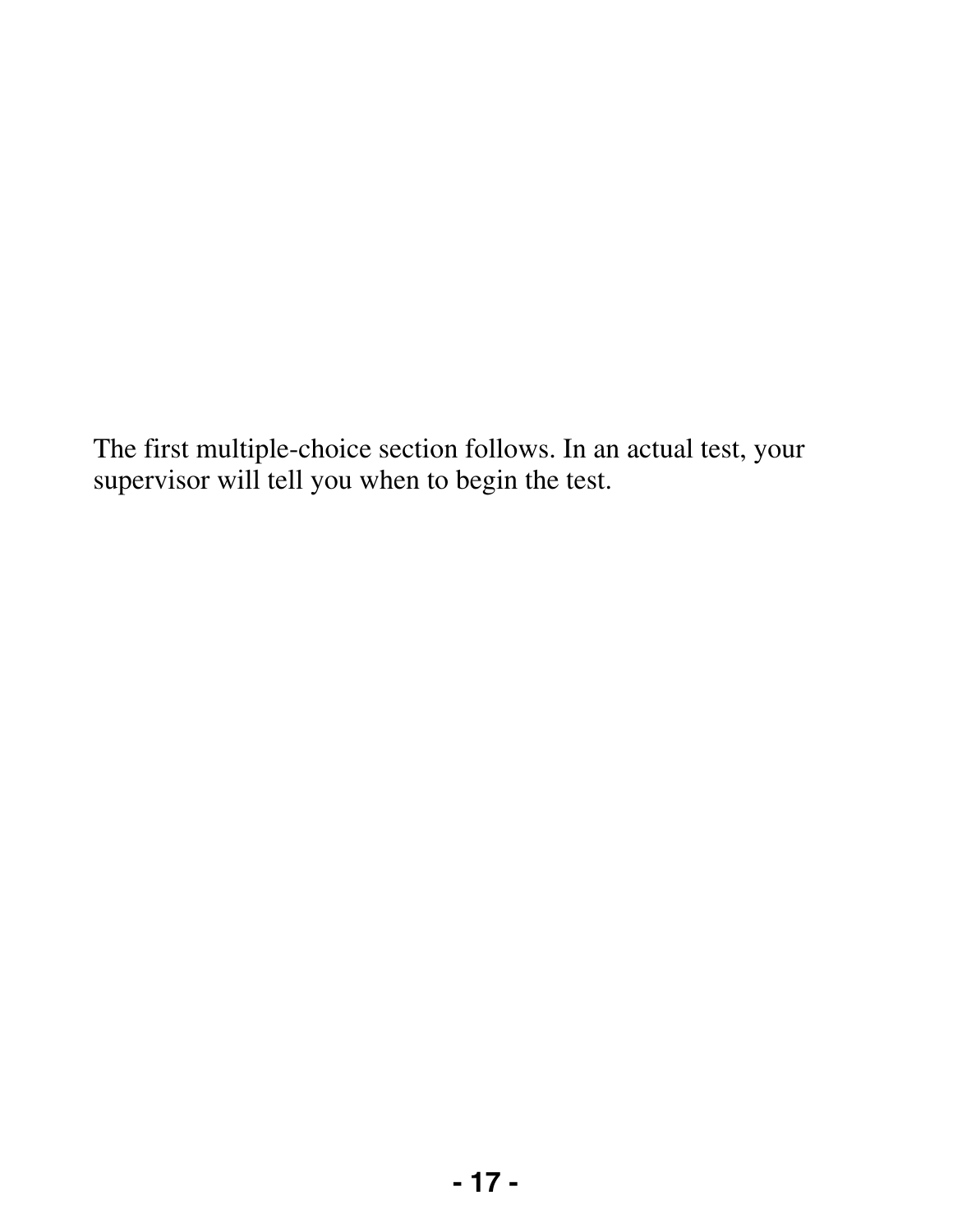The first multiple-choice section follows. In an actual test, your supervisor will tell you when to begin the test.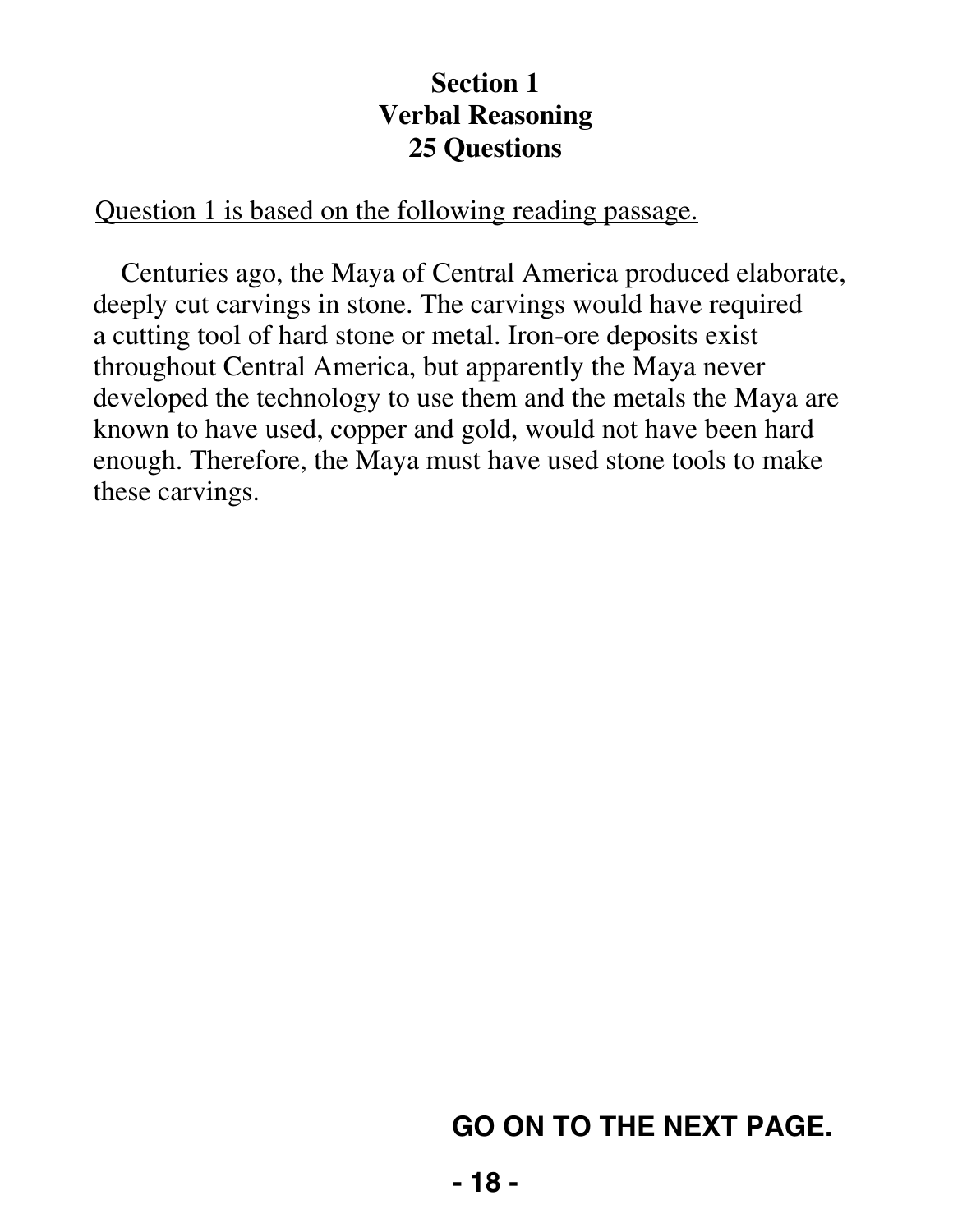#### **Section 1 Verbal Reasoning 25 Questions**

#### Question 1 is based on the following reading passage.

Centuries ago, the Maya of Central America produced elaborate, deeply cut carvings in stone. The carvings would have required a cutting tool of hard stone or metal. Iron-ore deposits exist throughout Central America, but apparently the Maya never developed the technology to use them and the metals the Maya are known to have used, copper and gold, would not have been hard enough. Therefore, the Maya must have used stone tools to make these carvings.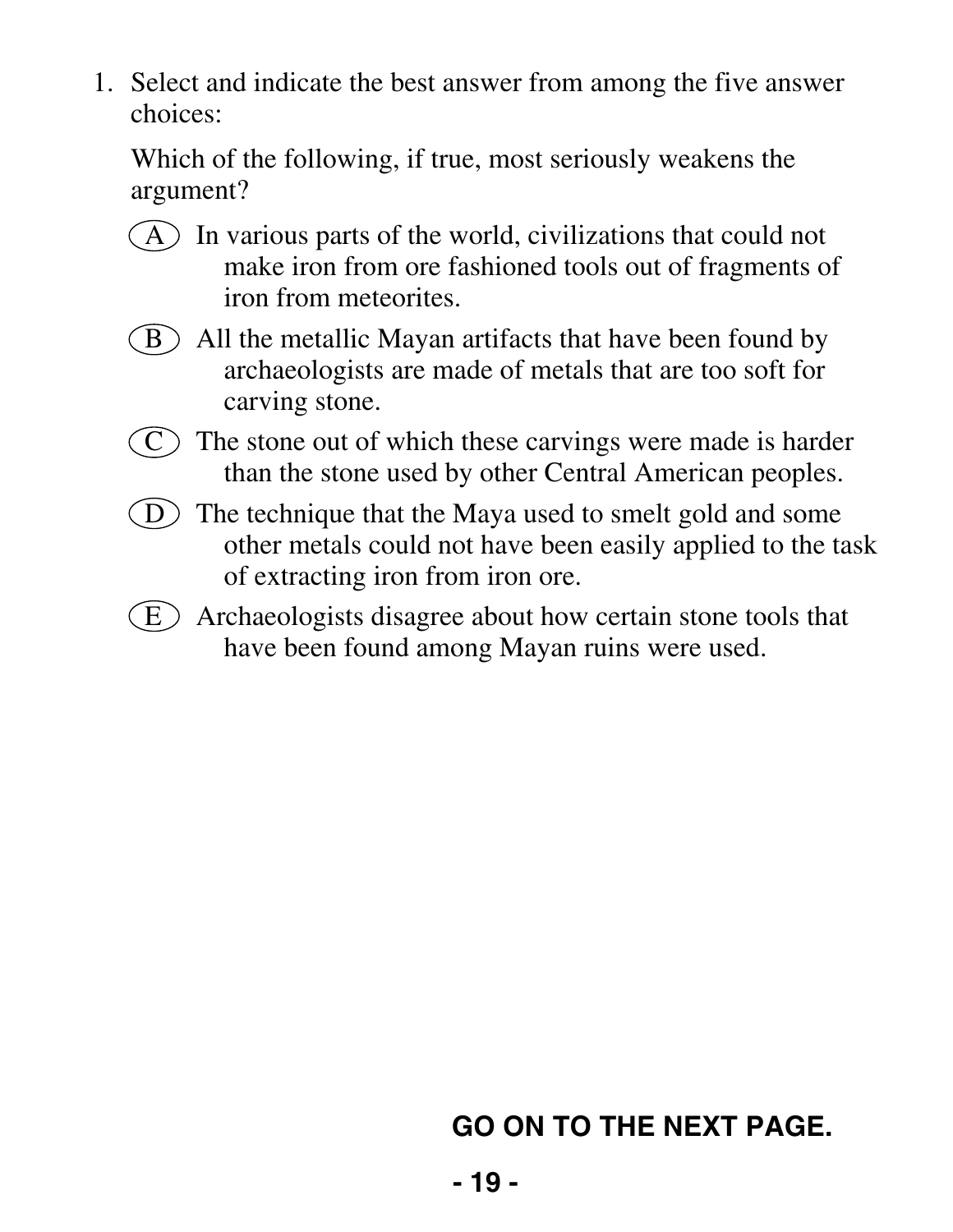Which of the following, if true, most seriously weakens the argument?

- $(A)$  In various parts of the world, civilizations that could not make iron from ore fashioned tools out of fragments of iron from meteorites.
- $(B)$  All the metallic Mayan artifacts that have been found by archaeologists are made of metals that are too soft for carving stone.
- $(C)$  The stone out of which these carvings were made is harder than the stone used by other Central American peoples.
- $(D)$  The technique that the Maya used to smelt gold and some other metals could not have been easily applied to the task of extracting iron from iron ore.
- $(E)$  Archaeologists disagree about how certain stone tools that have been found among Mayan ruins were used.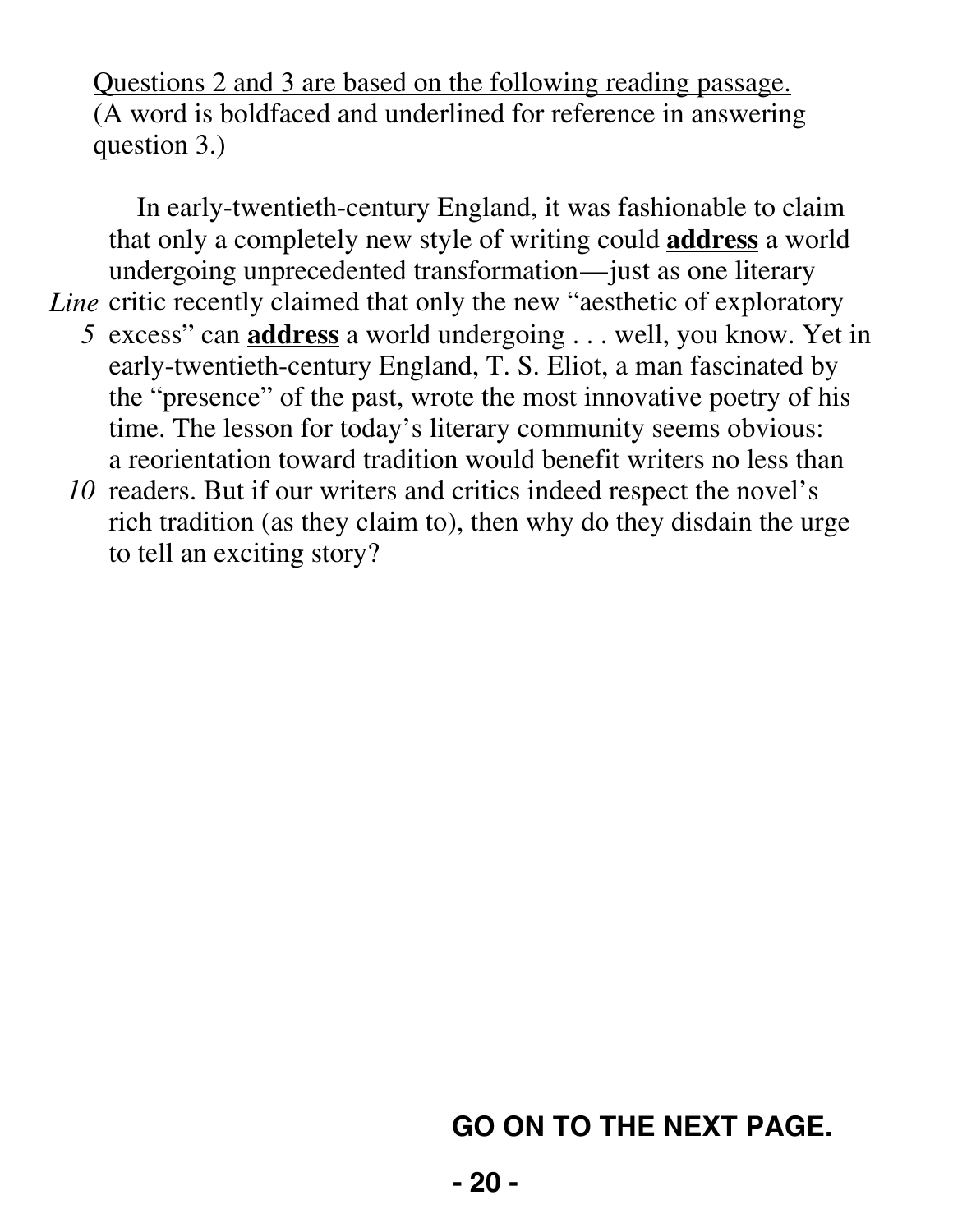Questions 2 and 3 are based on the following reading passage. (A word is boldfaced and underlined for reference in answering question 3.)

In early-twentieth-century England, it was fashionable to claim that only a completely new style of writing could **address** a world undergoing unprecedented transformation—just as one literary Line critic recently claimed that only the new "aesthetic of exploratory

- *5* excess" can **address** a world undergoing . . . well, you know. Yet in early-twentieth-century England, T. S. Eliot, a man fascinated by the "presence" of the past, wrote the most innovative poetry of his time. The lesson for today's literary community seems obvious: a reorientation toward tradition would benefit writers no less than
- 10 readers. But if our writers and critics indeed respect the novel's rich tradition (as they claim to), then why do they disdain the urge to tell an exciting story?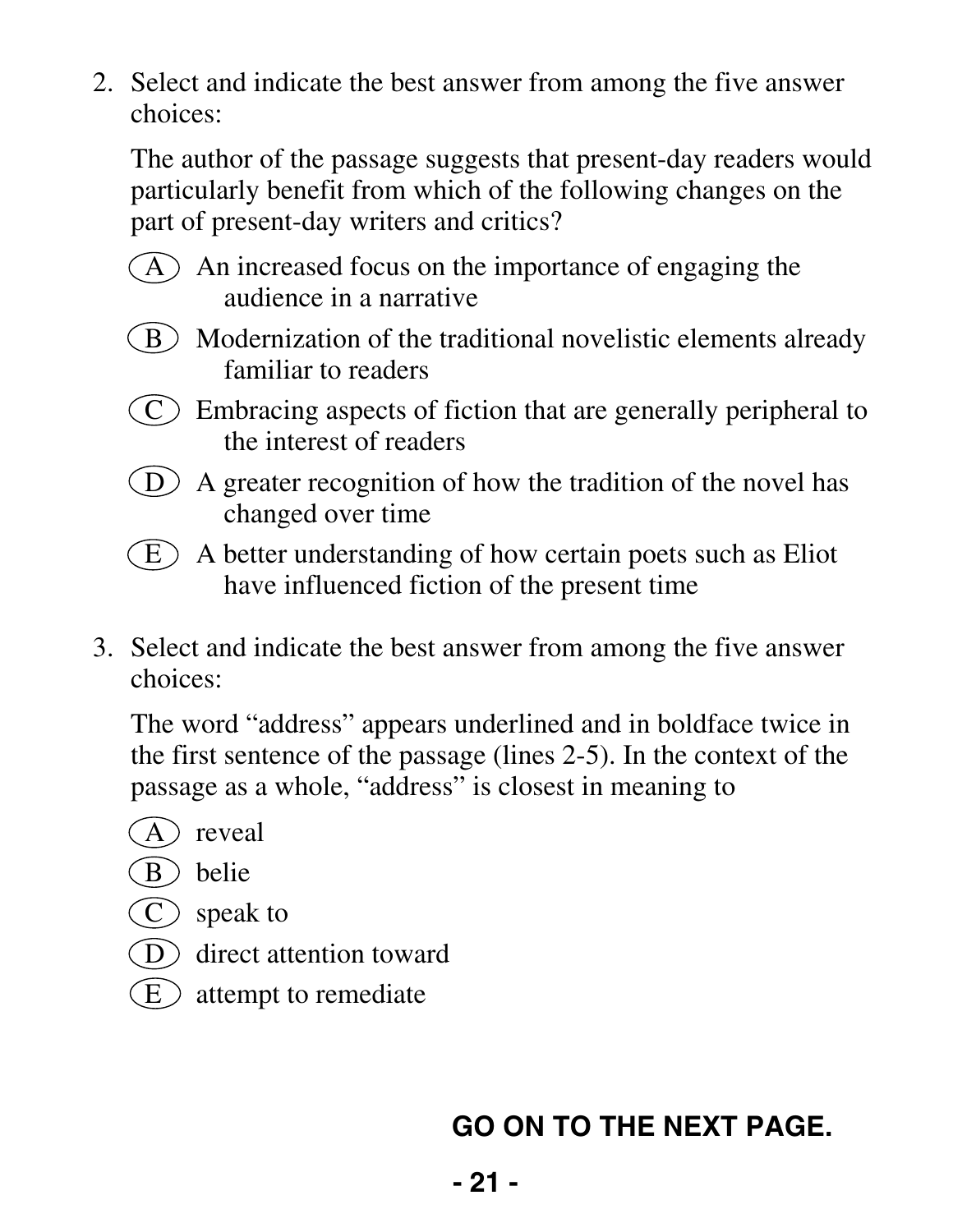The author of the passage suggests that present-day readers would particularly benefit from which of the following changes on the part of present-day writers and critics?

- $(A)$  An increased focus on the importance of engaging the audience in a narrative
- $\binom{B}{B}$  Modernization of the traditional novelistic elements already familiar to readers
- $(C)$  Embracing aspects of fiction that are generally peripheral to the interest of readers
- D A greater recognition of how the tradition of the novel has changed over time
- $(E)$  A better understanding of how certain poets such as Eliot have influenced fiction of the present time
- 3. Select and indicate the best answer from among the five answer choices:

 The word "address" appears underlined and in boldface twice in the first sentence of the passage (lines 2-5). In the context of the passage as a whole, "address" is closest in meaning to

- A reveal
- B belie
- C speak to
- D direct attention toward
- $\binom{E}{k}$  attempt to remediate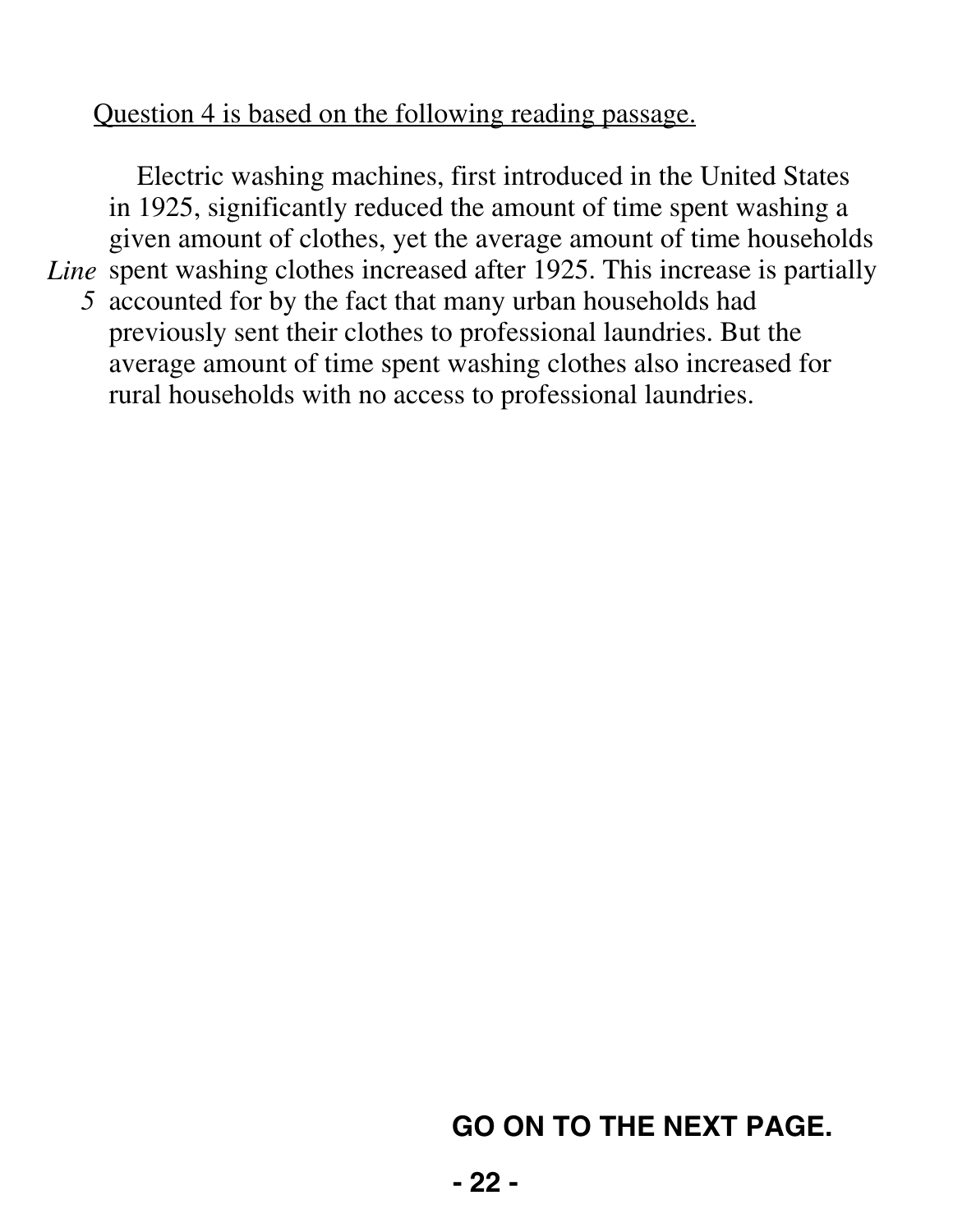#### Question 4 is based on the following reading passage.

Electric washing machines, first introduced in the United States in 1925, significantly reduced the amount of time spent washing a given amount of clothes, yet the average amount of time households Line spent washing clothes increased after 1925. This increase is partially *5* accounted for by the fact that many urban households had previously sent their clothes to professional laundries. But the average amount of time spent washing clothes also increased for rural households with no access to professional laundries.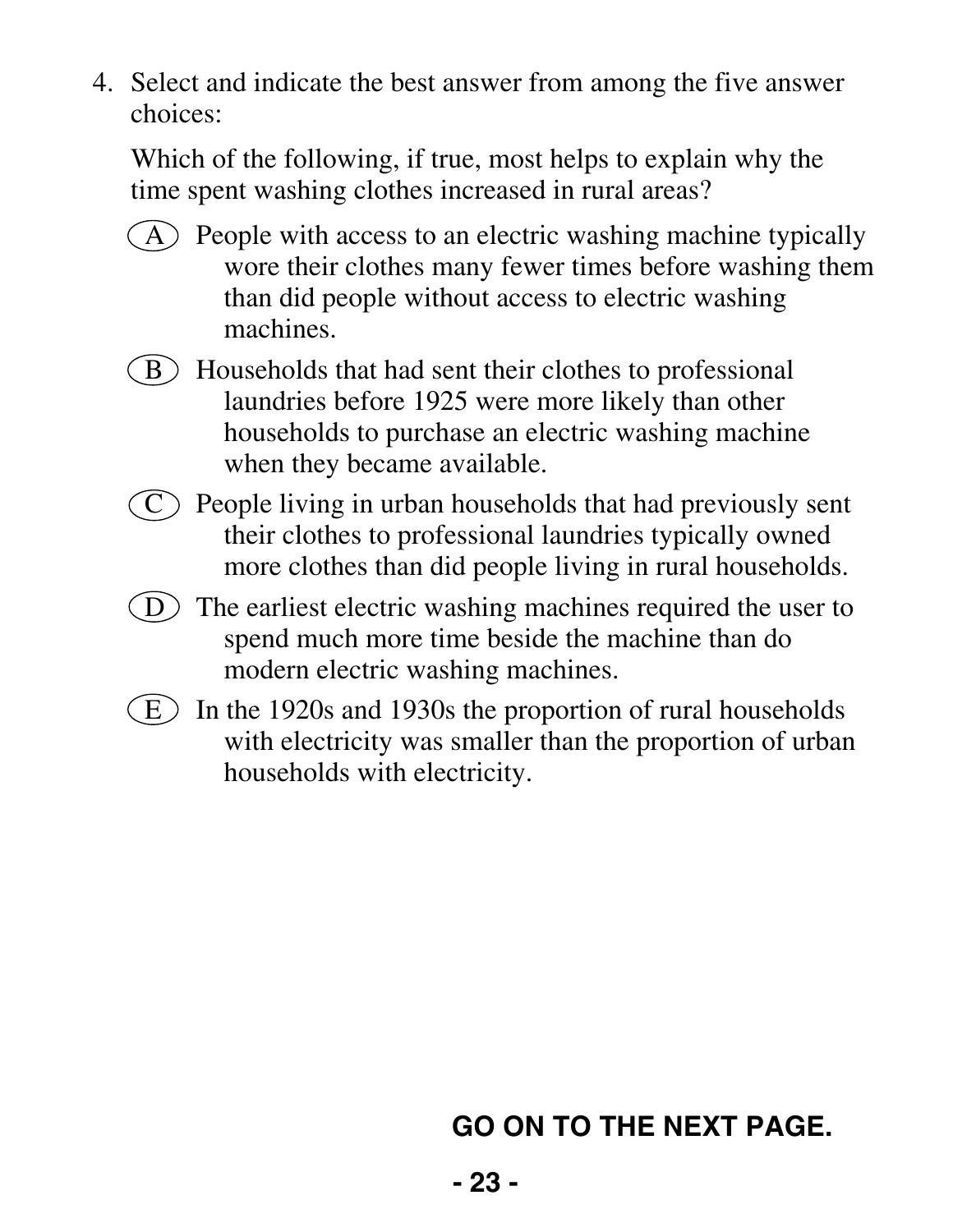Which of the following, if true, most helps to explain why the time spent washing clothes increased in rural areas?

- $(A)$  People with access to an electric washing machine typically wore their clothes many fewer times before washing them than did people without access to electric washing machines.
- $\mathbf{B}$  Households that had sent their clothes to professional laundries before 1925 were more likely than other households to purchase an electric washing machine when they became available.
- $\mathcal{C}$  People living in urban households that had previously sent their clothes to professional laundries typically owned more clothes than did people living in rural households.
- $(D)$  The earliest electric washing machines required the user to spend much more time beside the machine than do modern electric washing machines.
- $(E)$  In the 1920s and 1930s the proportion of rural households with electricity was smaller than the proportion of urban households with electricity.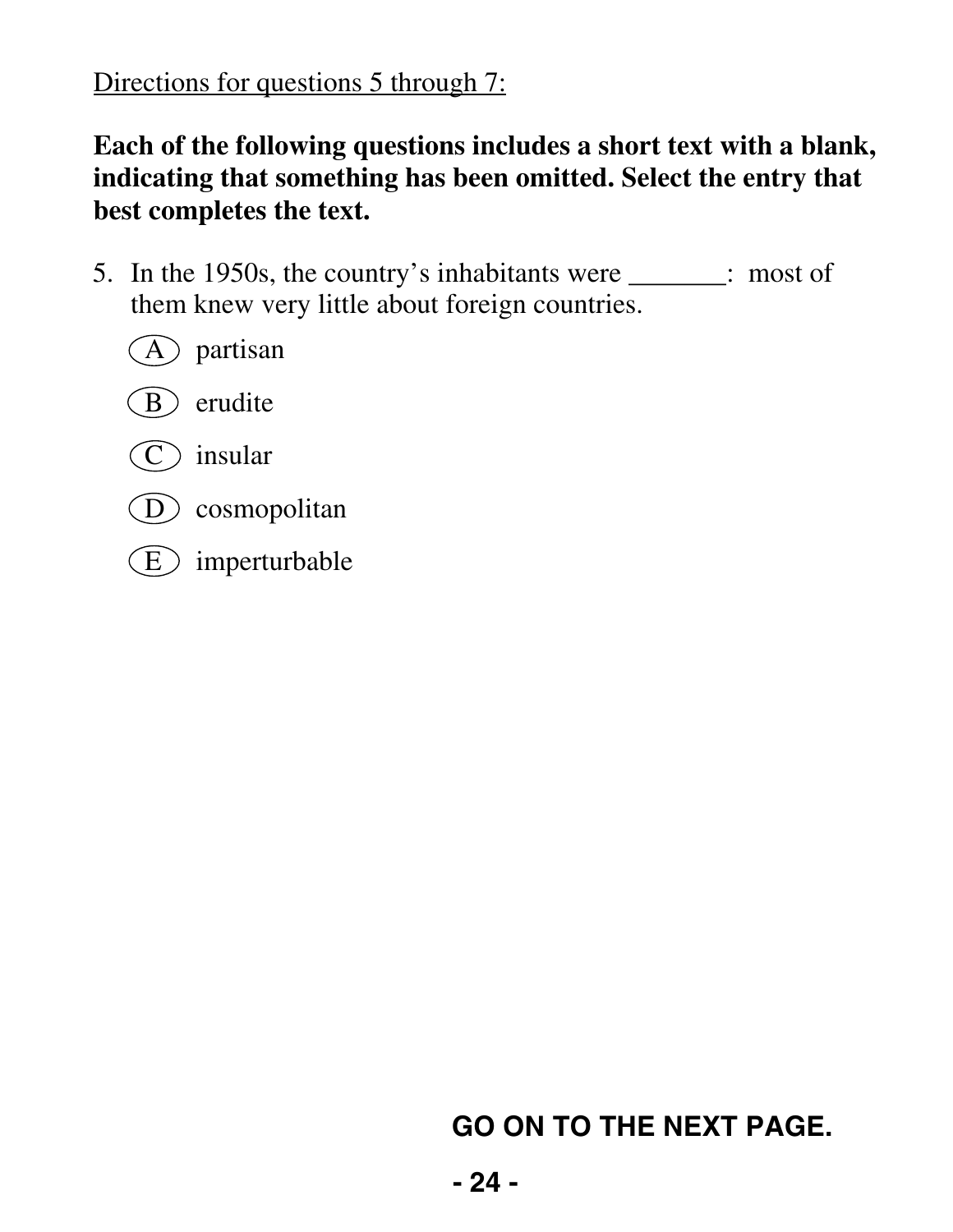Directions for questions 5 through 7:

#### **Each of the following questions includes a short text with a blank, indicating that something has been omitted. Select the entry that best completes the text.**

 5. In the 1950s, the country's inhabitants were \_\_\_\_\_\_\_: most of them knew very little about foreign countries.

A partisan





- D cosmopolitan
- $(E)$  imperturbable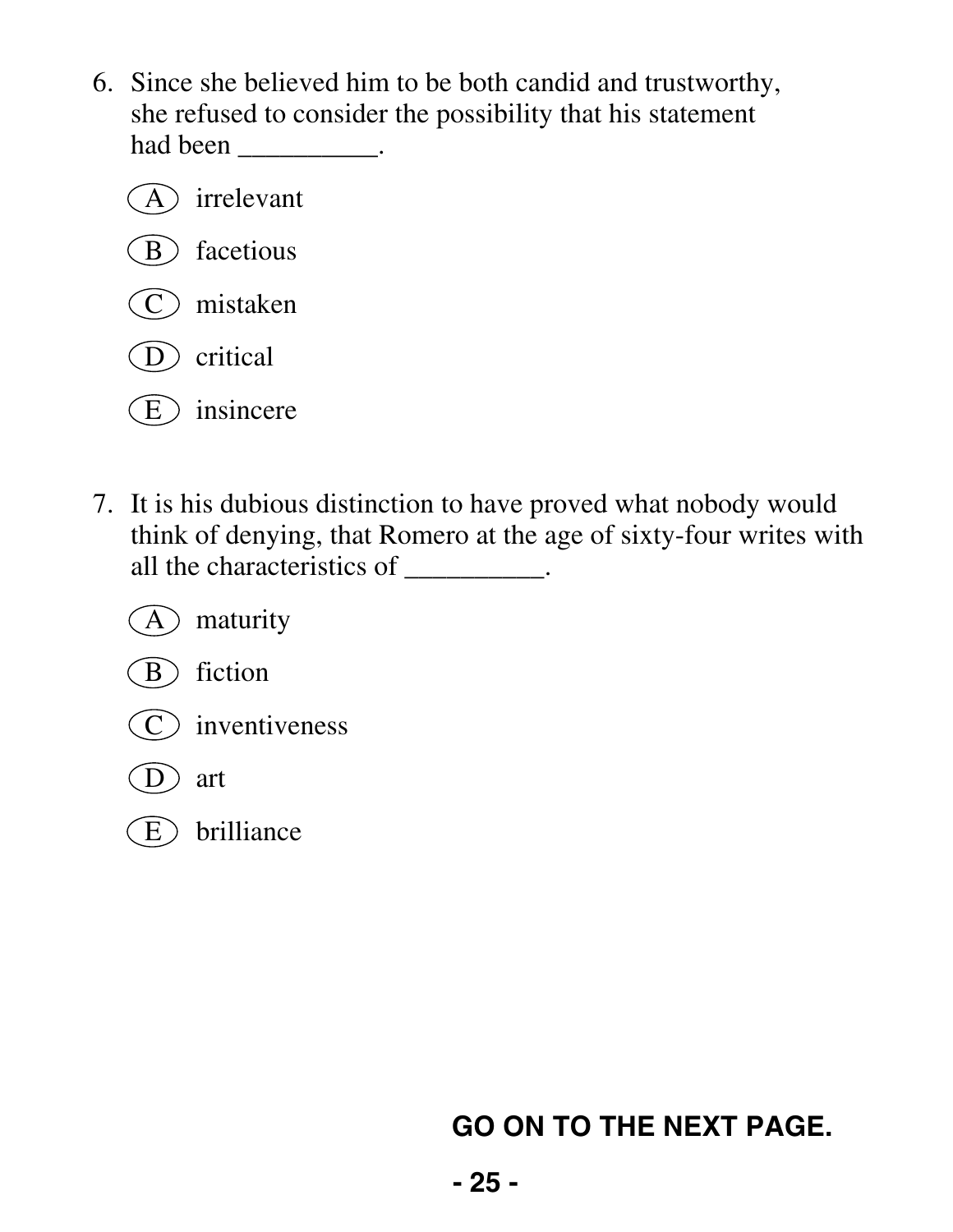- 6. Since she believed him to be both candid and trustworthy, she refused to consider the possibility that his statement had been \_\_\_\_\_\_\_\_\_\_\_.
	- A irrelevant (B) facetious C mistaken D critical  $(E)$  insincere
- 7. It is his dubious distinction to have proved what nobody would think of denying, that Romero at the age of sixty-four writes with all the characteristics of \_\_\_\_\_\_\_\_\_\_.



 $\overline{E}$  brilliance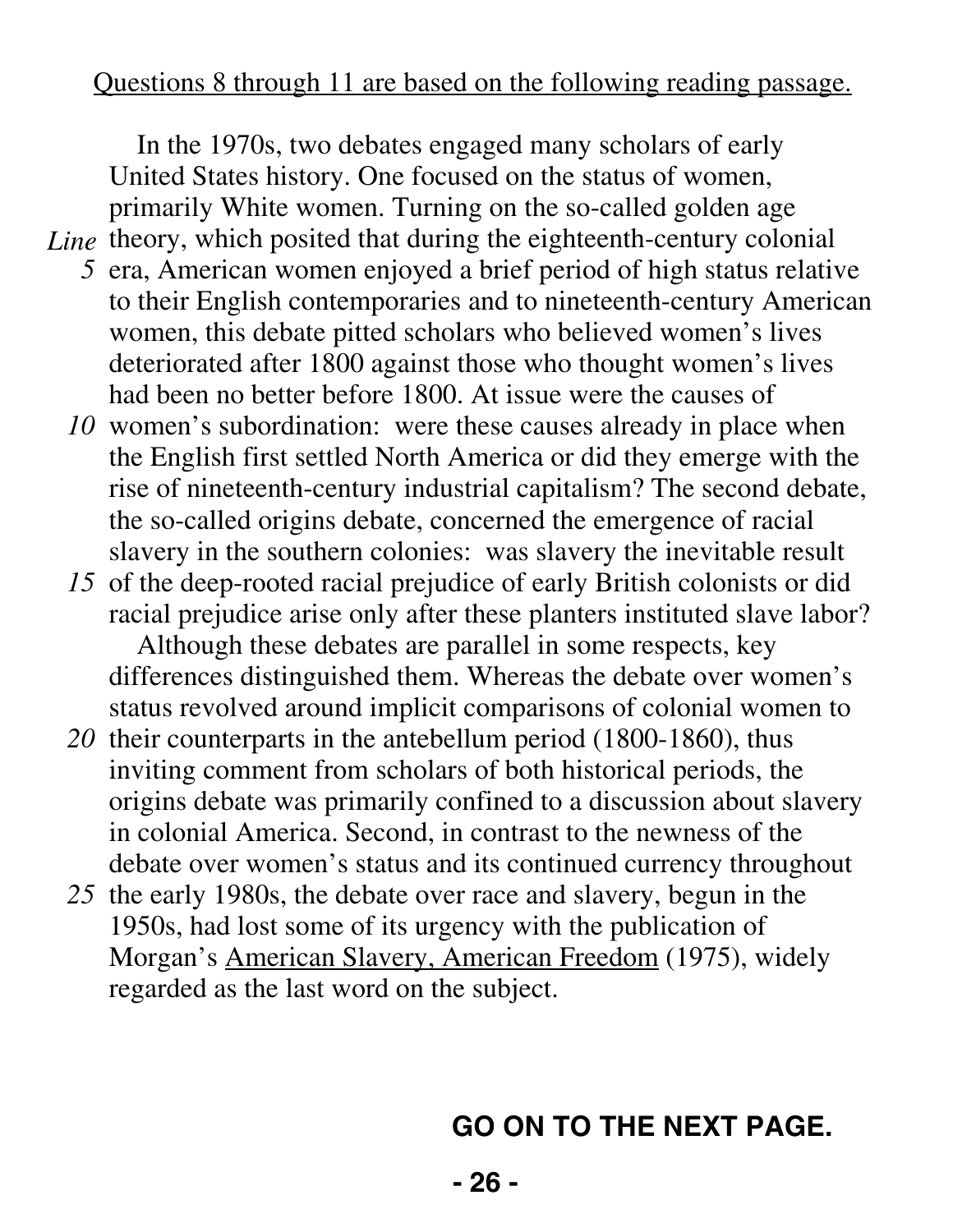#### Questions 8 through 11 are based on the following reading passage.

In the 1970s, two debates engaged many scholars of early United States history. One focused on the status of women, primarily White women. Turning on the so-called golden age

- Line theory, which posited that during the eighteenth-century colonial *5* era, American women enjoyed a brief period of high status relative
	- to their English contemporaries and to nineteenth-century American women, this debate pitted scholars who believed women's lives deteriorated after 1800 against those who thought women's lives had been no better before 1800. At issue were the causes of
	- *10* women's subordination: were these causes already in place when the English first settled North America or did they emerge with the rise of nineteenth-century industrial capitalism? The second debate, the so-called origins debate, concerned the emergence of racial slavery in the southern colonies: was slavery the inevitable result
	- *15* of the deep-rooted racial prejudice of early British colonists or did racial prejudice arise only after these planters instituted slave labor? Although these debates are parallel in some respects, key differences distinguished them. Whereas the debate over women's status revolved around implicit comparisons of colonial women to
	- *20* their counterparts in the antebellum period (1800-1860), thus inviting comment from scholars of both historical periods, the origins debate was primarily confined to a discussion about slavery in colonial America. Second, in contrast to the newness of the debate over women's status and its continued currency throughout
	- *25* the early 1980s, the debate over race and slavery, begun in the 1950s, had lost some of its urgency with the publication of Morgan's American Slavery, American Freedom (1975), widely regarded as the last word on the subject.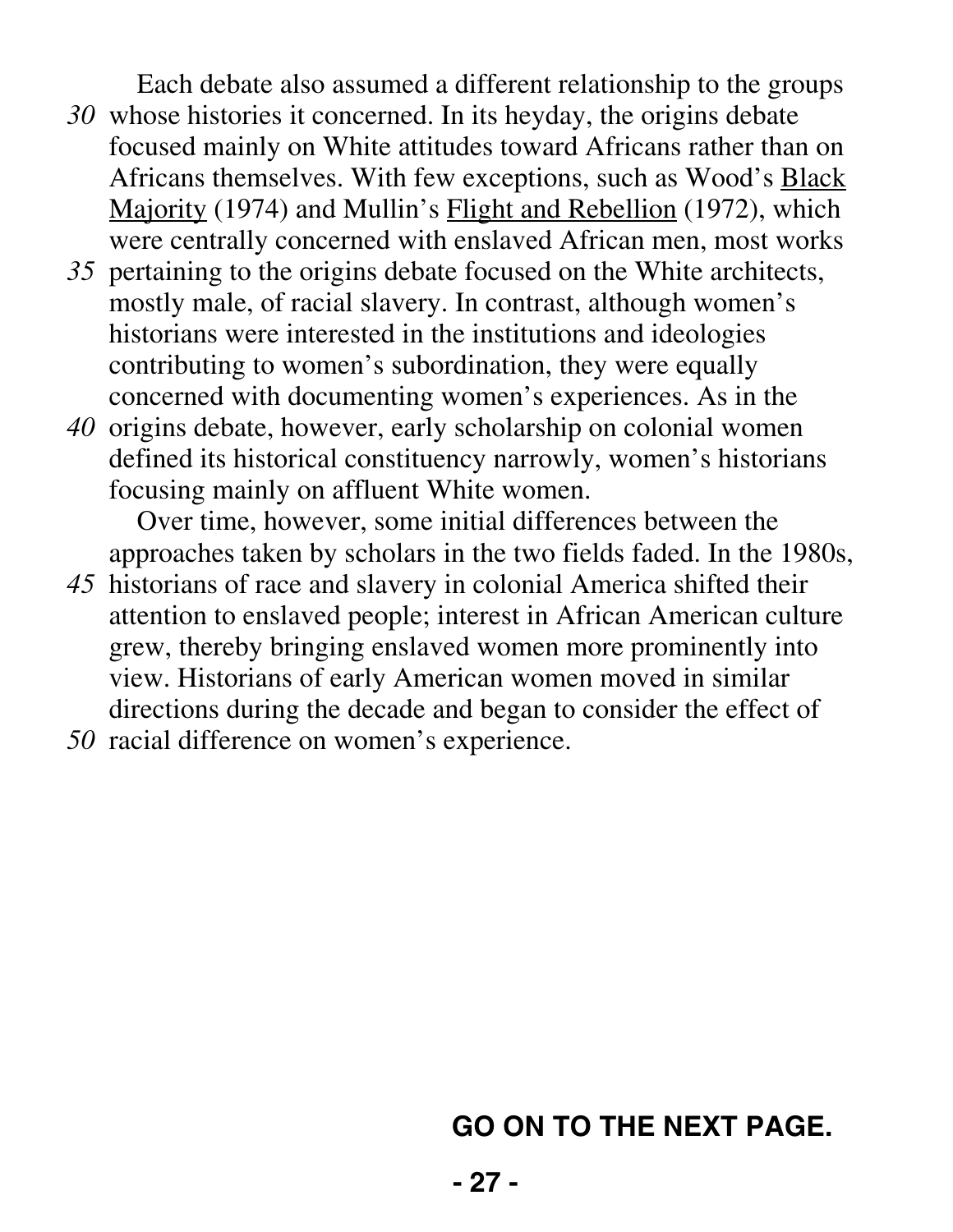Each debate also assumed a different relationship to the groups

- *30* whose histories it concerned. In its heyday, the origins debate focused mainly on White attitudes toward Africans rather than on Africans themselves. With few exceptions, such as Wood's Black Majority (1974) and Mullin's Flight and Rebellion (1972), which were centrally concerned with enslaved African men, most works
- *35* pertaining to the origins debate focused on the White architects, mostly male, of racial slavery. In contrast, although women's historians were interested in the institutions and ideologies contributing to women's subordination, they were equally concerned with documenting women's experiences. As in the
- *40* origins debate, however, early scholarship on colonial women defined its historical constituency narrowly, women's historians focusing mainly on affluent White women.

Over time, however, some initial differences between the approaches taken by scholars in the two fields faded. In the 1980s,

- *45* historians of race and slavery in colonial America shifted their attention to enslaved people; interest in African American culture grew, thereby bringing enslaved women more prominently into view. Historians of early American women moved in similar directions during the decade and began to consider the effect of
- *50* racial difference on women's experience.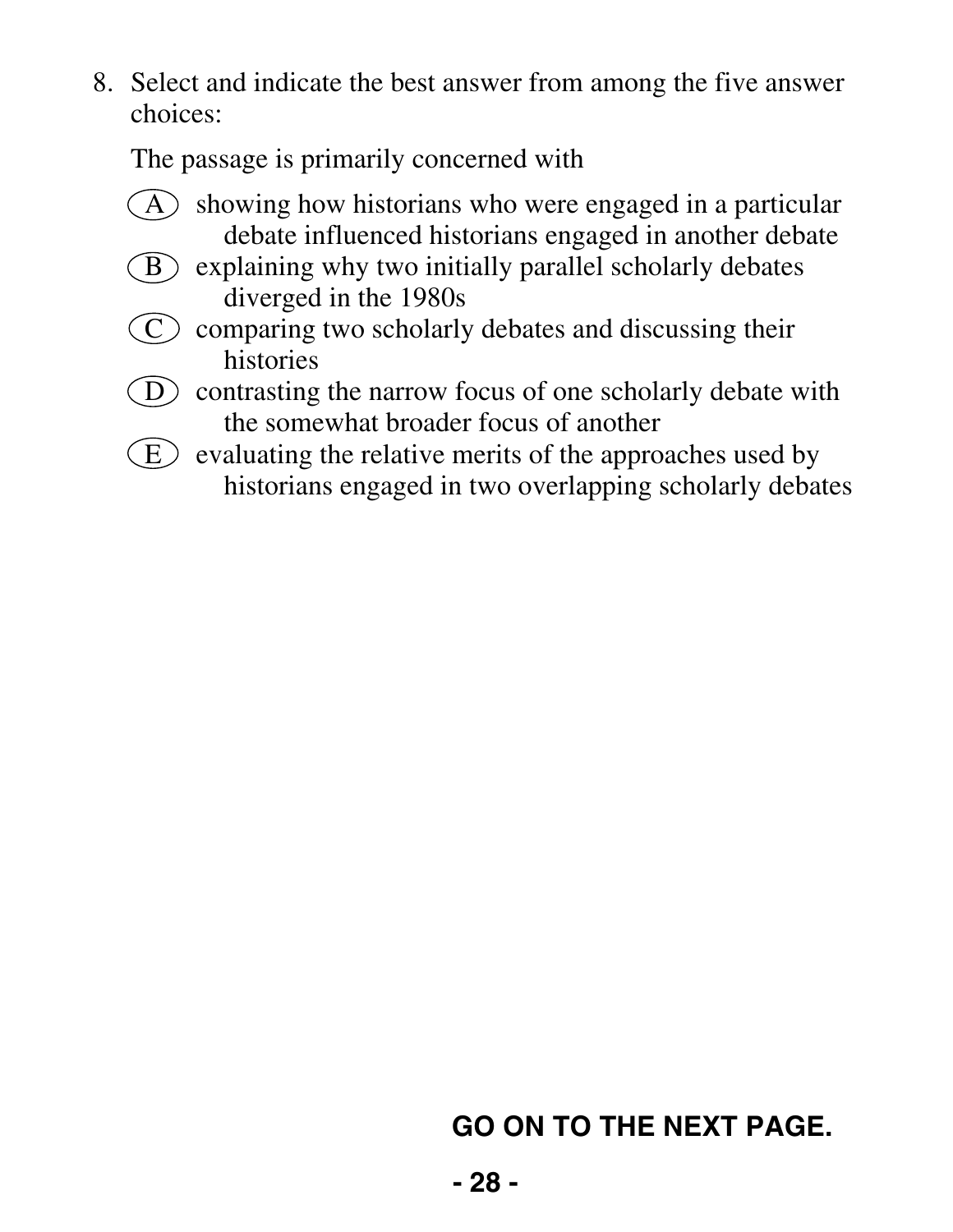The passage is primarily concerned with

- $(A)$  showing how historians who were engaged in a particular debate influenced historians engaged in another debate
- $\binom{B}{B}$  explaining why two initially parallel scholarly debates diverged in the 1980s
- $\circled{C}$  comparing two scholarly debates and discussing their histories
- $\overline{D}$  contrasting the narrow focus of one scholarly debate with the somewhat broader focus of another
- $(E)$  evaluating the relative merits of the approaches used by historians engaged in two overlapping scholarly debates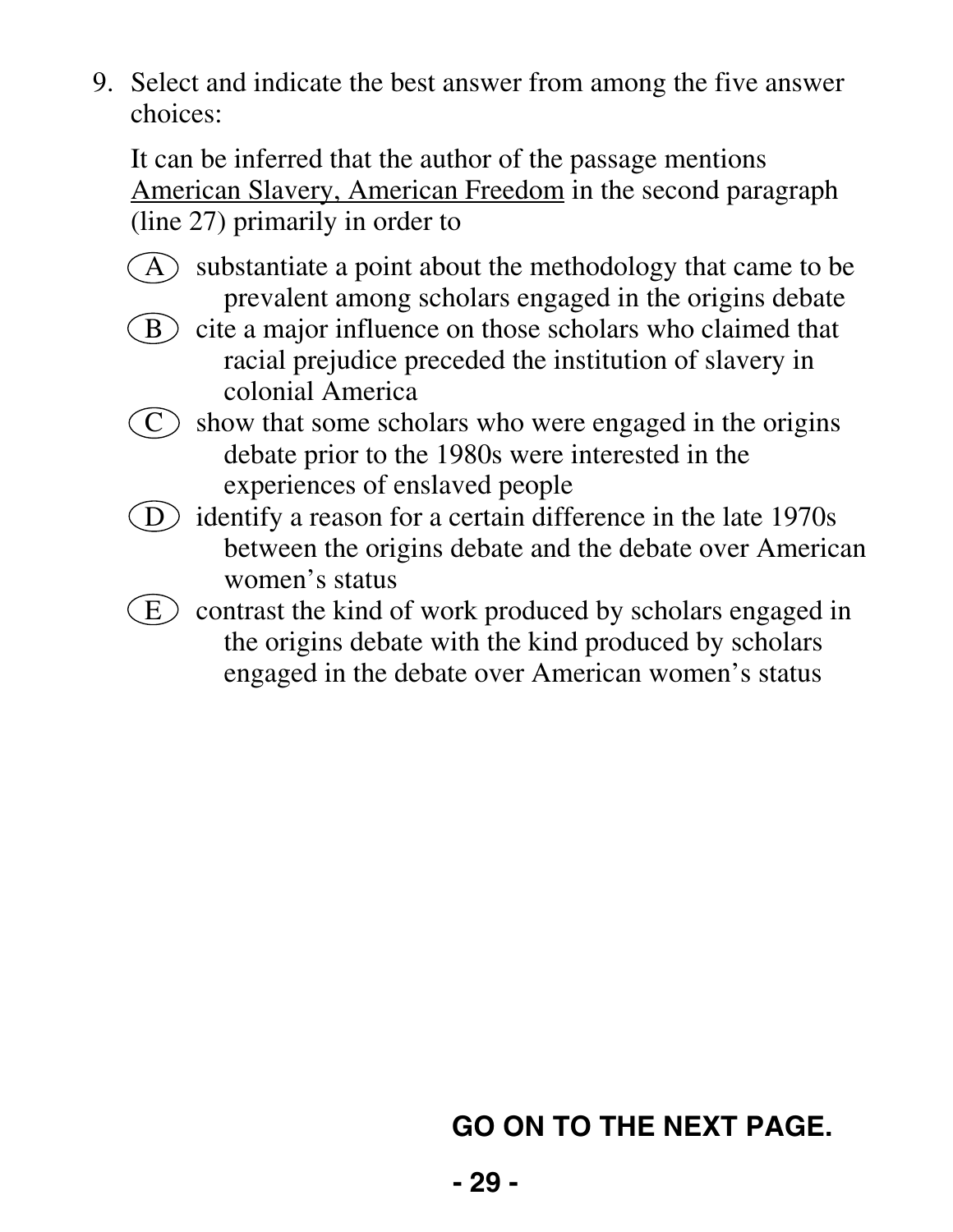It can be inferred that the author of the passage mentions American Slavery, American Freedom in the second paragraph (line 27) primarily in order to

- $(A)$  substantiate a point about the methodology that came to be prevalent among scholars engaged in the origins debate
- $\binom{B}{B}$  cite a major influence on those scholars who claimed that racial prejudice preceded the institution of slavery in colonial America
- $\overline{C}$  show that some scholars who were engaged in the origins debate prior to the 1980s were interested in the experiences of enslaved people
- D identify a reason for a certain difference in the late 1970s between the origins debate and the debate over American women's status
- $(E)$  contrast the kind of work produced by scholars engaged in the origins debate with the kind produced by scholars engaged in the debate over American women's status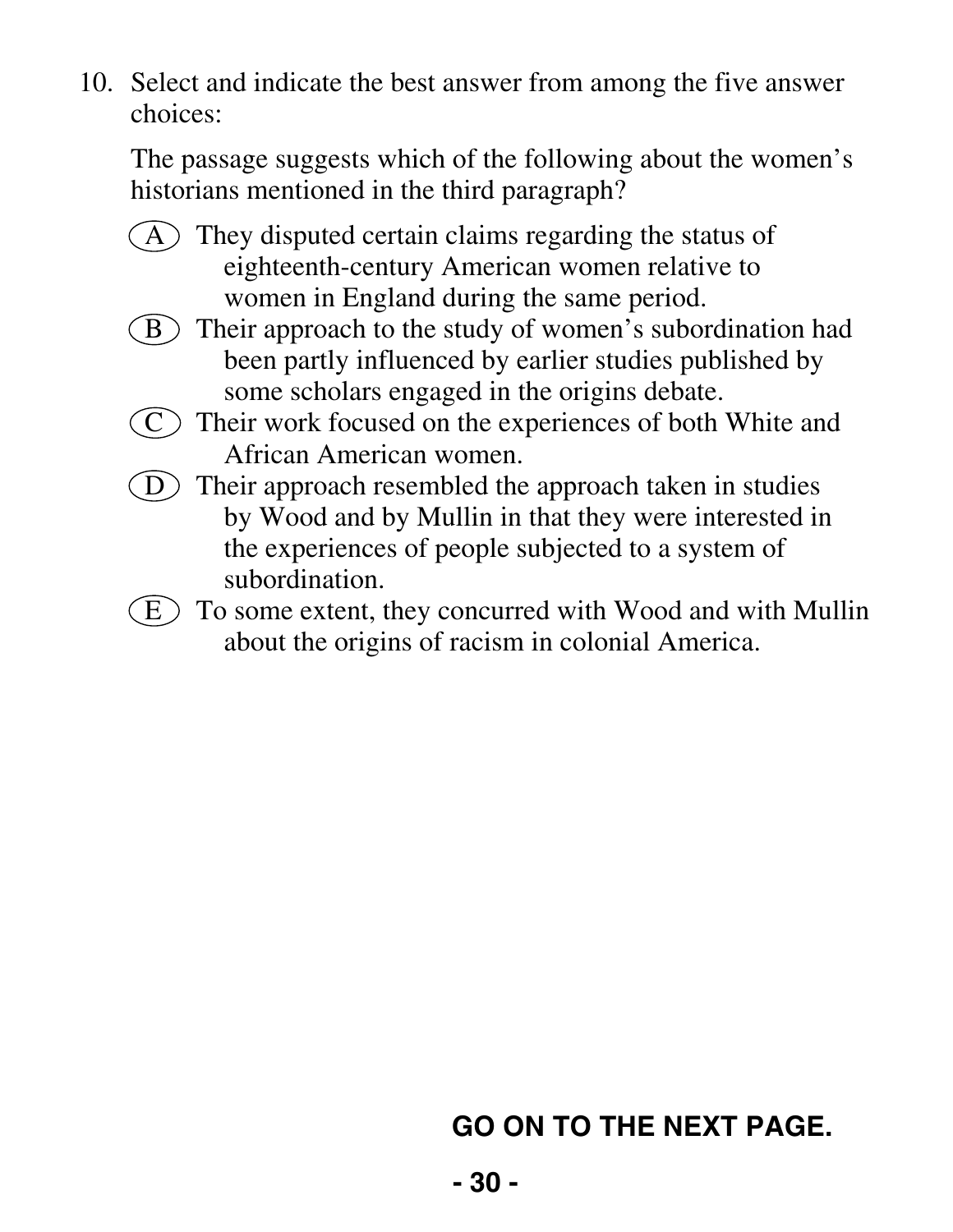The passage suggests which of the following about the women's historians mentioned in the third paragraph?

- $(A)$  They disputed certain claims regarding the status of eighteenth-century American women relative to women in England during the same period.
- $(B)$  Their approach to the study of women's subordination had been partly influenced by earlier studies published by some scholars engaged in the origins debate.
- $\overline{C}$  Their work focused on the experiences of both White and African American women.
- $(D)$  Their approach resembled the approach taken in studies by Wood and by Mullin in that they were interested in the experiences of people subjected to a system of subordination.
- $(E)$  To some extent, they concurred with Wood and with Mullin about the origins of racism in colonial America.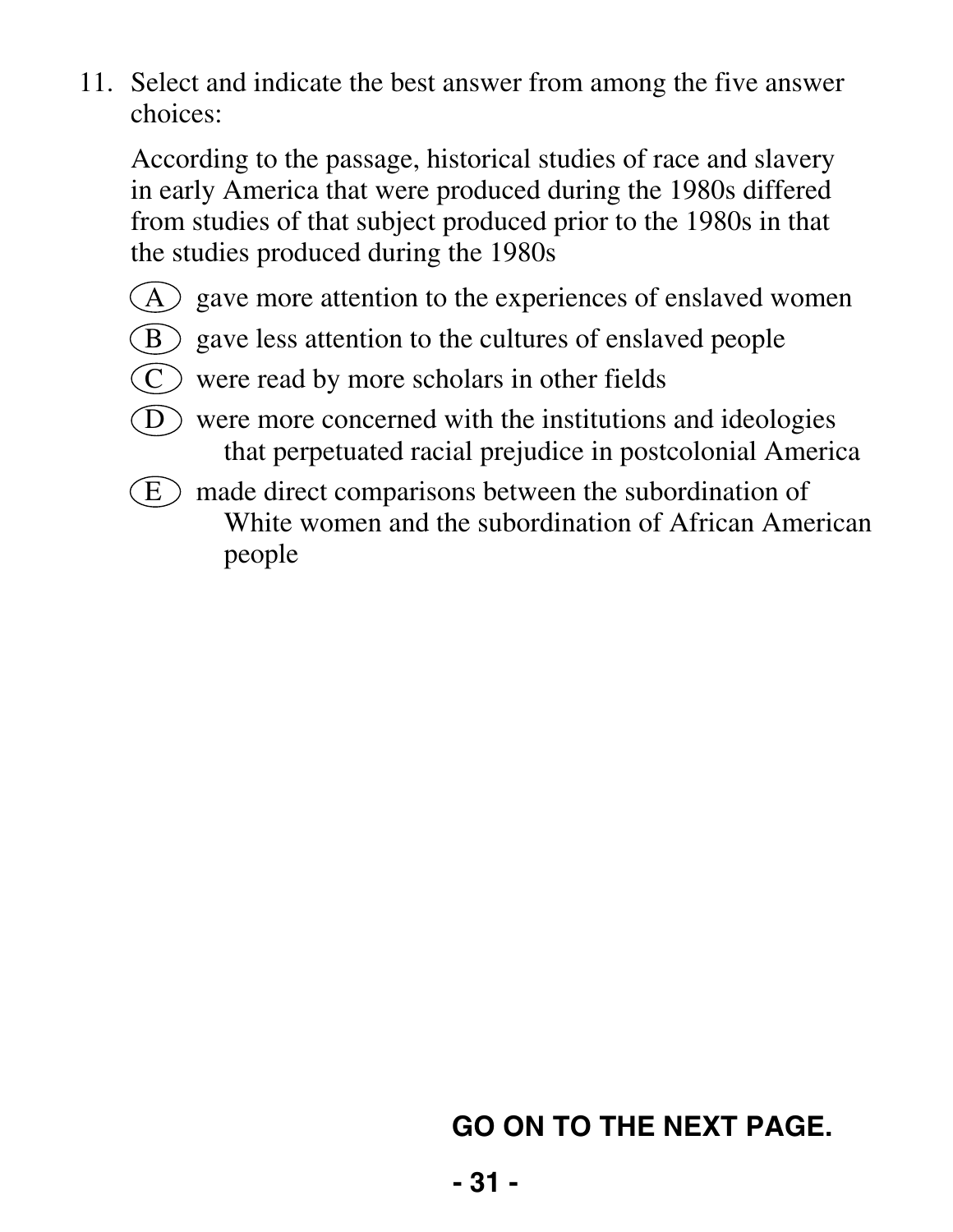According to the passage, historical studies of race and slavery in early America that were produced during the 1980s differed from studies of that subject produced prior to the 1980s in that the studies produced during the 1980s

- $(A)$  gave more attention to the experiences of enslaved women
- $(B)$  gave less attention to the cultures of enslaved people
- $(C)$  were read by more scholars in other fields
- $(D)$  were more concerned with the institutions and ideologies that perpetuated racial prejudice in postcolonial America
- $\left( E\right)$  made direct comparisons between the subordination of White women and the subordination of African American people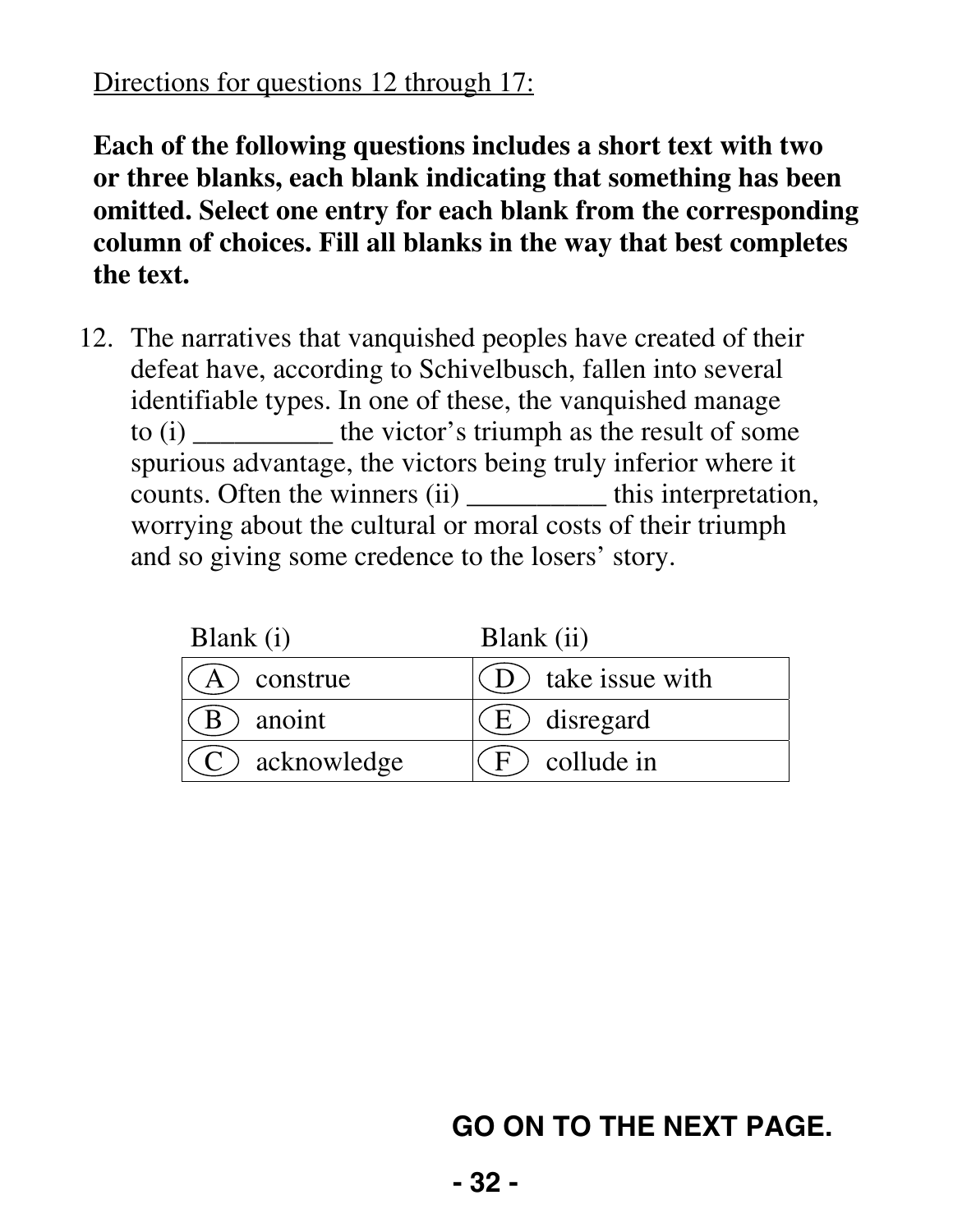#### Directions for questions 12 through 17:

**Each of the following questions includes a short text with two or three blanks, each blank indicating that something has been omitted. Select one entry for each blank from the corresponding column of choices. Fill all blanks in the way that best completes the text.** 

 12. The narratives that vanquished peoples have created of their defeat have, according to Schivelbusch, fallen into several identifiable types. In one of these, the vanquished manage to (i) \_\_\_\_\_\_\_\_\_\_ the victor's triumph as the result of some spurious advantage, the victors being truly inferior where it counts. Often the winners (ii) \_\_\_\_\_\_\_\_\_\_ this interpretation, worrying about the cultural or moral costs of their triumph and so giving some credence to the losers' story.

| Blank (i)         | Blank (ii)            |
|-------------------|-----------------------|
| $(A)$ construe    | $(D)$ take issue with |
| ) anoint          | $(E)$ disregard       |
| $(C)$ acknowledge | $F$ collude in        |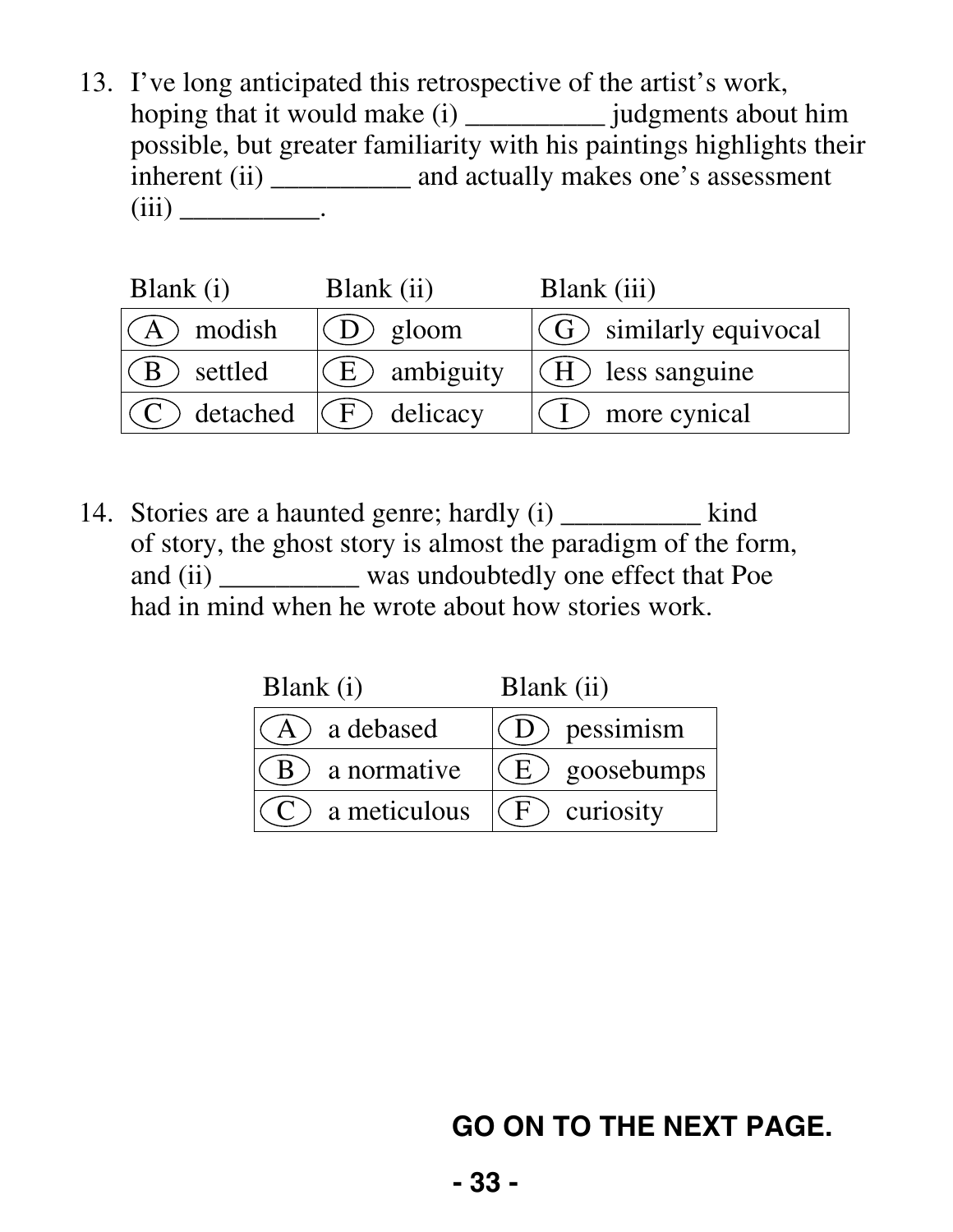13. I've long anticipated this retrospective of the artist's work, hoping that it would make (i) \_\_\_\_\_\_\_\_\_\_\_ judgments about him possible, but greater familiarity with his paintings highlights their inherent (ii) \_\_\_\_\_\_\_\_\_\_\_ and actually makes one's assessment  $(iii)$  \_\_\_\_\_\_\_\_\_\_\_\_\_\_.

| Blank (i)                | Blank (ii)      | Blank (iii)                     |
|--------------------------|-----------------|---------------------------------|
| $\mathcal{A}$ modish     | $(D)$ gloom     | $ G\rangle$ similarly equivocal |
| $\mathcal{A}(B)$ settled | $(E)$ ambiguity | $(H)$ less sanguine             |
| $(C)$ detached           | $(F)$ delicacy  | $(1)$ more cynical              |

14. Stories are a haunted genre; hardly (i) \_\_\_\_\_\_\_\_\_\_\_ kind of story, the ghost story is almost the paradigm of the form, and (ii) \_\_\_\_\_\_\_\_\_\_ was undoubtedly one effect that Poe had in mind when he wrote about how stories work.

| Blank (i)                  | Blank (ii)       |
|----------------------------|------------------|
| A a debased                | $(D)$ pessimism  |
| a normative                | $(E)$ goosebumps |
| $\mathcal{C}$ a meticulous | $(F)$ curiosity  |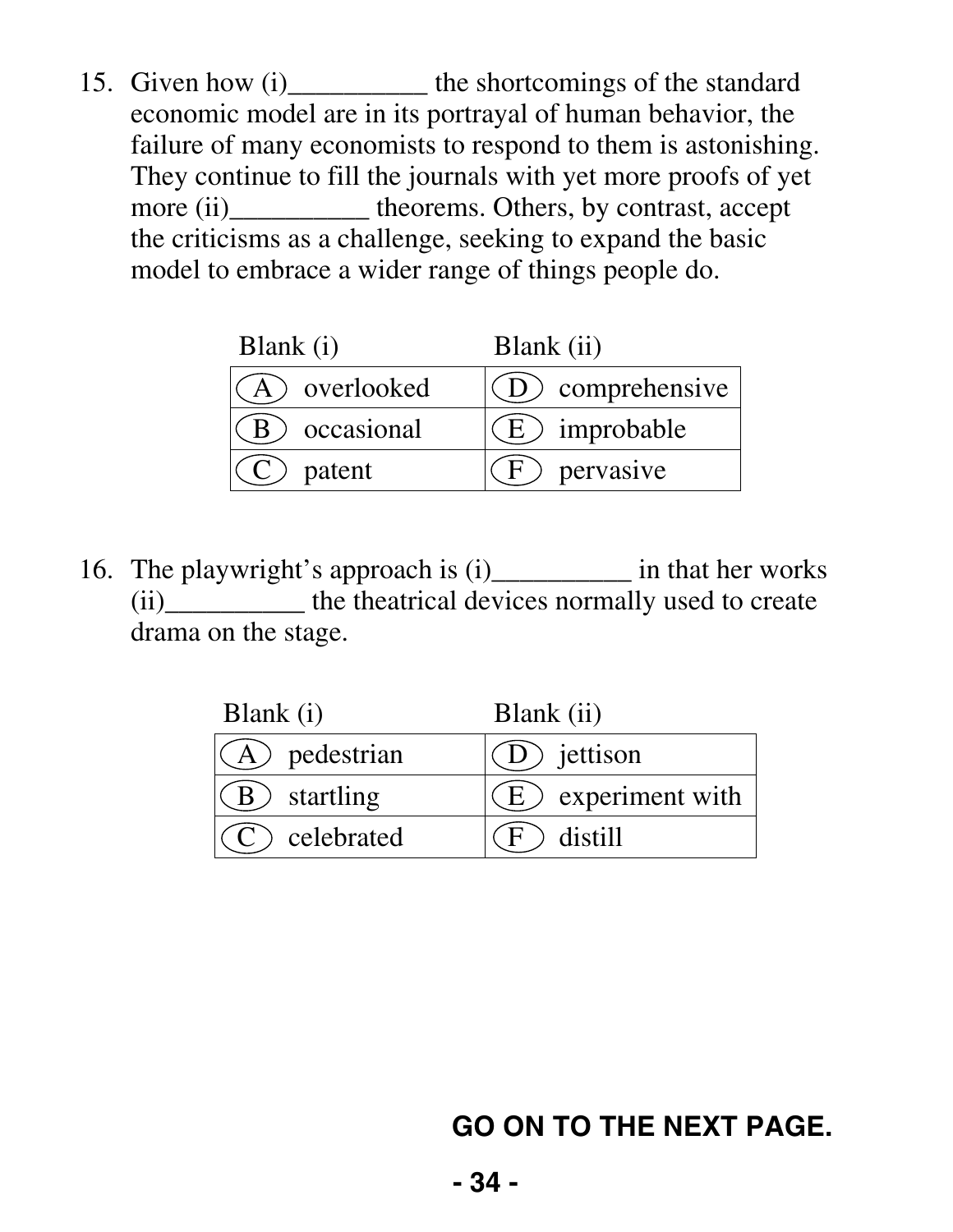15. Given how (i) \_\_\_\_\_\_\_\_\_\_\_\_ the shortcomings of the standard economic model are in its portrayal of human behavior, the failure of many economists to respond to them is astonishing. They continue to fill the journals with yet more proofs of yet more (ii)\_\_\_\_\_\_\_\_\_\_\_\_ theorems. Others, by contrast, accept the criticisms as a challenge, seeking to expand the basic model to embrace a wider range of things people do.

| Blank $(i)$ | Blank (ii)          |
|-------------|---------------------|
| overlooked  | $D$ ) comprehensive |
| occasional  | (E) improbable      |
| patent      | pervasive           |

 16. The playwright's approach is (i)\_\_\_\_\_\_\_\_\_\_ in that her works (ii)\_\_\_\_\_\_\_\_\_\_ the theatrical devices normally used to create drama on the stage.

| Blank (i)        | Blank (ii)            |  |  |  |
|------------------|-----------------------|--|--|--|
| A) pedestrian    | (D) jettison          |  |  |  |
| (B) startling    | $(E)$ experiment with |  |  |  |
| $(C)$ celebrated | distill               |  |  |  |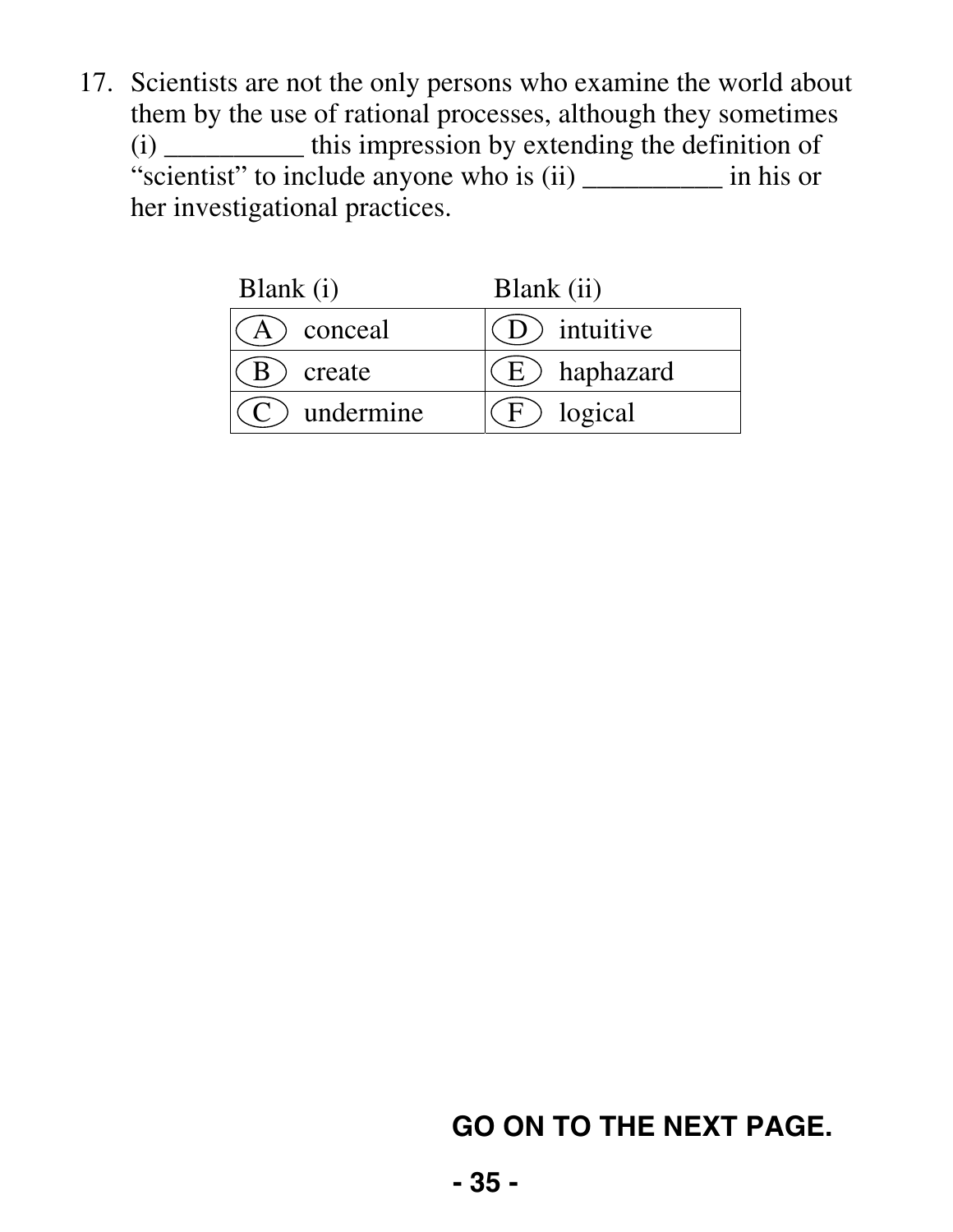17. Scientists are not the only persons who examine the world about them by the use of rational processes, although they sometimes (i) \_\_\_\_\_\_\_\_\_\_ this impression by extending the definition of "scientist" to include anyone who is (ii) \_\_\_\_\_\_\_\_\_\_\_\_\_\_ in his or her investigational practices.

| Blank (i)       | Blank (ii)      |
|-----------------|-----------------|
| conceal         | (D) intuitive   |
| $\big)$ create  | $(E)$ haphazard |
| $(C)$ undermine | $F$ ) logical   |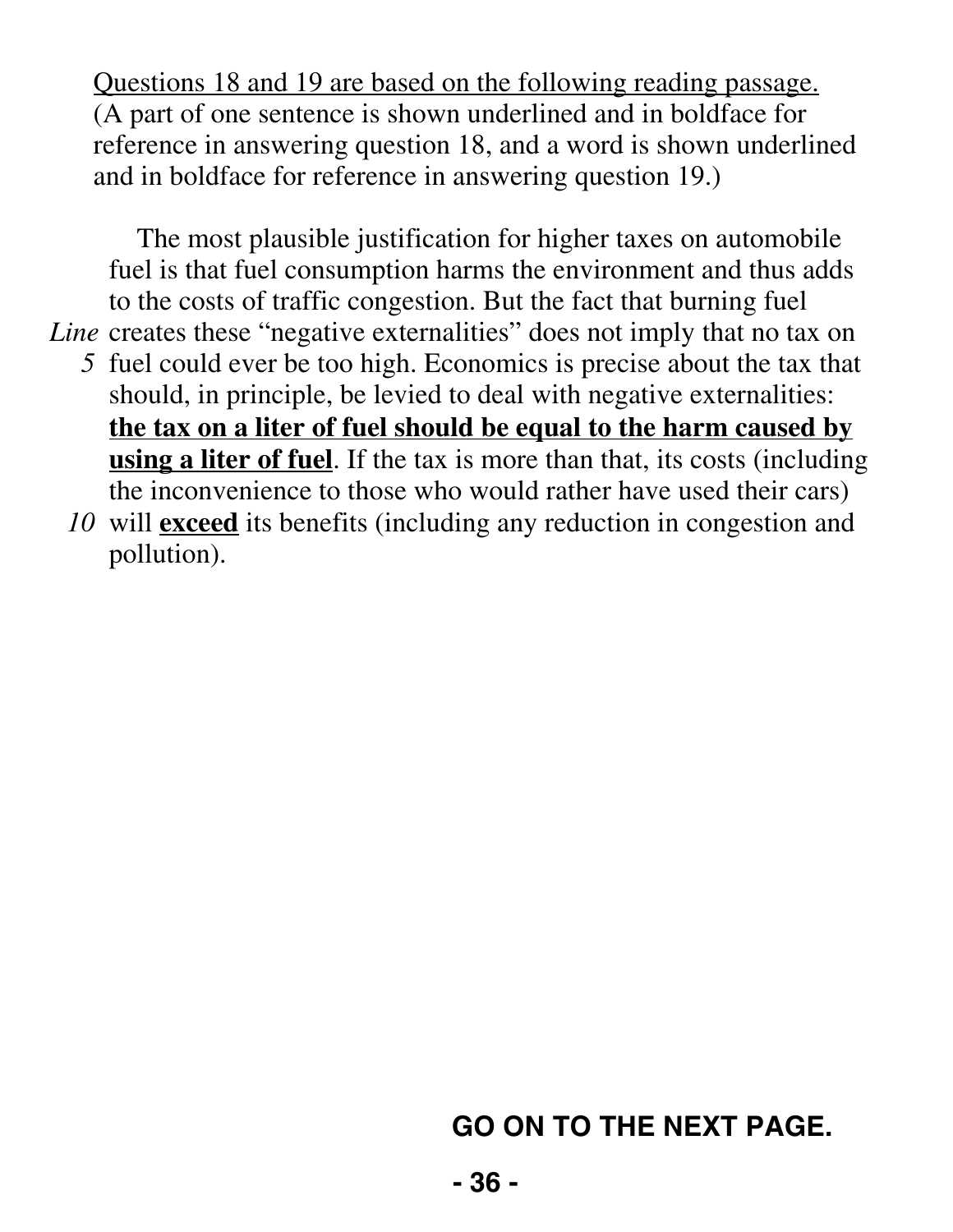Questions 18 and 19 are based on the following reading passage. (A part of one sentence is shown underlined and in boldface for reference in answering question 18, and a word is shown underlined and in boldface for reference in answering question 19.)

The most plausible justification for higher taxes on automobile fuel is that fuel consumption harms the environment and thus adds to the costs of traffic congestion. But the fact that burning fuel

Line creates these "negative externalities" does not imply that no tax on

- *5* fuel could ever be too high. Economics is precise about the tax that should, in principle, be levied to deal with negative externalities: **the tax on a liter of fuel should be equal to the harm caused by using a liter of fuel**. If the tax is more than that, its costs (including the inconvenience to those who would rather have used their cars)
- *10* will **exceed** its benefits (including any reduction in congestion and pollution).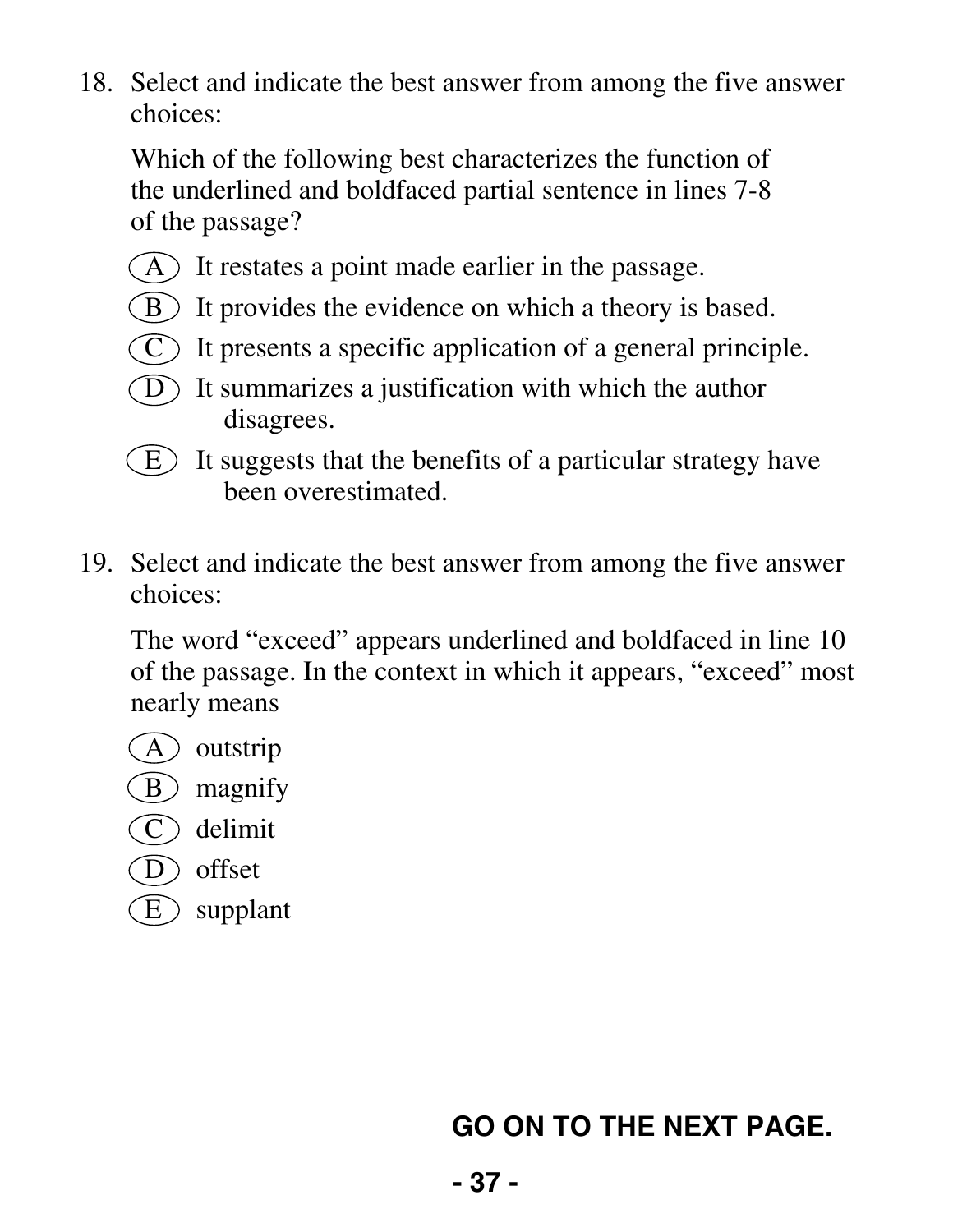Which of the following best characterizes the function of the underlined and boldfaced partial sentence in lines 7-8 of the passage?

- $(A)$  It restates a point made earlier in the passage.
- $(B)$  It provides the evidence on which a theory is based.
- $(C)$  It presents a specific application of a general principle.
- $(D)$  It summarizes a justification with which the author disagrees.
- $\epsilon$  It suggests that the benefits of a particular strategy have been overestimated.
- 19. Select and indicate the best answer from among the five answer choices:

 The word "exceed" appears underlined and boldfaced in line 10 of the passage. In the context in which it appears, "exceed" most nearly means

- (A) outstrip
- $(B)$  magnify
- $\hat{C}$  delimit
- D offset
- $(E)$  supplant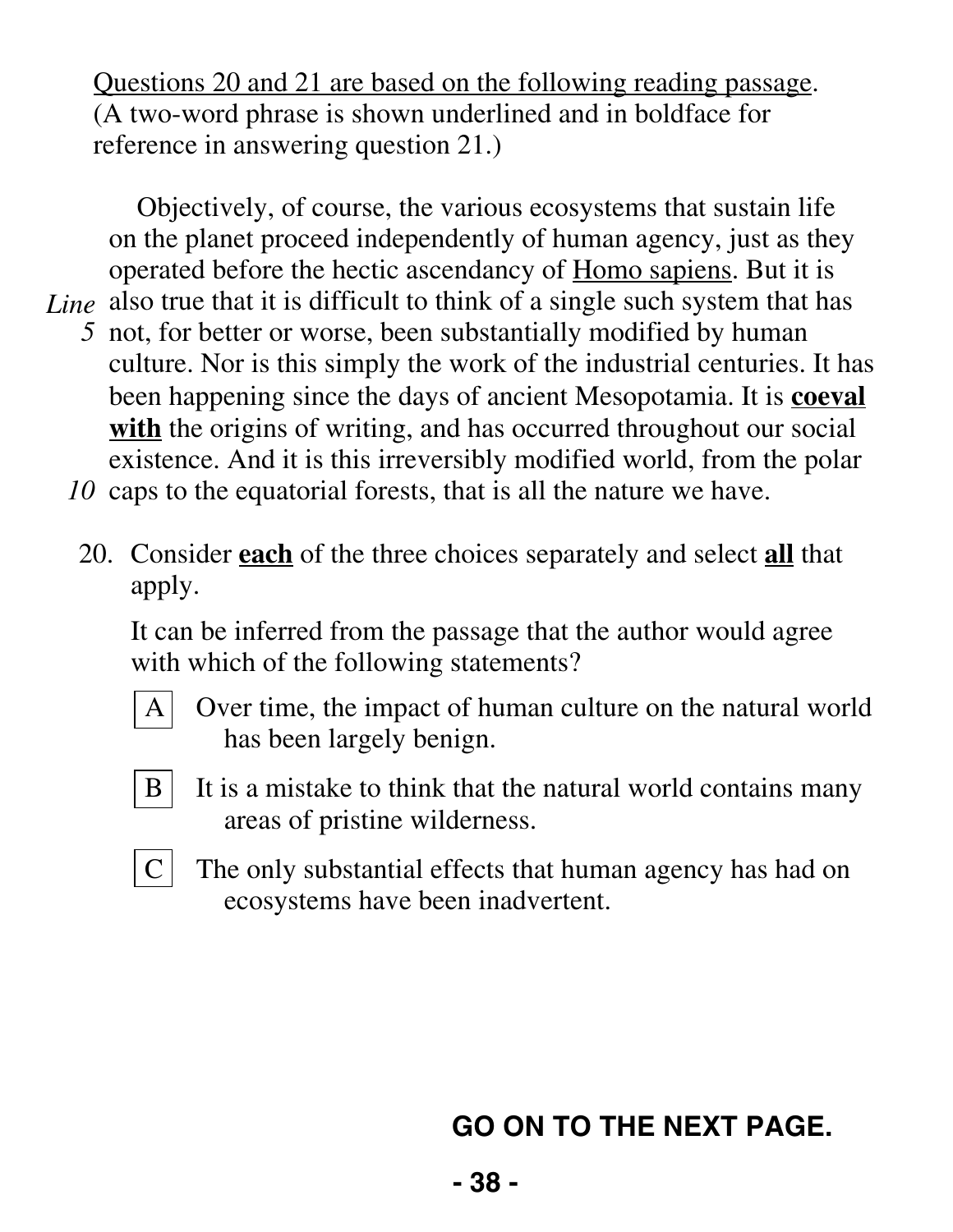Questions 20 and 21 are based on the following reading passage. (A two-word phrase is shown underlined and in boldface for reference in answering question 21.)

Objectively, of course, the various ecosystems that sustain life on the planet proceed independently of human agency, just as they operated before the hectic ascendancy of Homo sapiens. But it is Line also true that it is difficult to think of a single such system that has

- *5* not, for better or worse, been substantially modified by human culture. Nor is this simply the work of the industrial centuries. It has been happening since the days of ancient Mesopotamia. It is **coeval with** the origins of writing, and has occurred throughout our social existence. And it is this irreversibly modified world, from the polar
- *10* caps to the equatorial forests, that is all the nature we have.
	- 20. Consider **each** of the three choices separately and select **all** that apply.

 It can be inferred from the passage that the author would agree with which of the following statements?



A Over time, the impact of human culture on the natural world has been largely benign.



 $B \mid$  It is a mistake to think that the natural world contains many areas of pristine wilderness.



 $C$  The only substantial effects that human agency has had on ecosystems have been inadvertent.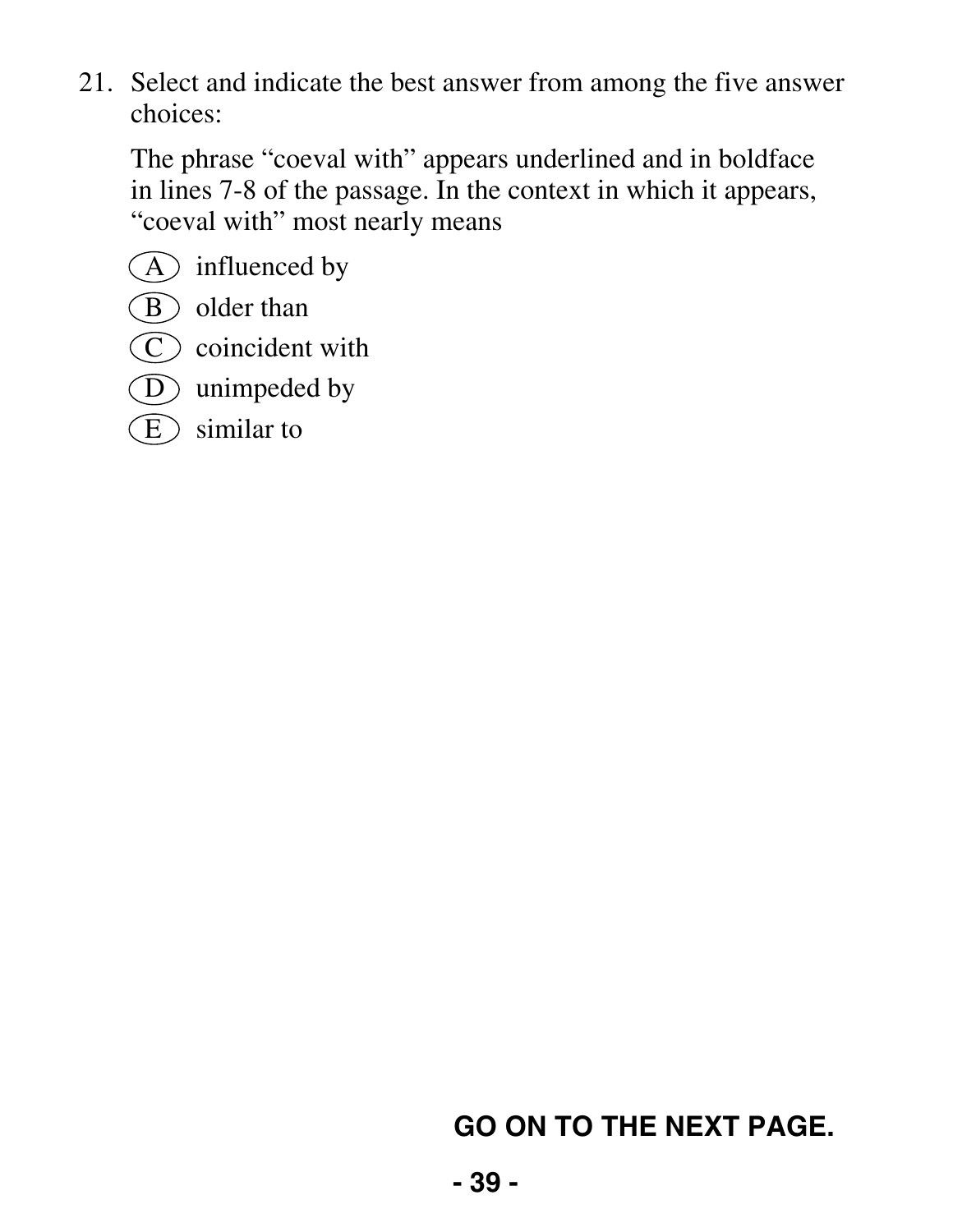The phrase "coeval with" appears underlined and in boldface in lines 7-8 of the passage. In the context in which it appears, "coeval with" most nearly means

- $(A)$  influenced by
- B older than
- $\left(\widehat{C}\right)$  coincident with
- $\overline{D}$  unimpeded by
- $\mathcal{E}$  similar to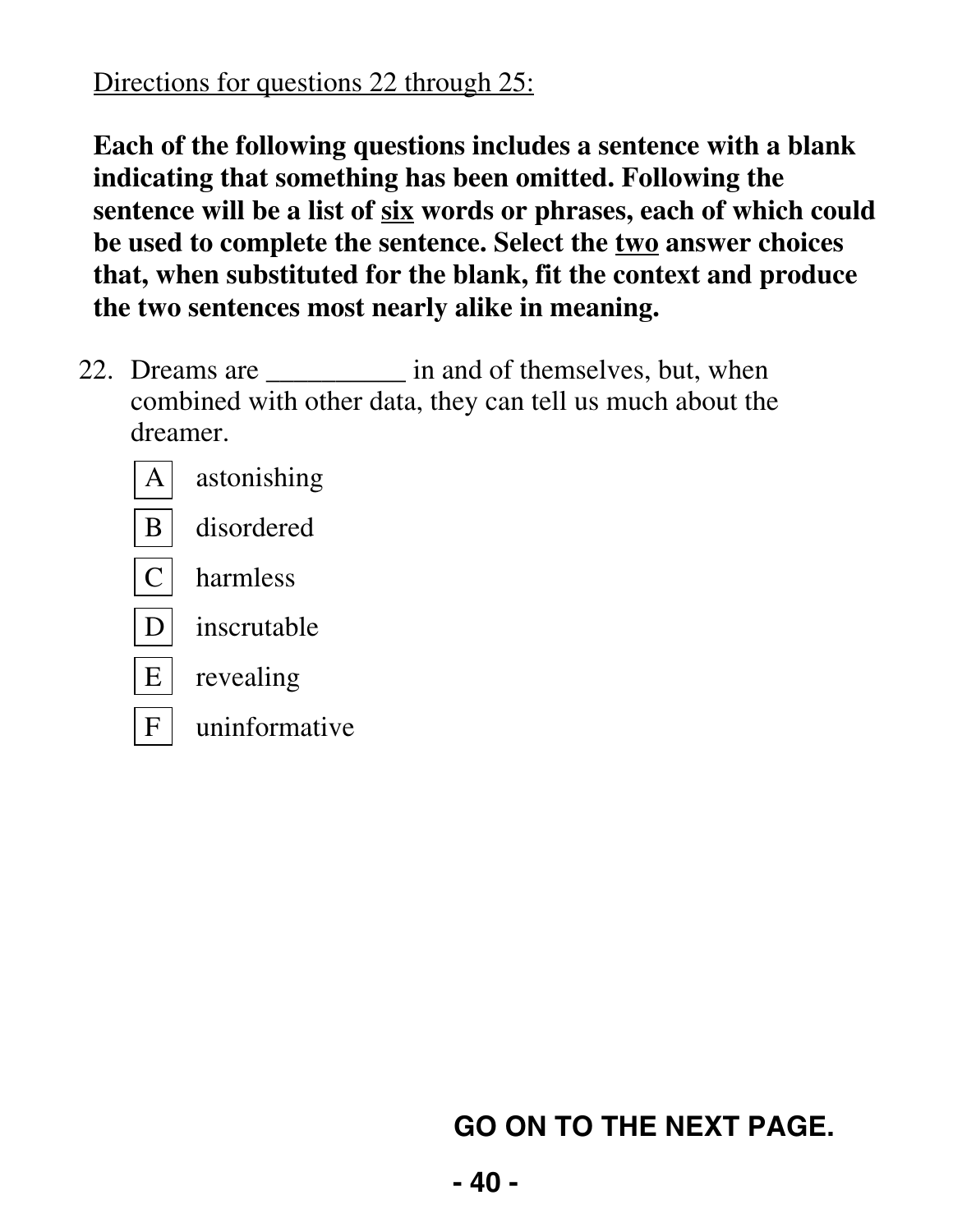#### Directions for questions 22 through 25:

**Each of the following questions includes a sentence with a blank indicating that something has been omitted. Following the sentence will be a list of six words or phrases, each of which could be used to complete the sentence. Select the two answer choices that, when substituted for the blank, fit the context and produce the two sentences most nearly alike in meaning.** 

22. Dreams are \_\_\_\_\_\_\_\_\_\_ in and of themselves, but, when combined with other data, they can tell us much about the dreamer.



 $F$  uninformative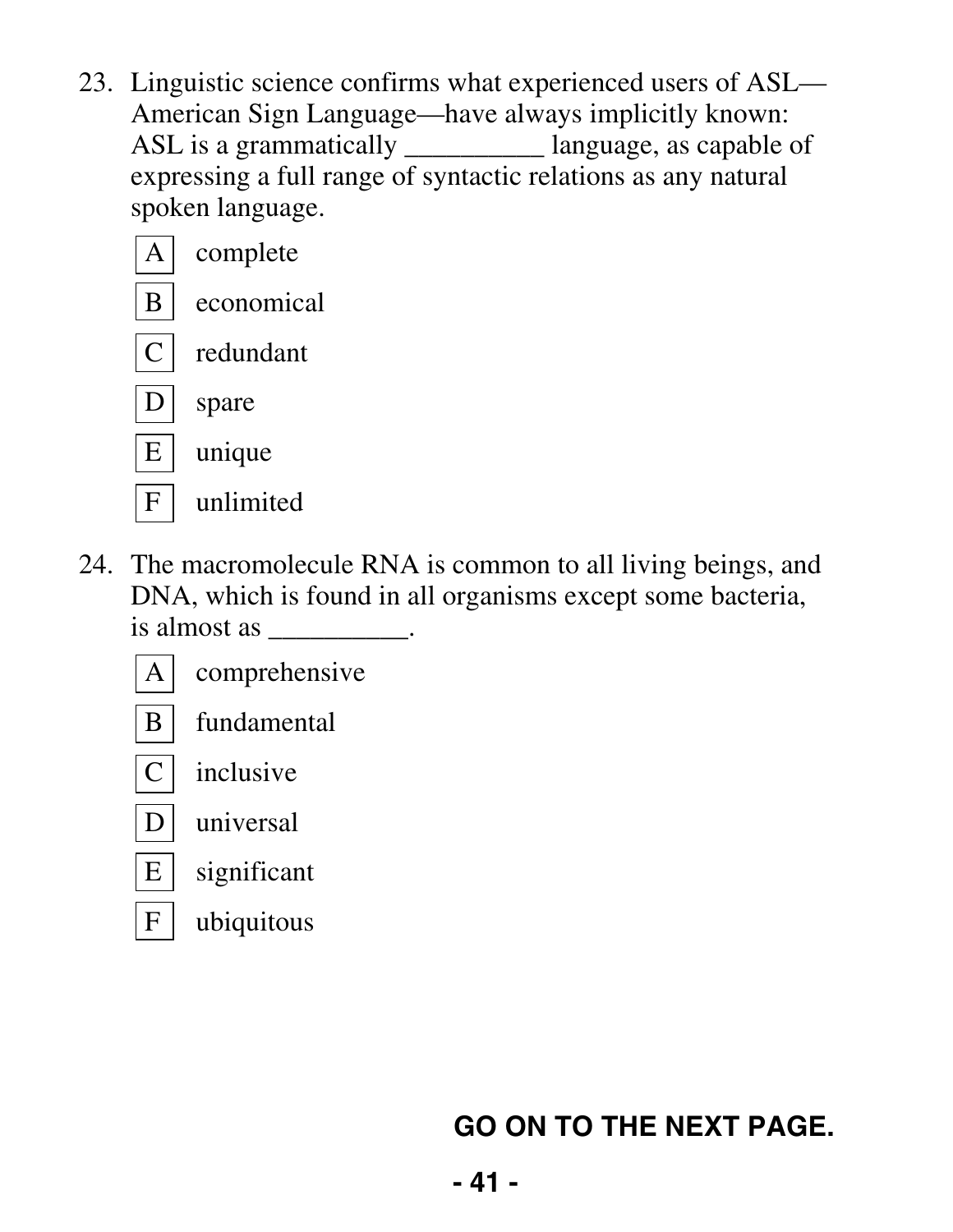23. Linguistic science confirms what experienced users of ASL— American Sign Language—have always implicitly known: ASL is a grammatically \_\_\_\_\_\_\_\_\_\_ language, as capable of expressing a full range of syntactic relations as any natural spoken language.

|   | complete   |
|---|------------|
|   | economical |
|   | redundant  |
|   | spare      |
| E | unique     |
|   | unlimited  |

 24. The macromolecule RNA is common to all living beings, and DNA, which is found in all organisms except some bacteria, is almost as  $\qquad \qquad$ 

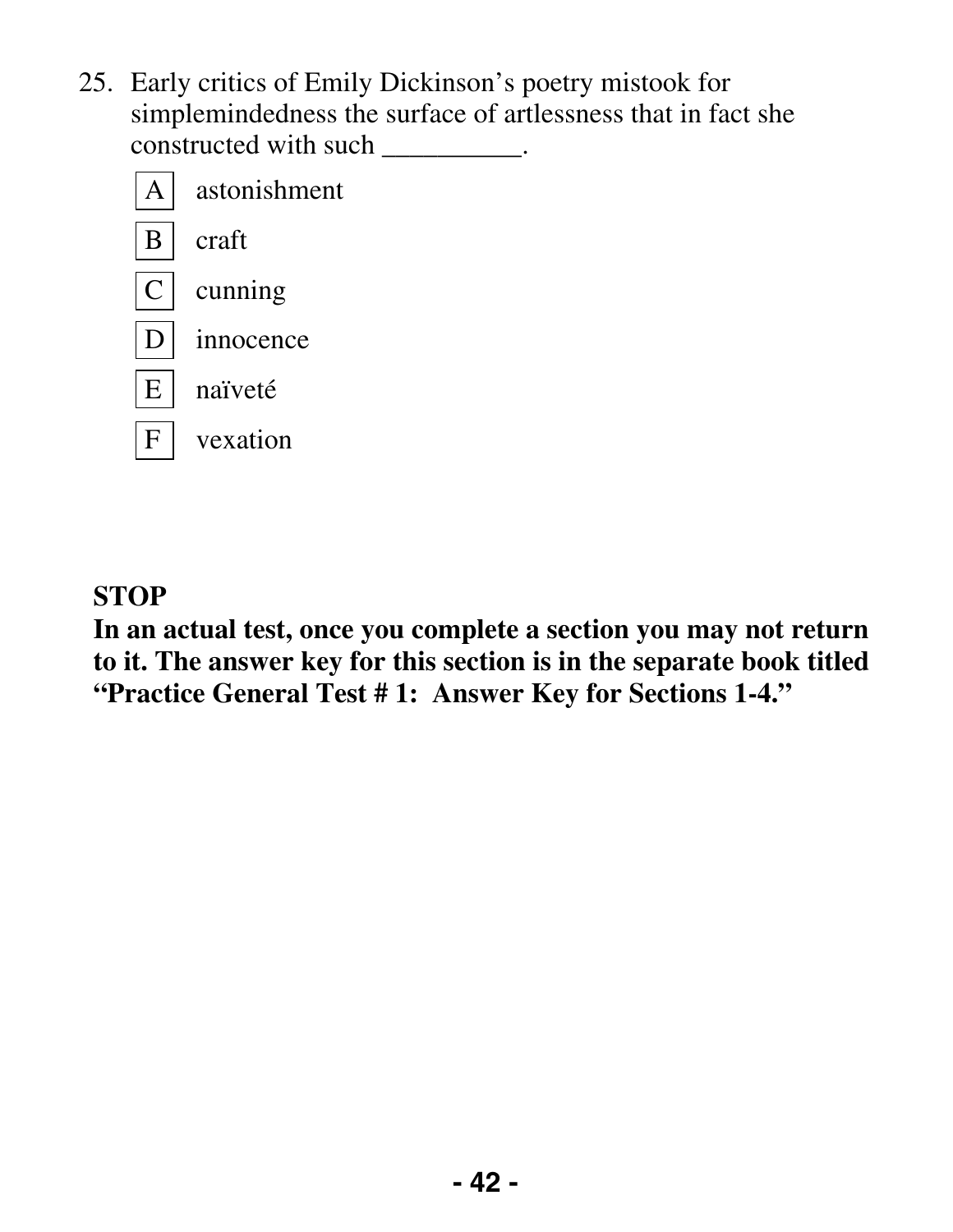25. Early critics of Emily Dickinson's poetry mistook for simplemindedness the surface of artlessness that in fact she constructed with such \_\_\_\_\_\_\_\_\_.



#### **STOP**

**In an actual test, once you complete a section you may not return to it. The answer key for this section is in the separate book titled "Practice General Test # 1: Answer Key for Sections 1-4."**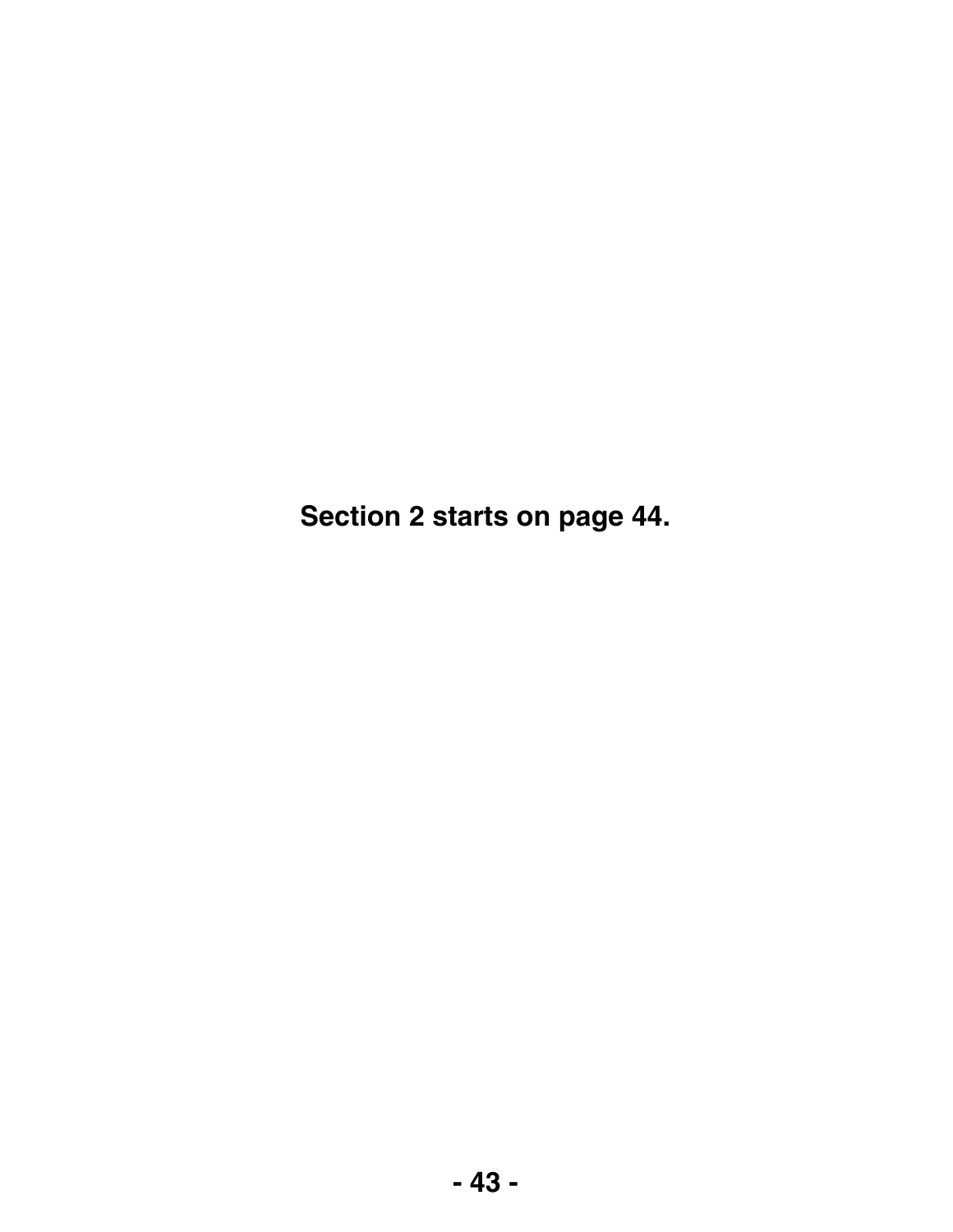**Section 2 starts on page 44.**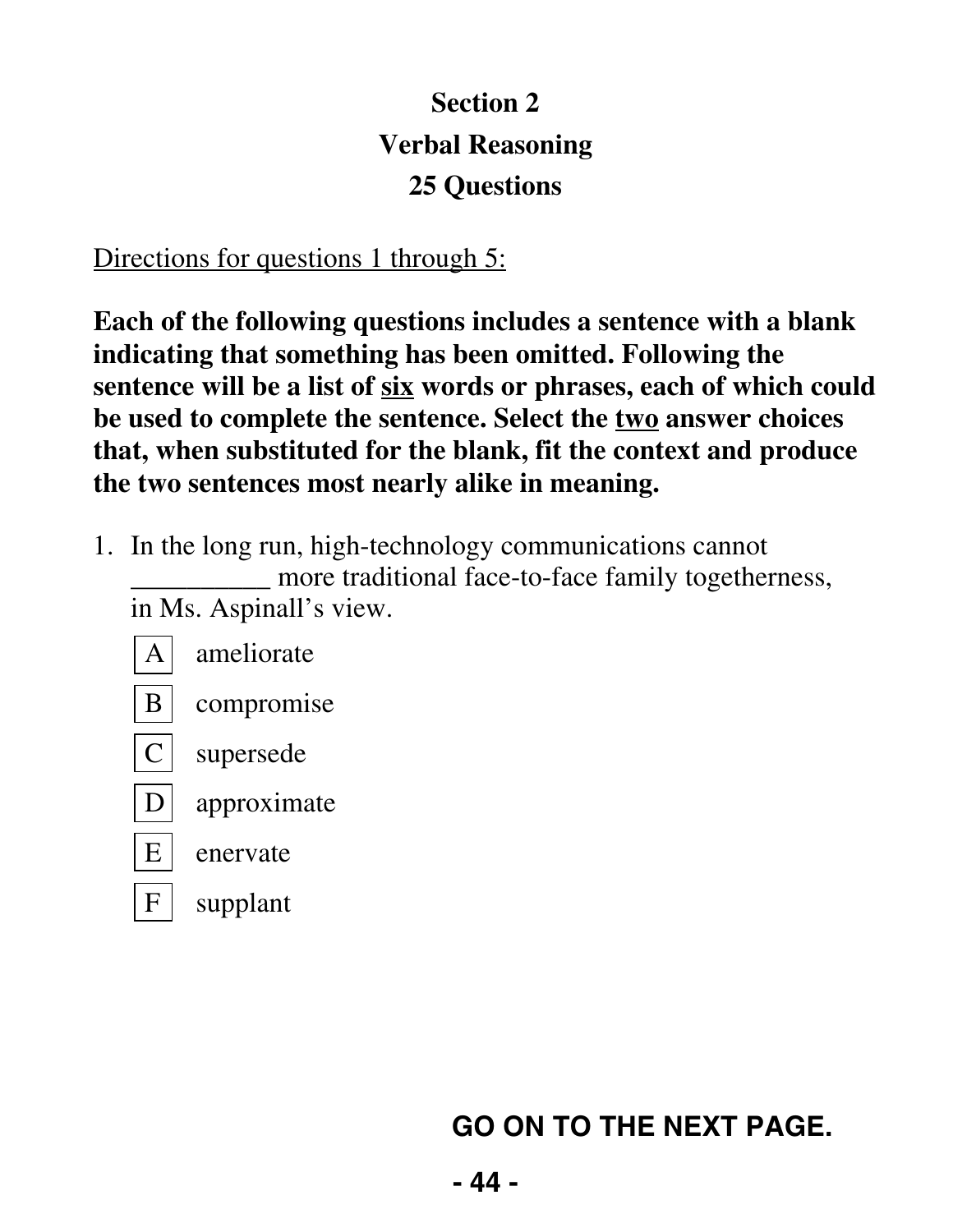## **Section 2 Verbal Reasoning 25 Questions**

#### Directions for questions 1 through 5:

**Each of the following questions includes a sentence with a blank indicating that something has been omitted. Following the sentence will be a list of six words or phrases, each of which could be used to complete the sentence. Select the two answer choices that, when substituted for the blank, fit the context and produce the two sentences most nearly alike in meaning.** 

- 1. In the long run, high-technology communications cannot \_\_\_\_\_\_\_\_\_\_ more traditional face-to-face family togetherness, in Ms. Aspinall's view.
	- A ameliorate B compromise  $C$  supersede  $D$  approximate  $E$  enervate
	- $F$  supplant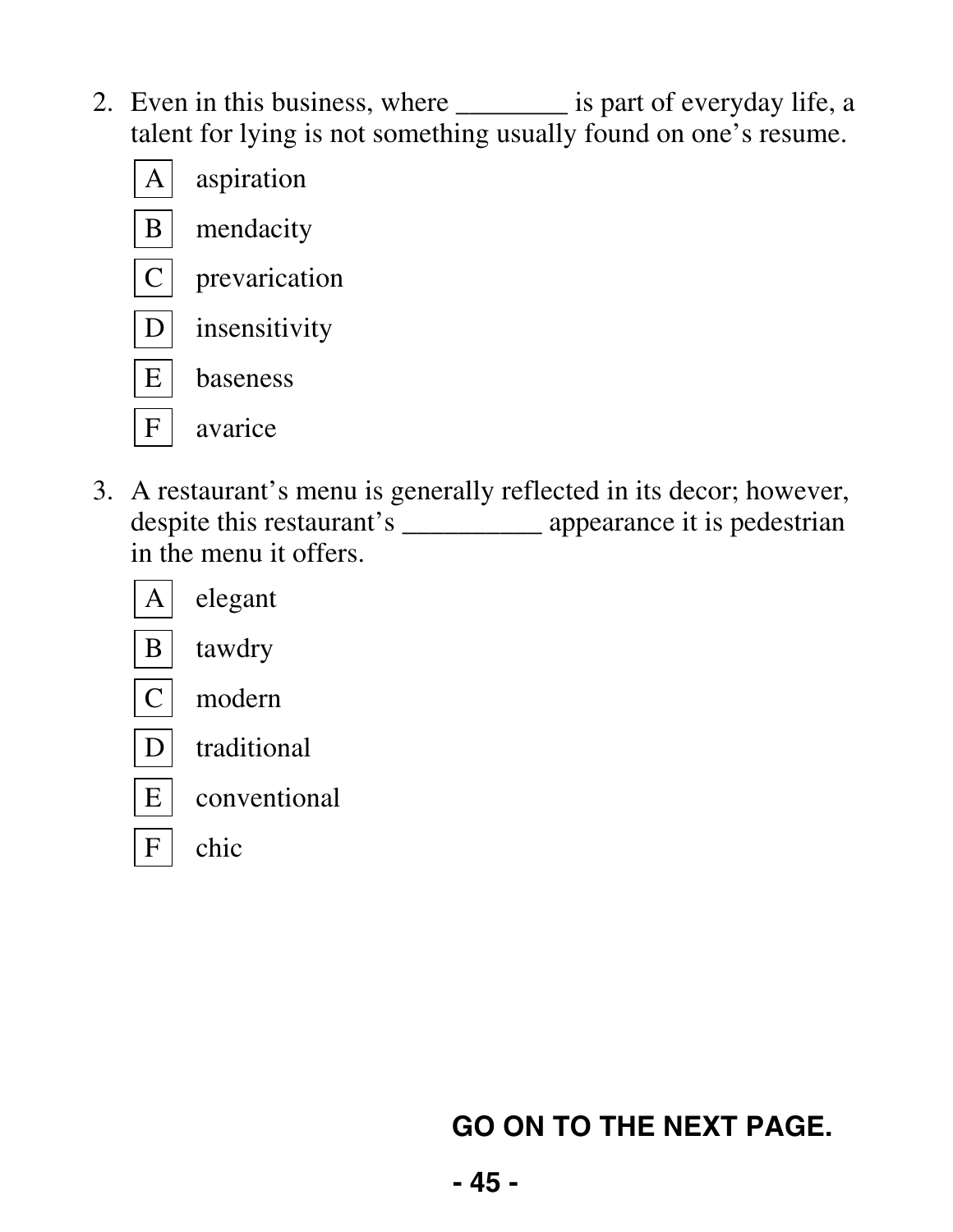2. Even in this business, where \_\_\_\_\_\_\_\_ is part of everyday life, a talent for lying is not something usually found on one's resume.



 3. A restaurant's menu is generally reflected in its decor; however, despite this restaurant's \_\_\_\_\_\_\_\_\_\_\_\_ appearance it is pedestrian in the menu it offers.



 $E$  conventional

 $F |$  chic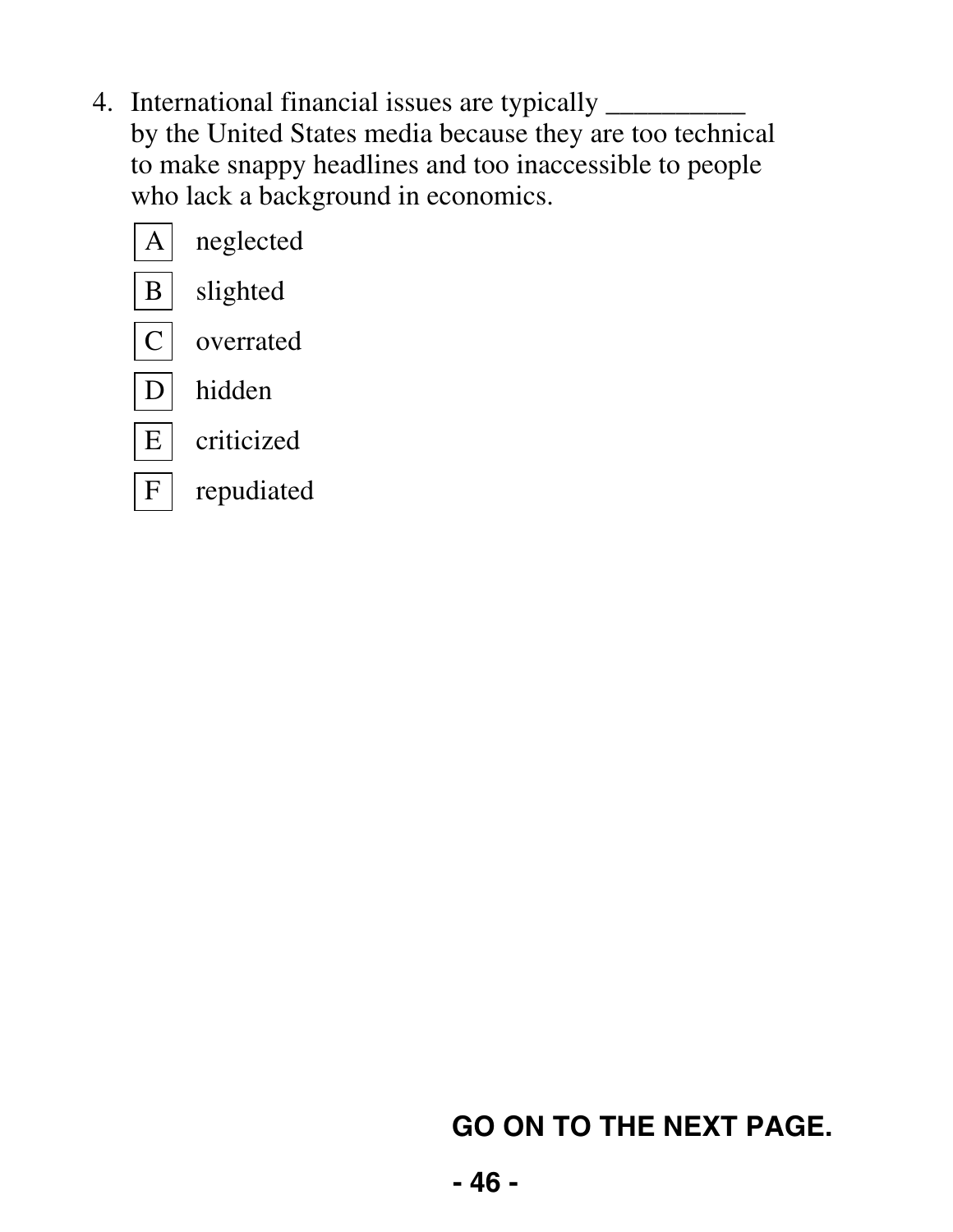4. International financial issues are typically \_\_\_\_\_\_\_\_\_\_ by the United States media because they are too technical to make snappy headlines and too inaccessible to people who lack a background in economics.

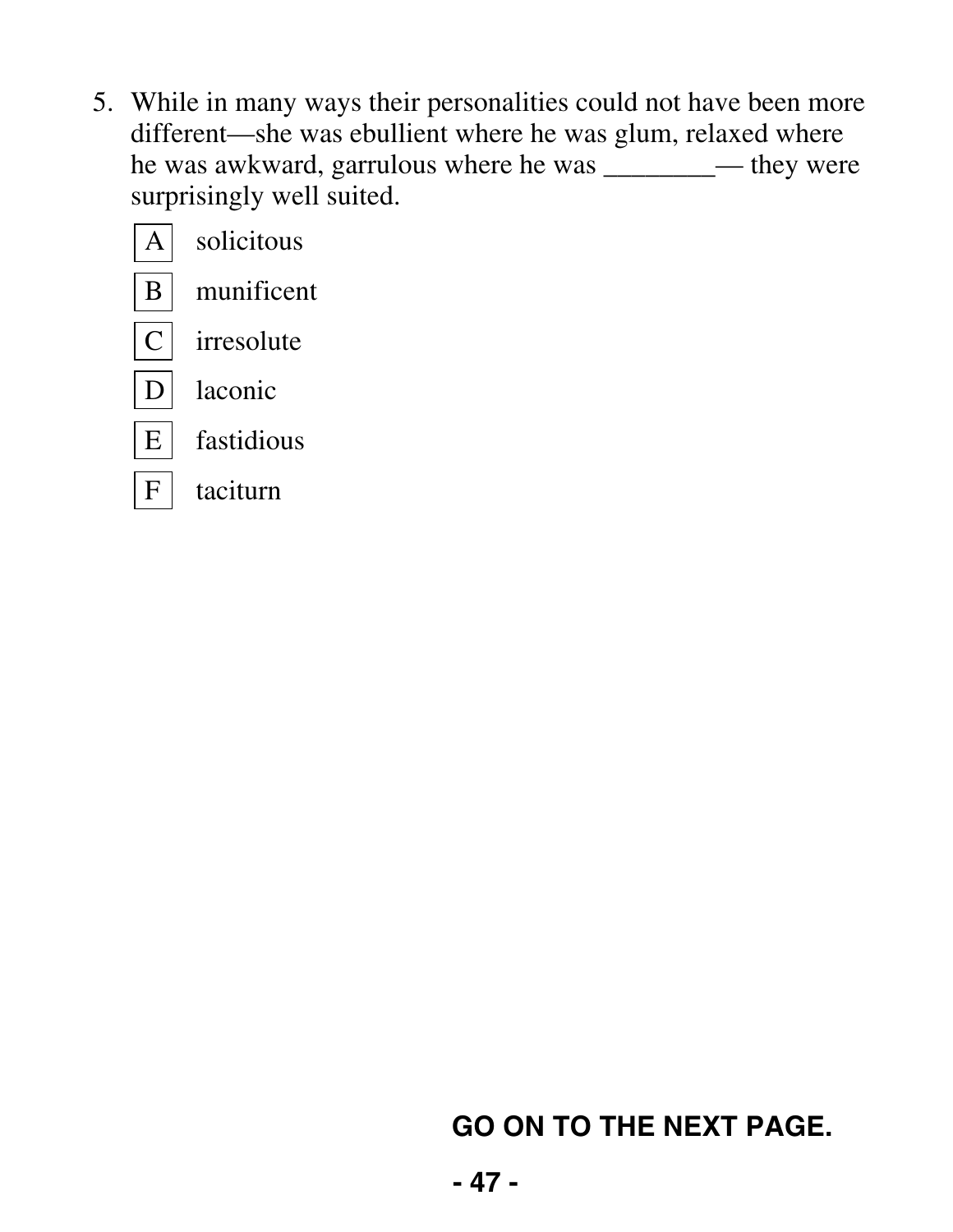5. While in many ways their personalities could not have been more different—she was ebullient where he was glum, relaxed where he was awkward, garrulous where he was \_\_\_\_\_\_\_\_ they were surprisingly well suited.

|                 | solicitous |
|-----------------|------------|
| B               | munificent |
| Ċ               | irresolute |
|                 | laconic    |
| $E_{\parallel}$ | fastidious |
| F               | taciturn   |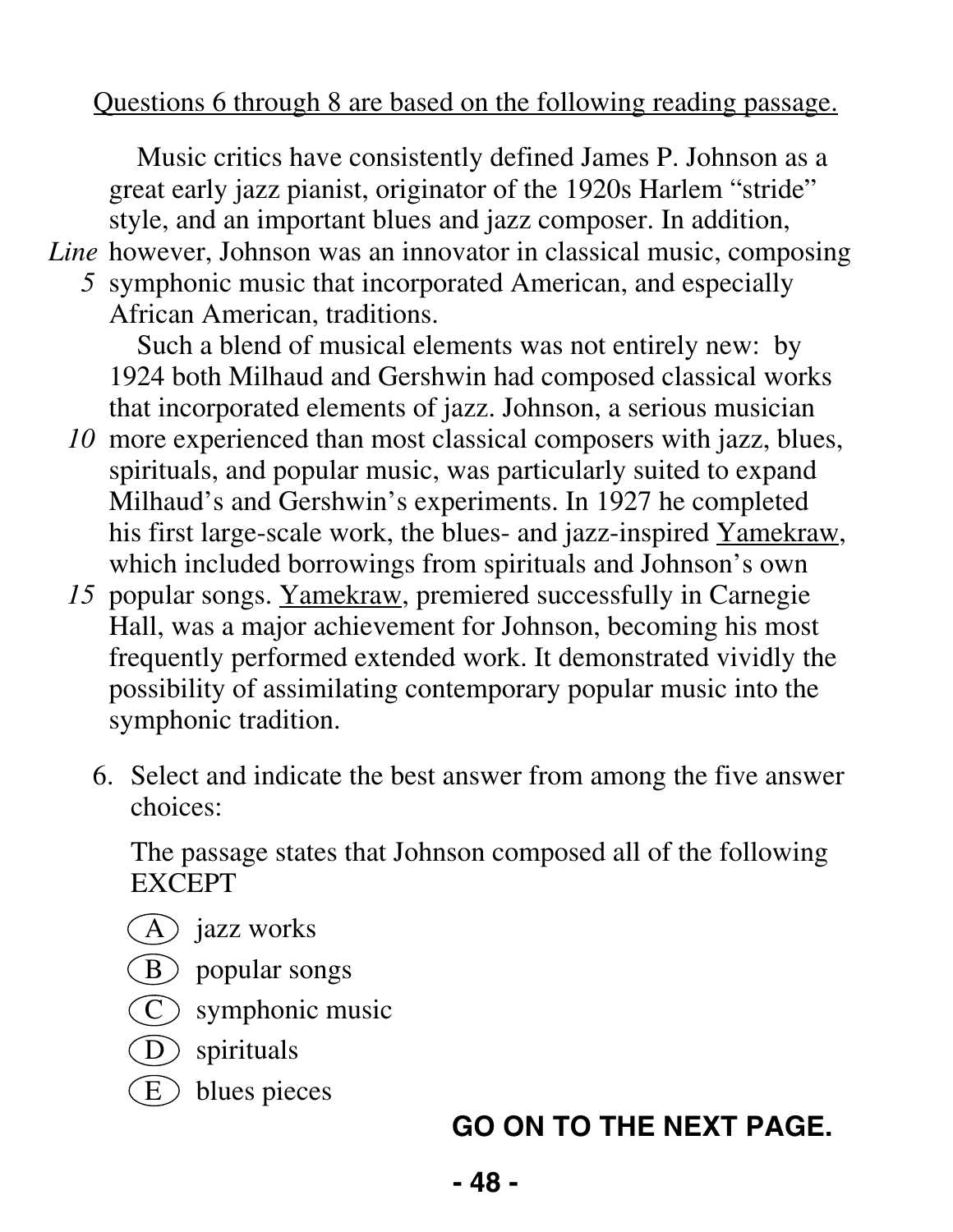#### Questions 6 through 8 are based on the following reading passage.

Music critics have consistently defined James P. Johnson as a great early jazz pianist, originator of the 1920s Harlem "stride" style, and an important blues and jazz composer. In addition, Line however, Johnson was an innovator in classical music, composing

*5* symphonic music that incorporated American, and especially African American, traditions.

Such a blend of musical elements was not entirely new: by 1924 both Milhaud and Gershwin had composed classical works that incorporated elements of jazz. Johnson, a serious musician

- *10* more experienced than most classical composers with jazz, blues, spirituals, and popular music, was particularly suited to expand Milhaud's and Gershwin's experiments. In 1927 he completed his first large-scale work, the blues- and jazz-inspired Yamekraw, which included borrowings from spirituals and Johnson's own
- *15* popular songs. Yamekraw, premiered successfully in Carnegie Hall, was a major achievement for Johnson, becoming his most frequently performed extended work. It demonstrated vividly the possibility of assimilating contemporary popular music into the symphonic tradition.
	- 6. Select and indicate the best answer from among the five answer choices:

 The passage states that Johnson composed all of the following EXCEPT

- $(A)$  jazz works
- $(B)$  popular songs
- $\widehat{C}$  symphonic music
- D spirituals
- $\binom{E}{k}$  blues pieces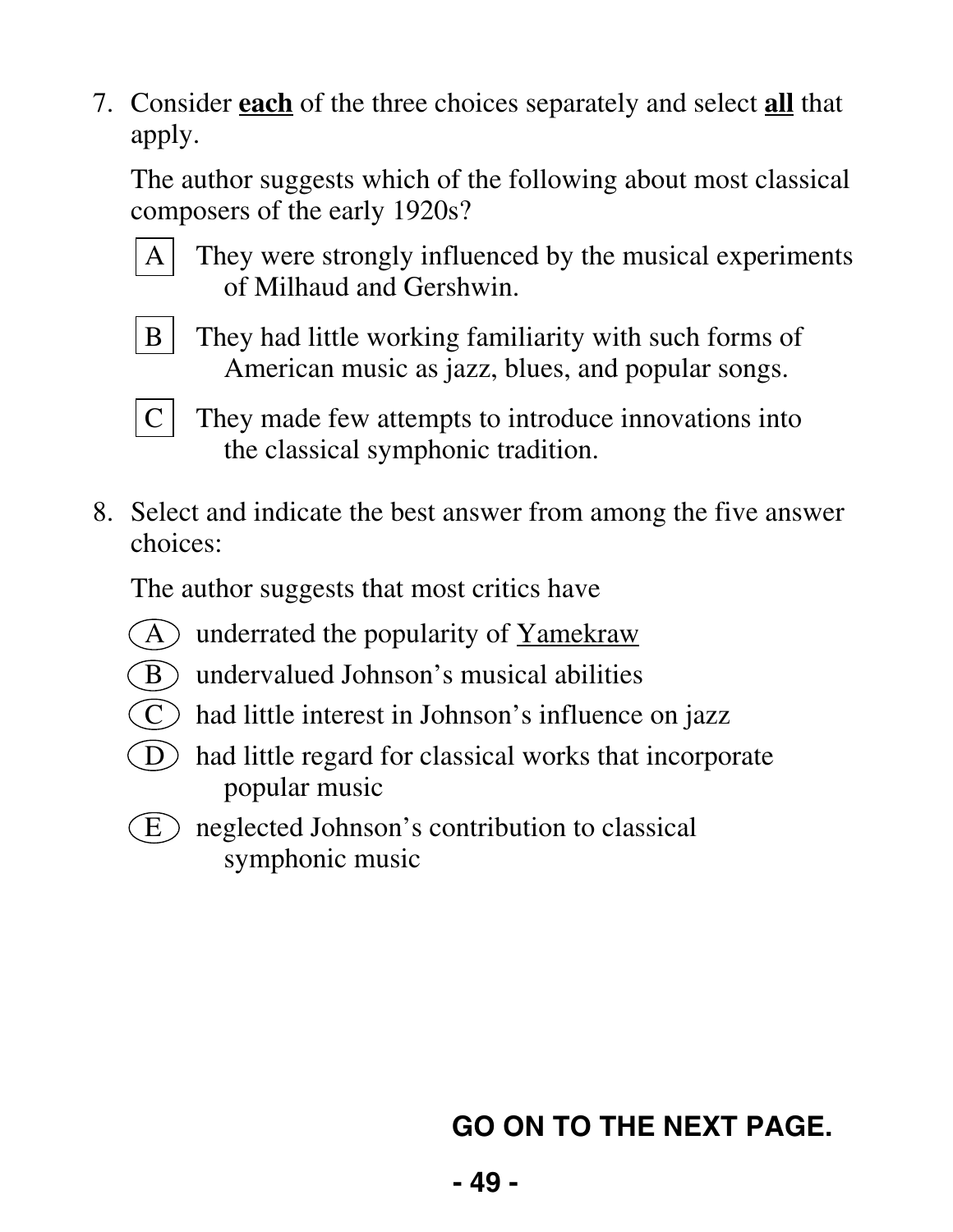7. Consider **each** of the three choices separately and select **all** that apply.

 The author suggests which of the following about most classical composers of the early 1920s?

- 
- A They were strongly influenced by the musical experiments of Milhaud and Gershwin.



B | They had little working familiarity with such forms of American music as jazz, blues, and popular songs.



- $C$  They made few attempts to introduce innovations into the classical symphonic tradition.
- 8. Select and indicate the best answer from among the five answer choices:

The author suggests that most critics have

- $(A)$  underrated the popularity of Yamekraw
- $\hat{B}$  undervalued Johnson's musical abilities
- $(C)$  had little interest in Johnson's influence on jazz
- $(D)$  had little regard for classical works that incorporate popular music
- $\binom{E}{k}$  neglected Johnson's contribution to classical symphonic music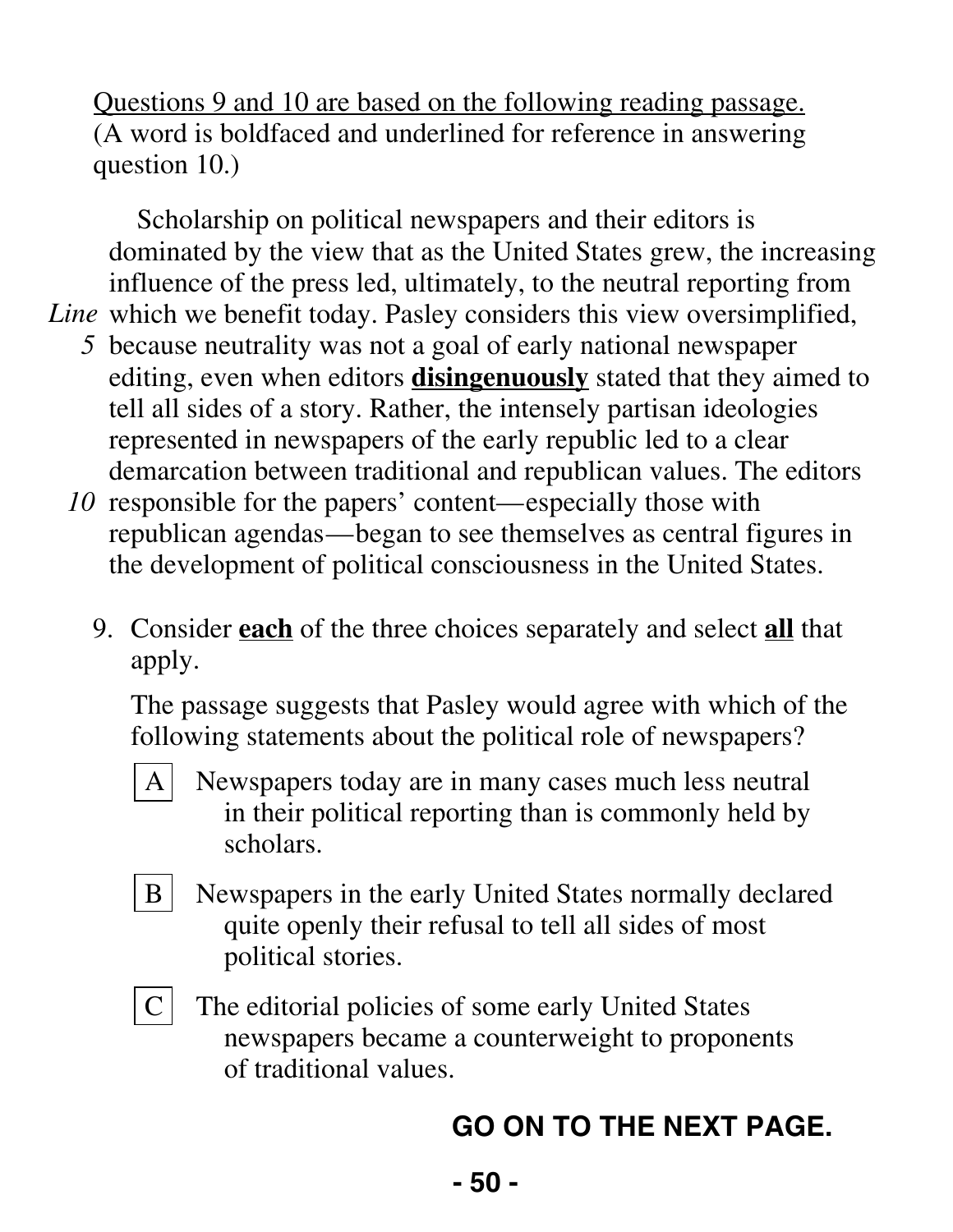Questions 9 and 10 are based on the following reading passage. (A word is boldfaced and underlined for reference in answering question 10.)

Scholarship on political newspapers and their editors is dominated by the view that as the United States grew, the increasing influence of the press led, ultimately, to the neutral reporting from Line which we benefit today. Pasley considers this view oversimplified,

- *5* because neutrality was not a goal of early national newspaper editing, even when editors **disingenuously** stated that they aimed to tell all sides of a story. Rather, the intensely partisan ideologies represented in newspapers of the early republic led to a clear demarcation between traditional and republican values. The editors
- *10* responsible for the papers' content—especially those with republican agendas—began to see themselves as central figures in the development of political consciousness in the United States.
	- 9. Consider **each** of the three choices separately and select **all** that apply.

 The passage suggests that Pasley would agree with which of the following statements about the political role of newspapers?

- A Newspapers today are in many cases much less neutral in their political reporting than is commonly held by scholars.
- 
- B | Newspapers in the early United States normally declared quite openly their refusal to tell all sides of most political stories.
- 
- $C$  The editorial policies of some early United States newspapers became a counterweight to proponents of traditional values.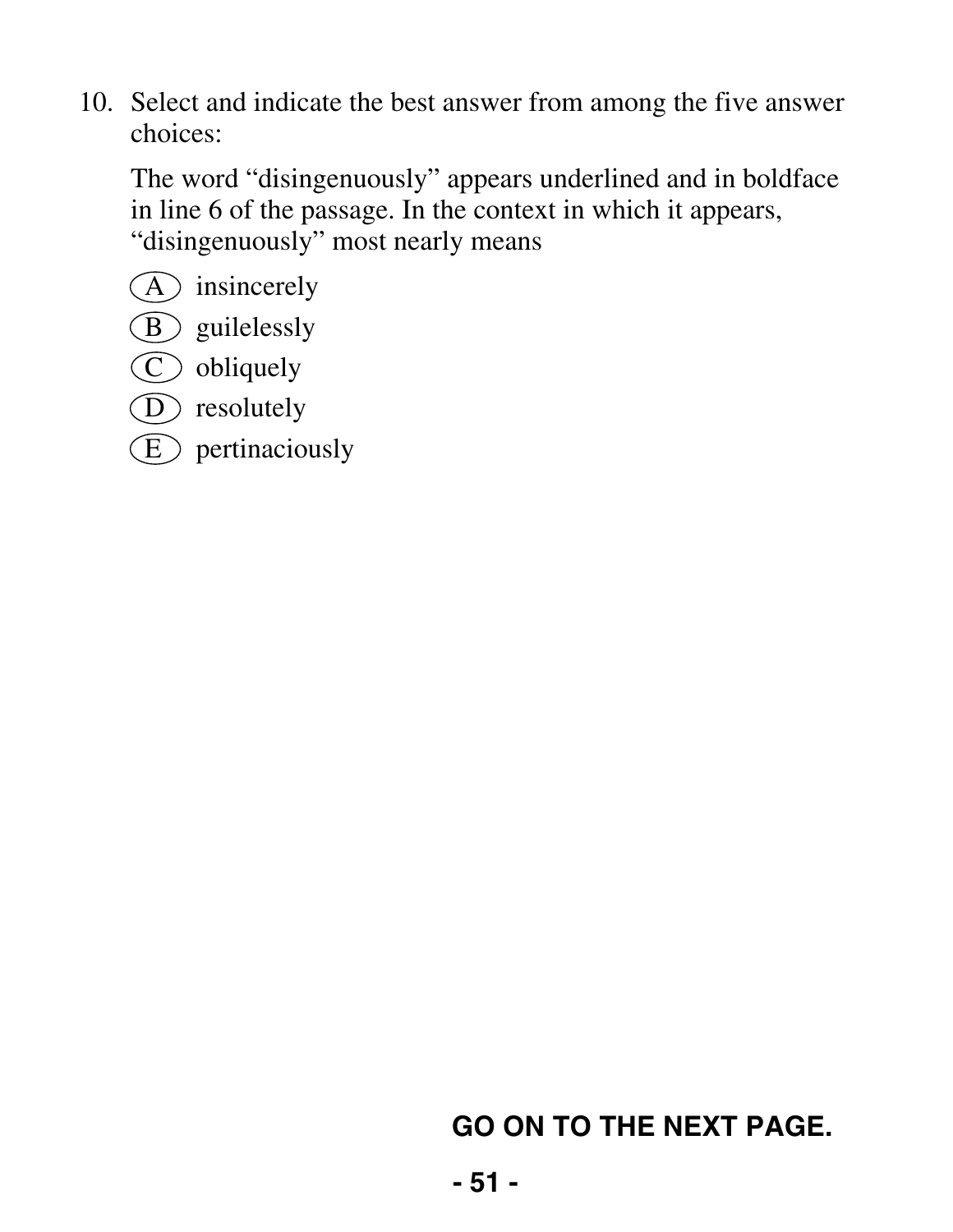The word "disingenuously" appears underlined and in boldface in line 6 of the passage. In the context in which it appears, "disingenuously" most nearly means

- $\left(\overline{A}\right)$  insincerely
- (B) guilelessly
- C obliquely
- D resolutely
- $\circled{E}$  pertinaciously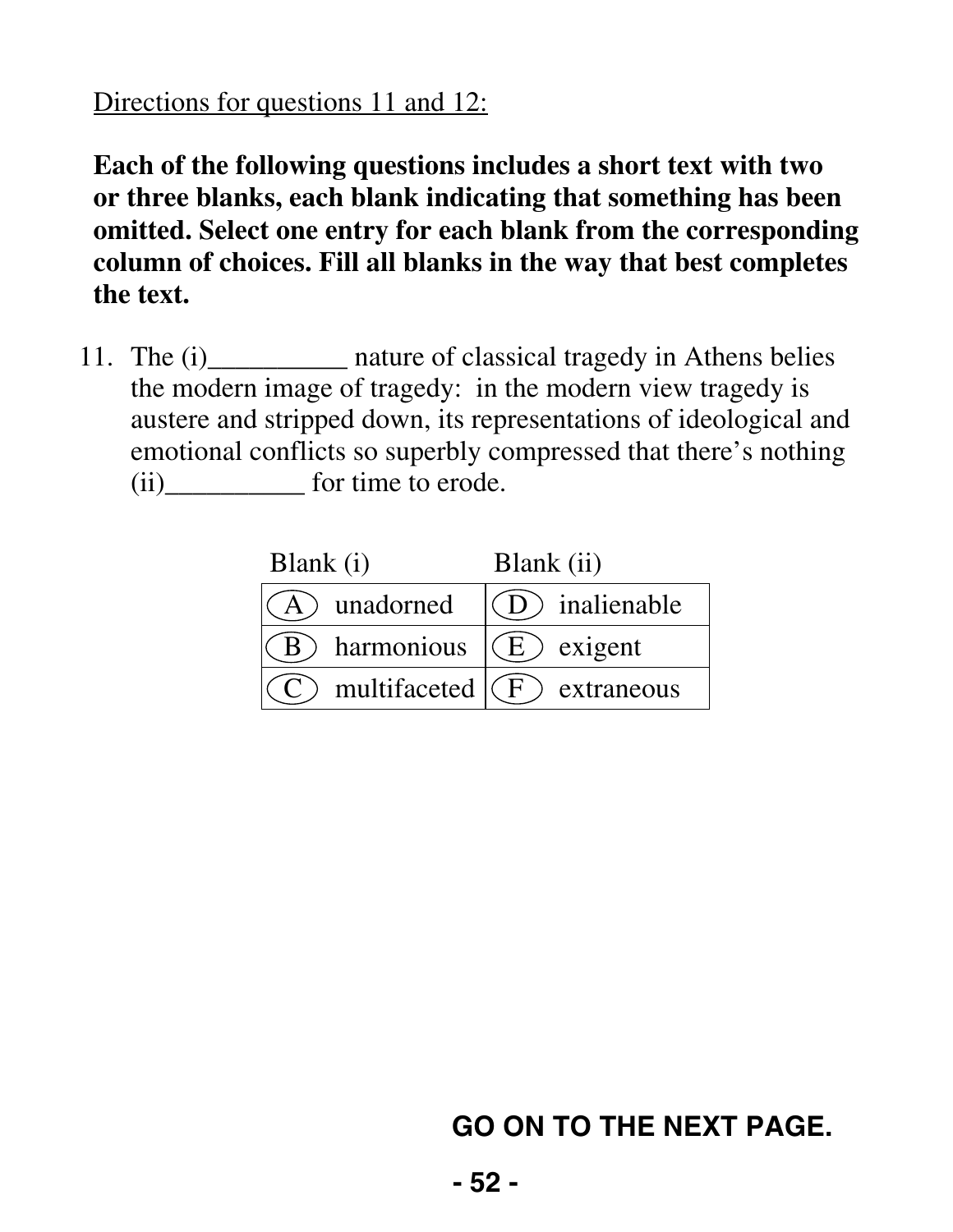#### Directions for questions 11 and 12:

**Each of the following questions includes a short text with two or three blanks, each blank indicating that something has been omitted. Select one entry for each blank from the corresponding column of choices. Fill all blanks in the way that best completes the text.** 

11. The (i) \_\_\_\_\_\_\_\_\_ nature of classical tragedy in Athens belies the modern image of tragedy: in the modern view tragedy is austere and stripped down, its representations of ideological and emotional conflicts so superbly compressed that there's nothing (ii)\_\_\_\_\_\_\_\_\_\_ for time to erode.

| Blank (i)                       | Blank (ii)                          |
|---------------------------------|-------------------------------------|
| A) unadorned                    | (D) inalienable                     |
|                                 | harmonious $\mathcal{E}(E)$ exigent |
| C multifaceted $(F)$ extraneous |                                     |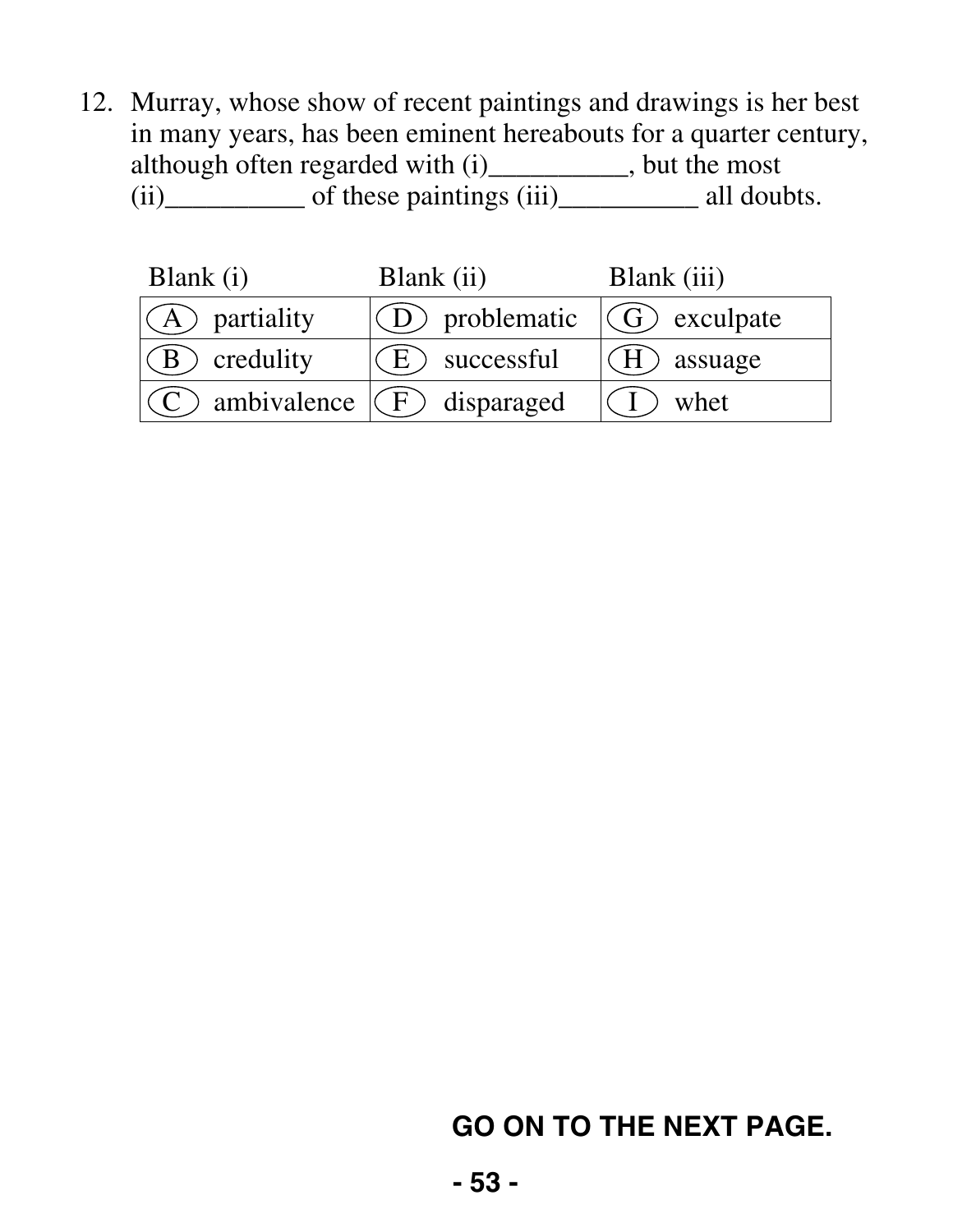12. Murray, whose show of recent paintings and drawings is her best in many years, has been eminent hereabouts for a quarter century, although often regarded with (i)\_\_\_\_\_\_\_\_\_\_, but the most  $(ii)$  of these paintings  $(iii)$  all doubts.

| Blank (i)                          | Blank (ii)                        | Blank (iii)   |
|------------------------------------|-----------------------------------|---------------|
| $(A)$ partiality                   | $(D)$ problematic $(G)$ exculpate |               |
| $(B)$ credulity                    | $(E)$ successful                  | $(H)$ assuage |
| $(C)$ ambivalence $(C)$ disparaged |                                   | $(1)$ whet    |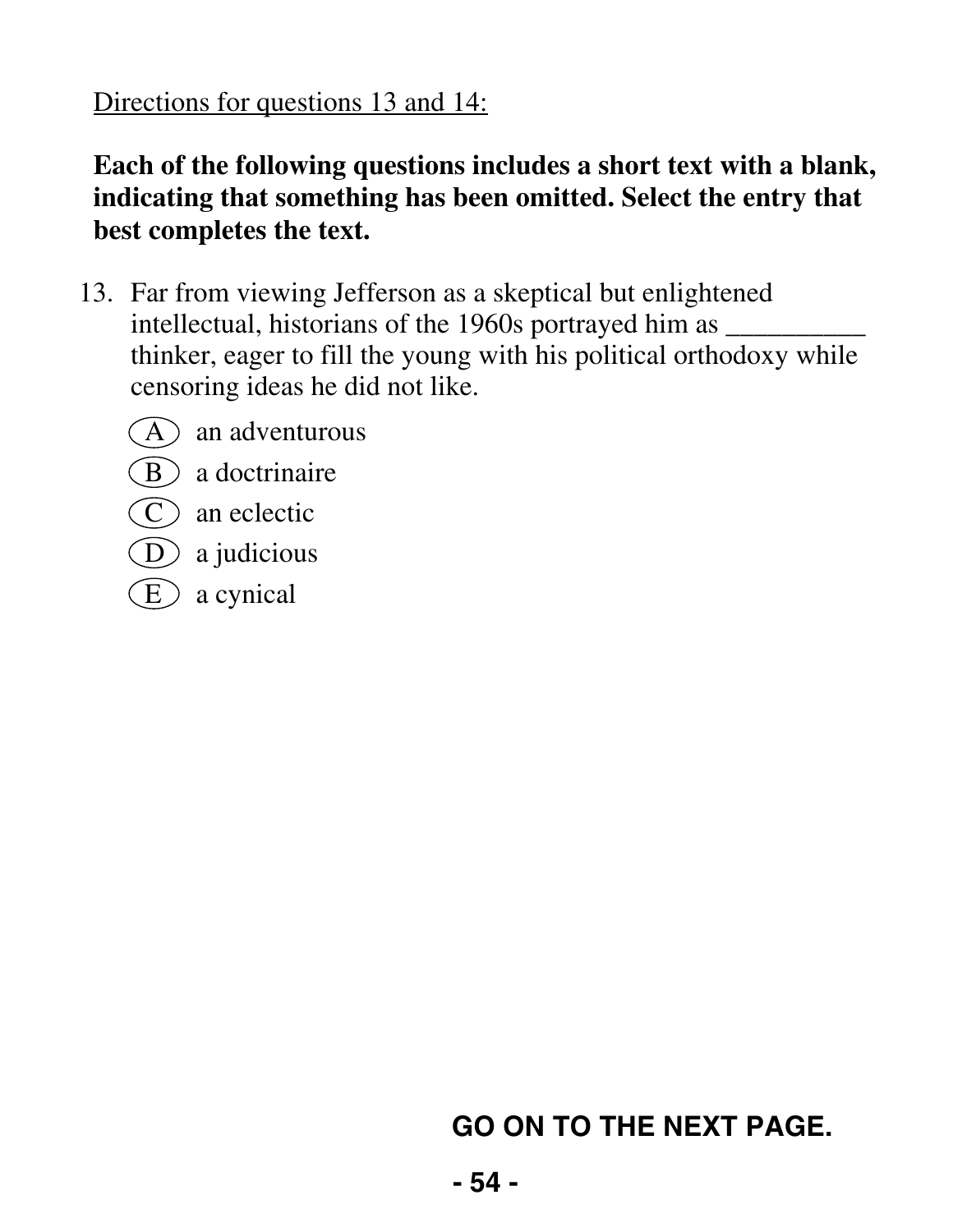Directions for questions 13 and 14:

#### **Each of the following questions includes a short text with a blank, indicating that something has been omitted. Select the entry that best completes the text.**

- 13. Far from viewing Jefferson as a skeptical but enlightened intellectual, historians of the 1960s portrayed him as  $\frac{ }{ }$ thinker, eager to fill the young with his political orthodoxy while censoring ideas he did not like.
	- $(A)$  an adventurous
	- $(B)$  a doctrinaire
	- $(C)$  an eclectic
	- $(D)$  a judicious
	- $\left( E\right)$  a cynical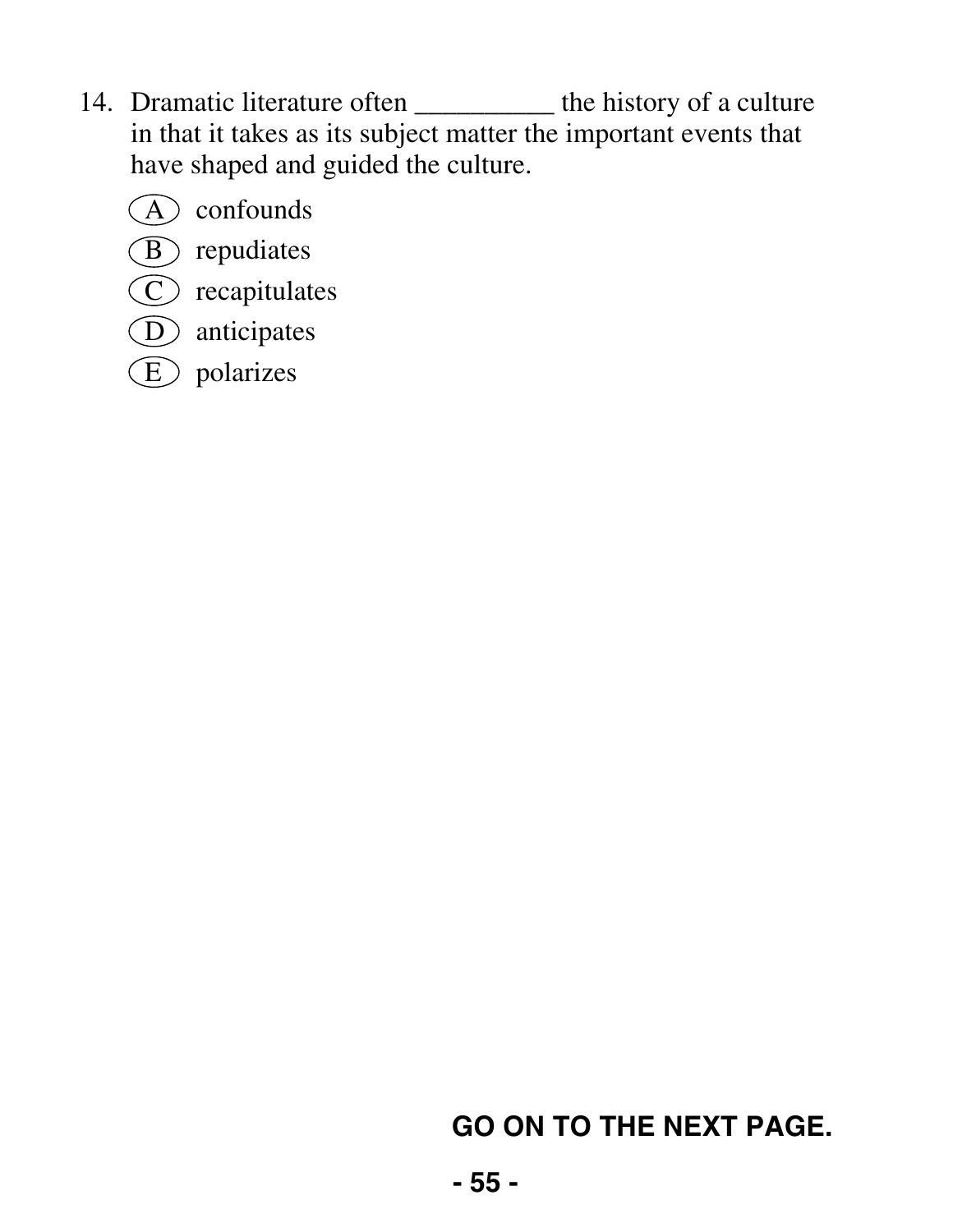- 14. Dramatic literature often \_\_\_\_\_\_\_\_\_\_ the history of a culture in that it takes as its subject matter the important events that have shaped and guided the culture.
	- A confounds
	- B repudiates
	- C recapitulates
	- D anticipates
	- $\circled{E}$  polarizes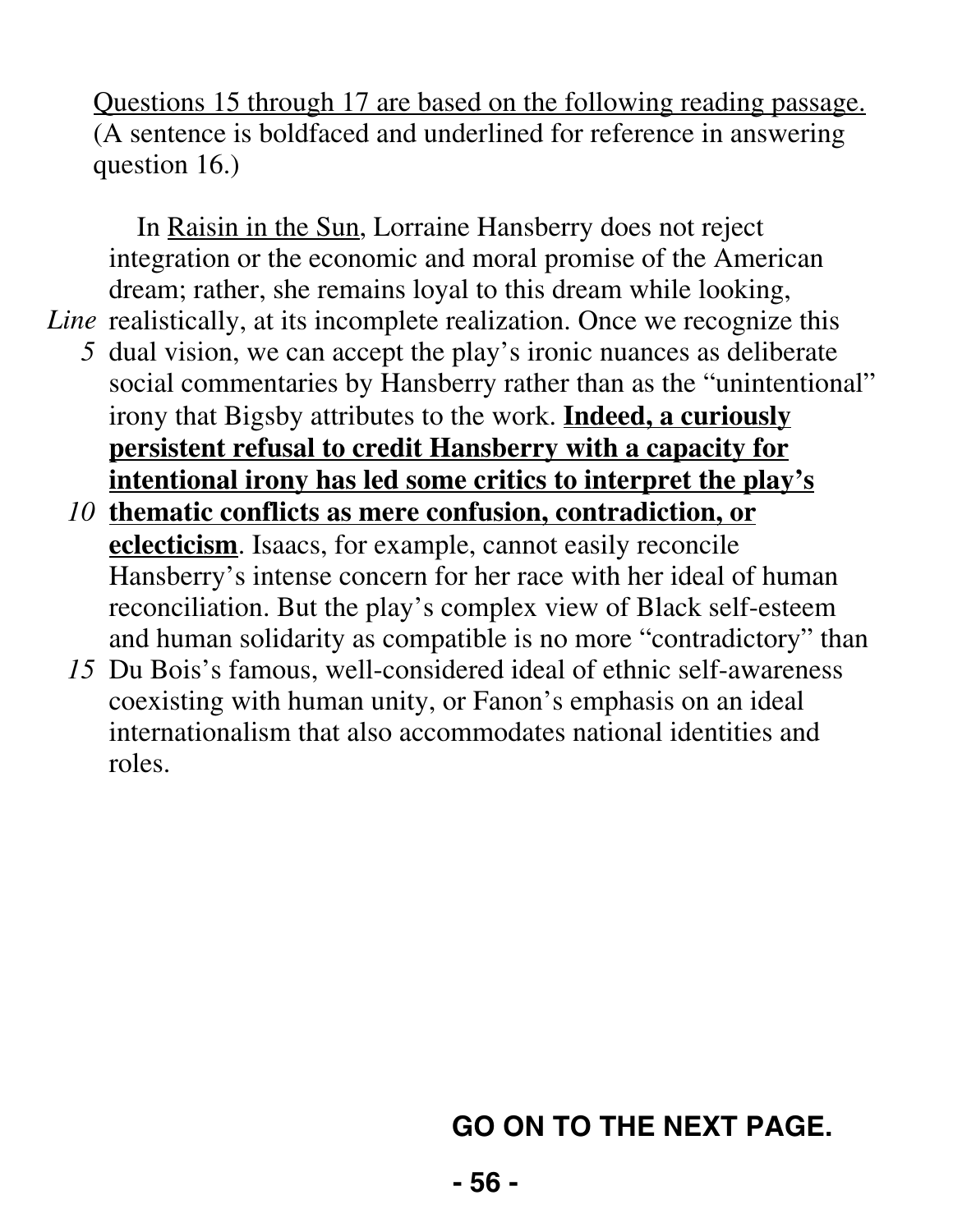Questions 15 through 17 are based on the following reading passage. (A sentence is boldfaced and underlined for reference in answering question 16.)

In Raisin in the Sun, Lorraine Hansberry does not reject integration or the economic and moral promise of the American dream; rather, she remains loyal to this dream while looking,

Line realistically, at its incomplete realization. Once we recognize this

- *5* dual vision, we can accept the play's ironic nuances as deliberate social commentaries by Hansberry rather than as the "unintentional" irony that Bigsby attributes to the work. **Indeed, a curiously persistent refusal to credit Hansberry with a capacity for intentional irony has led some critics to interpret the play's**
- *10* **thematic conflicts as mere confusion, contradiction, or eclecticism**. Isaacs, for example, cannot easily reconcile Hansberry's intense concern for her race with her ideal of human reconciliation. But the play's complex view of Black self-esteem and human solidarity as compatible is no more "contradictory" than
- *15* Du Bois's famous, well-considered ideal of ethnic self-awareness coexisting with human unity, or Fanon's emphasis on an ideal internationalism that also accommodates national identities and roles.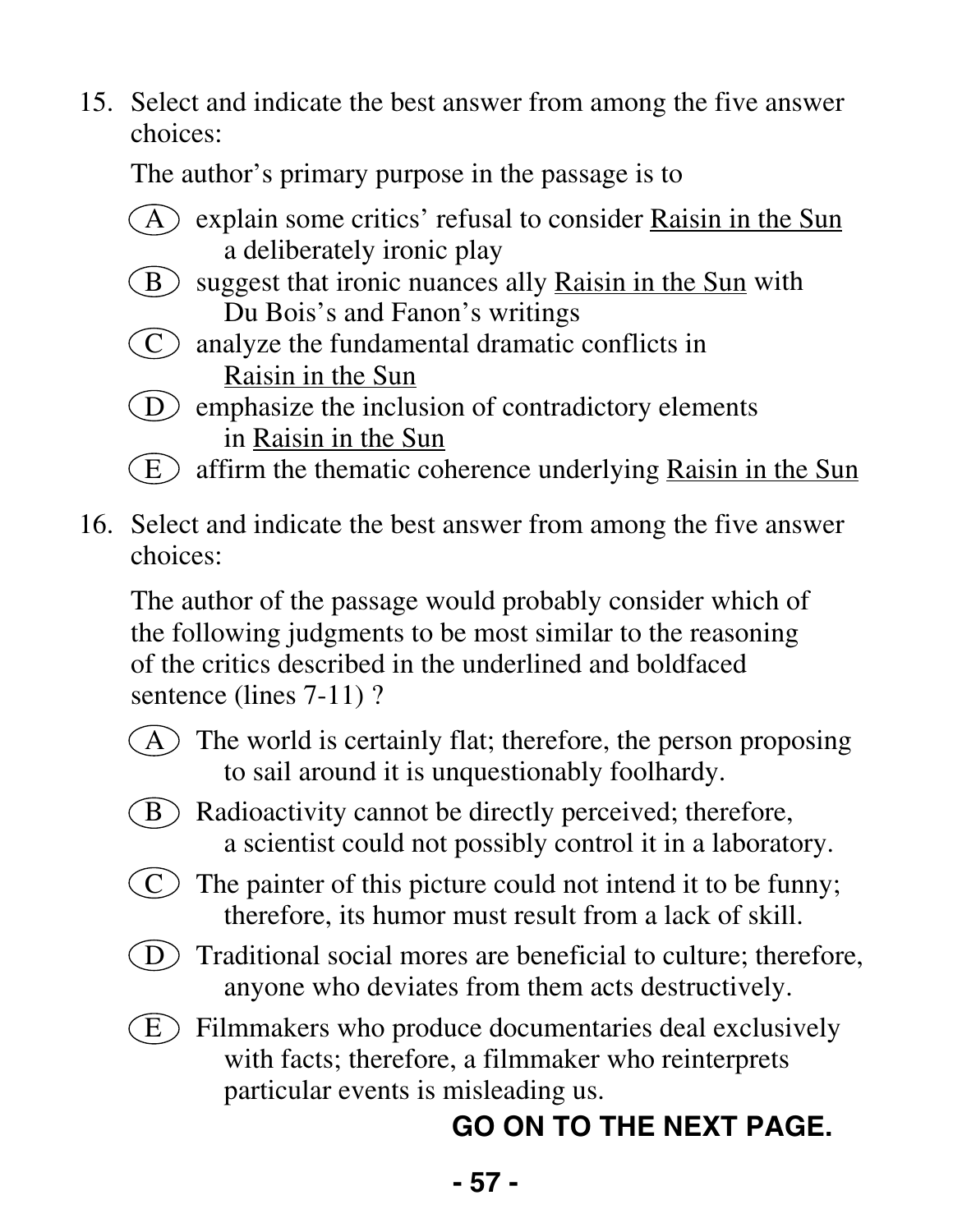The author's primary purpose in the passage is to

- $(A)$  explain some critics' refusal to consider Raisin in the Sun a deliberately ironic play
- $(B)$  suggest that ironic nuances ally Raisin in the Sun with Du Bois's and Fanon's writings
- $(C)$  analyze the fundamental dramatic conflicts in Raisin in the Sun
- $\overline{D}$  emphasize the inclusion of contradictory elements in Raisin in the Sun
- $\binom{E}{k}$  affirm the thematic coherence underlying Raisin in the Sun
- 16. Select and indicate the best answer from among the five answer choices:

 The author of the passage would probably consider which of the following judgments to be most similar to the reasoning of the critics described in the underlined and boldfaced sentence (lines 7-11)?

- $(A)$  The world is certainly flat; therefore, the person proposing to sail around it is unquestionably foolhardy.
- $(B)$  Radioactivity cannot be directly perceived; therefore, a scientist could not possibly control it in a laboratory.
- $(C)$  The painter of this picture could not intend it to be funny; therefore, its humor must result from a lack of skill.
- $\overline{D}$  Traditional social mores are beneficial to culture; therefore, anyone who deviates from them acts destructively.
- $(E)$  Filmmakers who produce documentaries deal exclusively with facts; therefore, a filmmaker who reinterprets particular events is misleading us.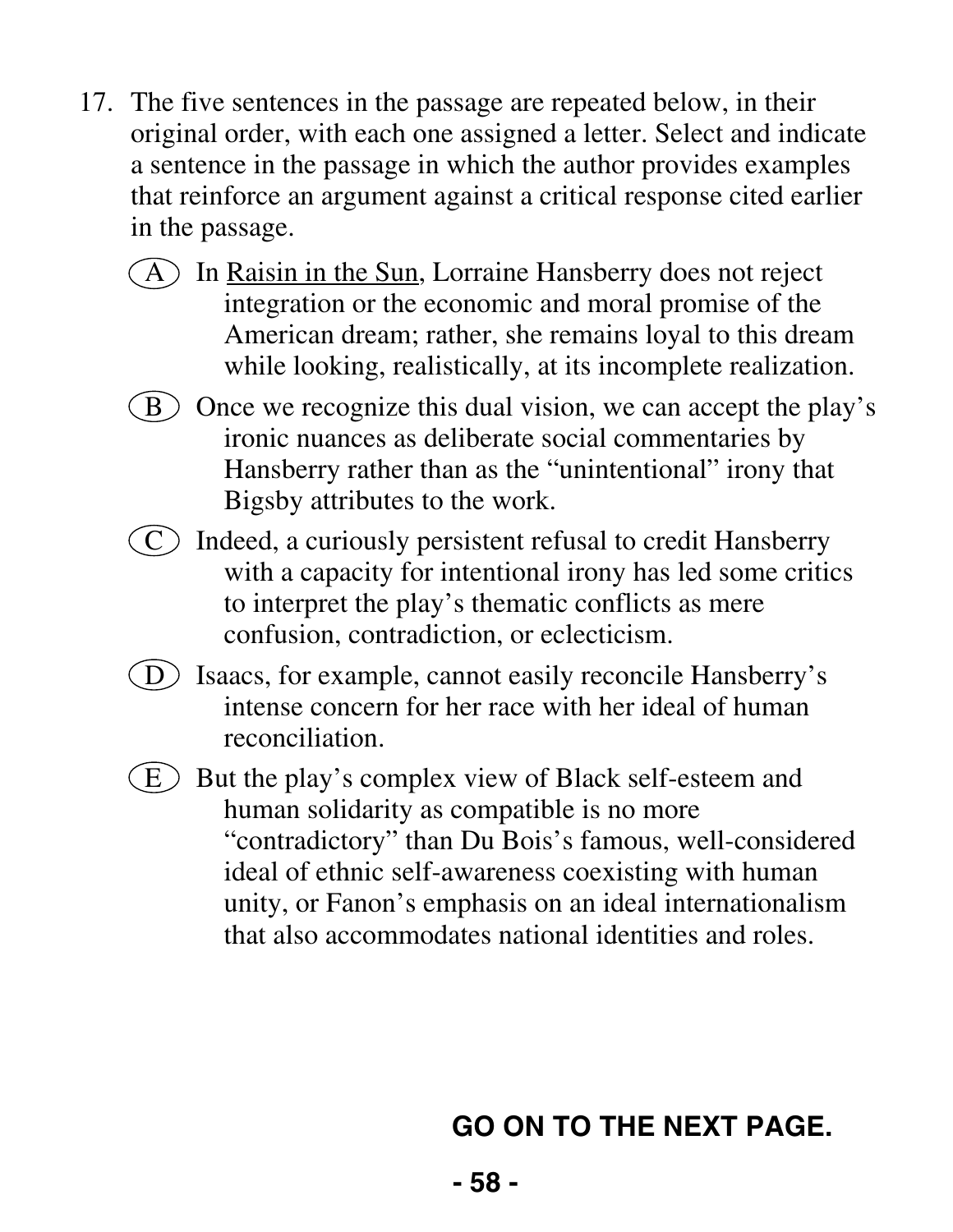- 17. The five sentences in the passage are repeated below, in their original order, with each one assigned a letter. Select and indicate a sentence in the passage in which the author provides examples that reinforce an argument against a critical response cited earlier in the passage.
	- $(A)$  In Raisin in the Sun, Lorraine Hansberry does not reject integration or the economic and moral promise of the American dream; rather, she remains loyal to this dream while looking, realistically, at its incomplete realization.
	- $(B)$  Once we recognize this dual vision, we can accept the play's ironic nuances as deliberate social commentaries by Hansberry rather than as the "unintentional" irony that Bigsby attributes to the work.
	- $(C)$  Indeed, a curiously persistent refusal to credit Hansberry with a capacity for intentional irony has led some critics to interpret the play's thematic conflicts as mere confusion, contradiction, or eclecticism.
	- D Isaacs, for example, cannot easily reconcile Hansberry's intense concern for her race with her ideal of human reconciliation.
	- $(E)$  But the play's complex view of Black self-esteem and human solidarity as compatible is no more "contradictory" than Du Bois's famous, well-considered ideal of ethnic self-awareness coexisting with human unity, or Fanon's emphasis on an ideal internationalism that also accommodates national identities and roles.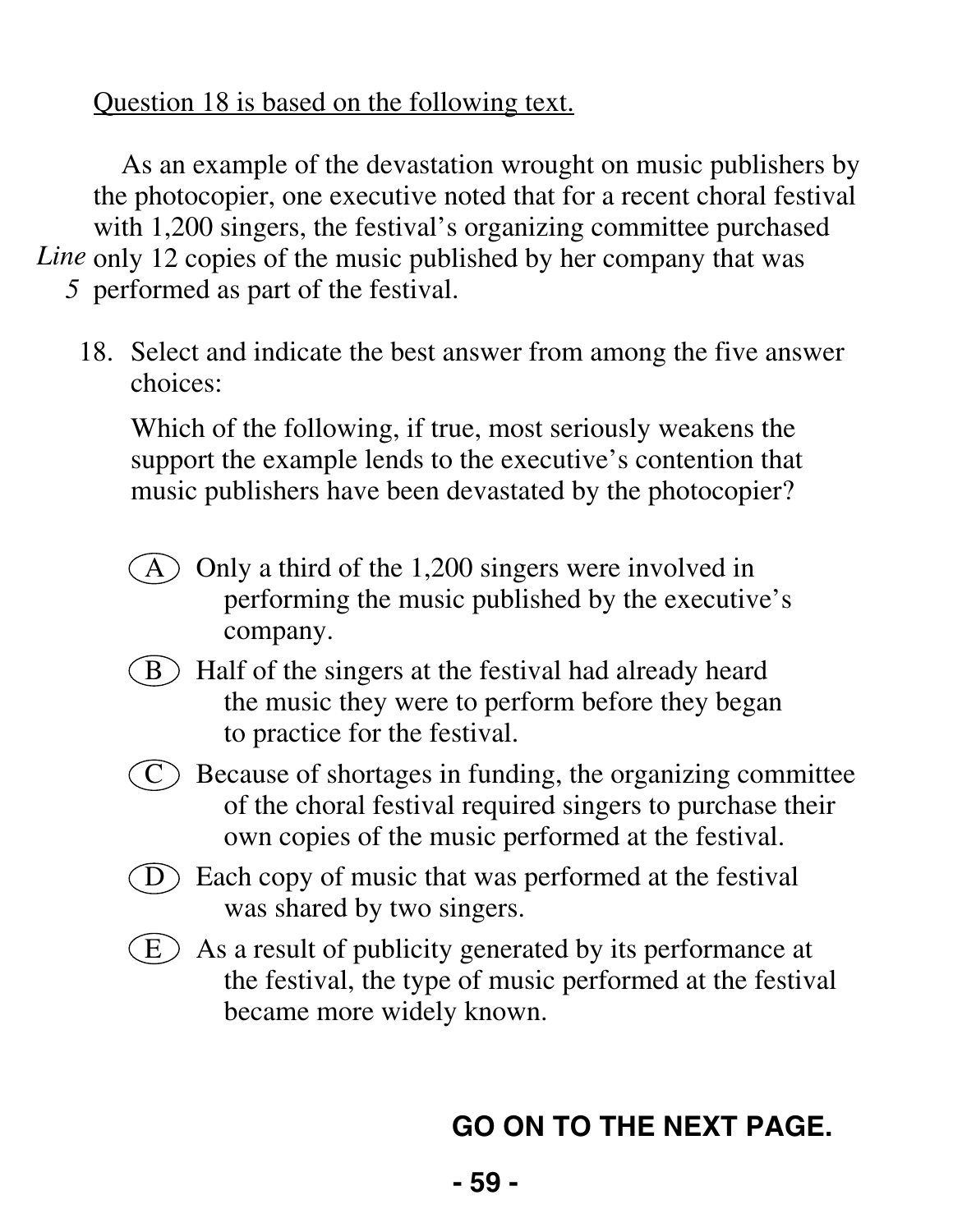#### Question 18 is based on the following text.

As an example of the devastation wrought on music publishers by the photocopier, one executive noted that for a recent choral festival with 1,200 singers, the festival's organizing committee purchased Line only 12 copies of the music published by her company that was *5* performed as part of the festival.

 18. Select and indicate the best answer from among the five answer choices:

 Which of the following, if true, most seriously weakens the support the example lends to the executive's contention that music publishers have been devastated by the photocopier?

- $(A)$  Only a third of the 1,200 singers were involved in performing the music published by the executive's company.
- $(B)$  Half of the singers at the festival had already heard the music they were to perform before they began to practice for the festival.
- $\overline{C}$  Because of shortages in funding, the organizing committee of the choral festival required singers to purchase their own copies of the music performed at the festival.
- $\overline{D}$  Each copy of music that was performed at the festival was shared by two singers.
- $(E)$  As a result of publicity generated by its performance at the festival, the type of music performed at the festival became more widely known.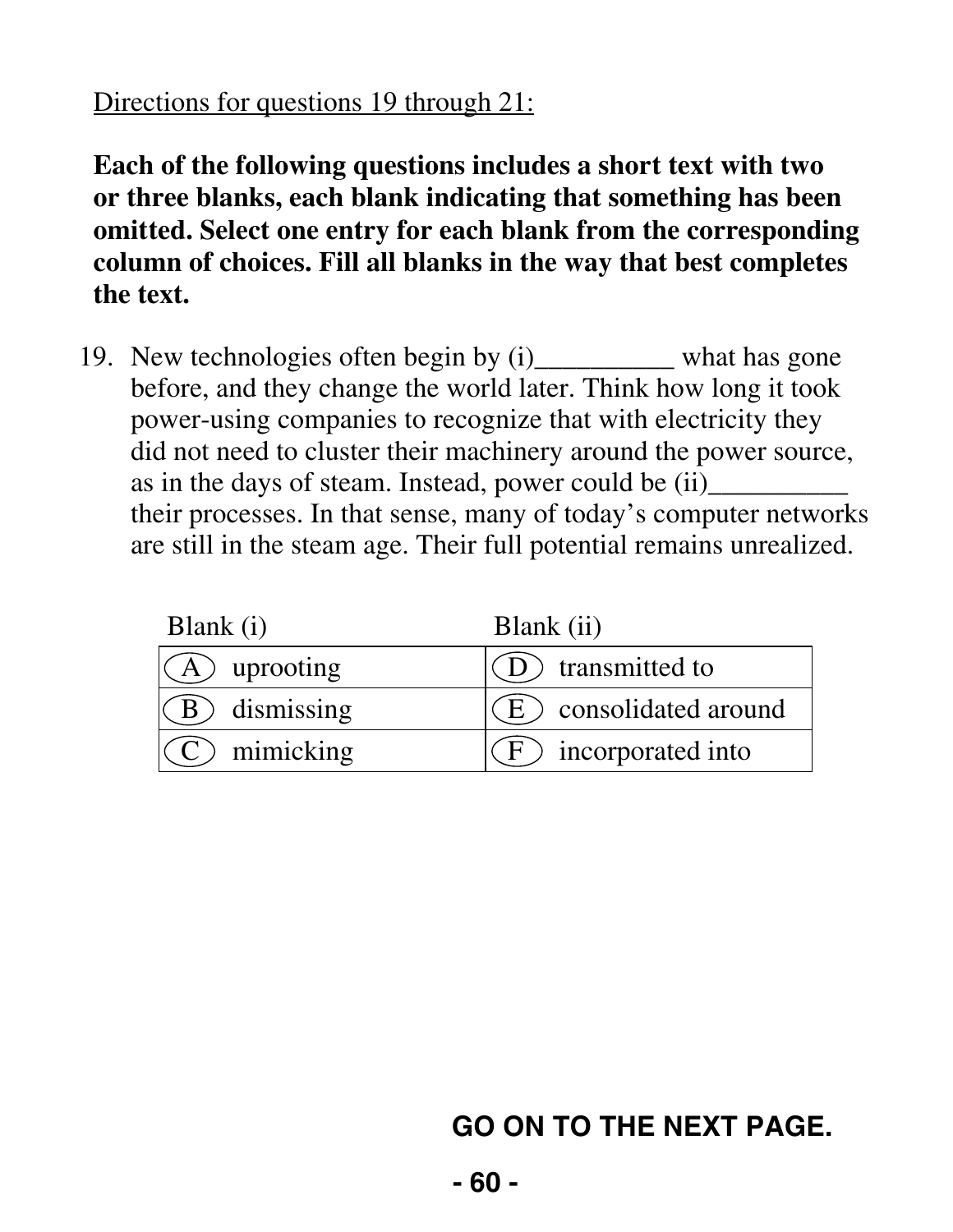#### Directions for questions 19 through 21:

**Each of the following questions includes a short text with two or three blanks, each blank indicating that something has been omitted. Select one entry for each blank from the corresponding column of choices. Fill all blanks in the way that best completes the text.** 

 19. New technologies often begin by (i)\_\_\_\_\_\_\_\_\_\_ what has gone before, and they change the world later. Think how long it took power-using companies to recognize that with electricity they did not need to cluster their machinery around the power source, as in the days of steam. Instead, power could be (ii) their processes. In that sense, many of today's computer networks are still in the steam age. Their full potential remains unrealized.

| Blank (i)               | Blank (ii)              |
|-------------------------|-------------------------|
| $\mathcal{A}$ uprooting | (D) transmitted to      |
| $\angle$ B dismissing   | (E) consolidated around |
| $(C)$ mimicking         | $(F)$ incorporated into |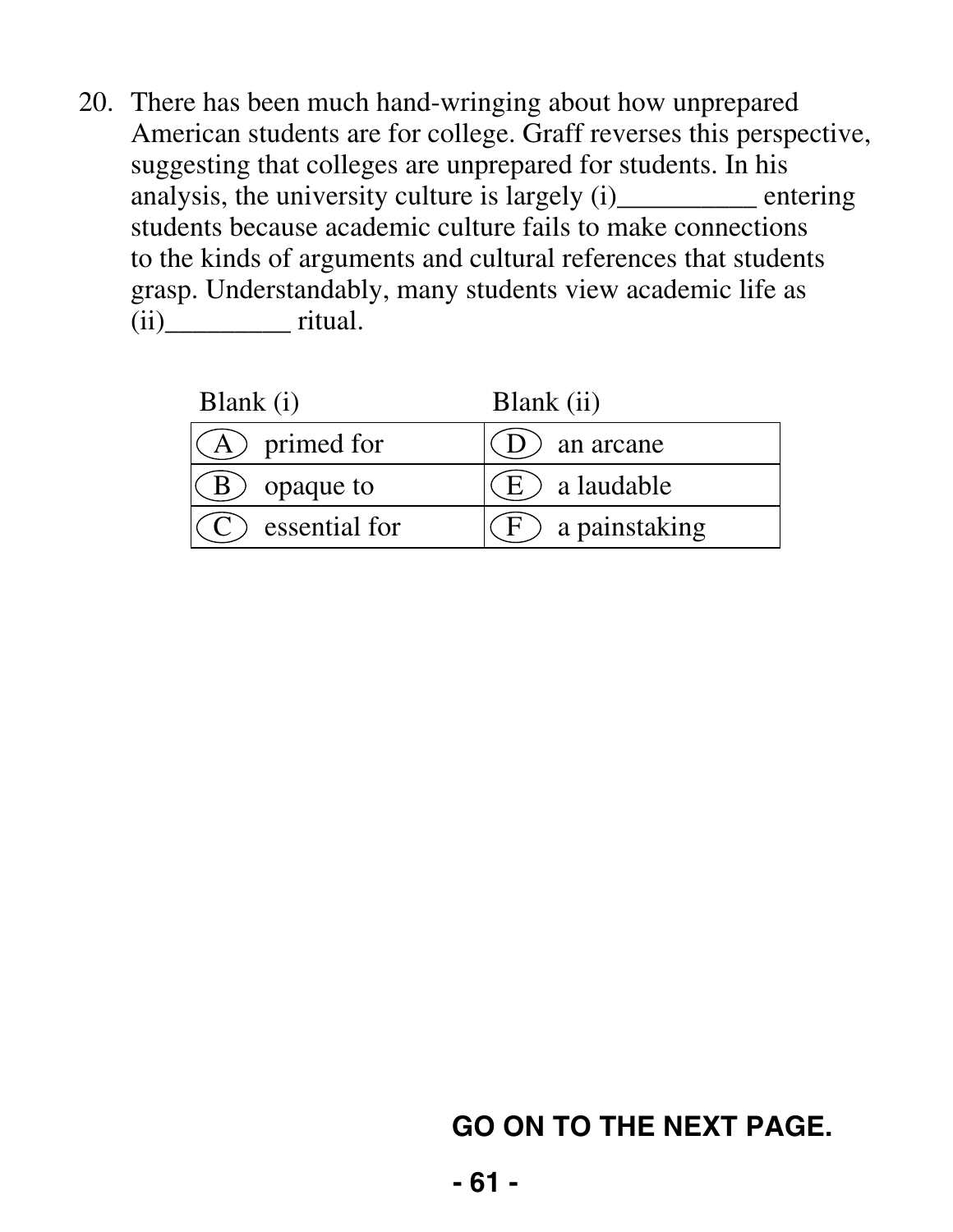20. There has been much hand-wringing about how unprepared American students are for college. Graff reverses this perspective, suggesting that colleges are unprepared for students. In his analysis, the university culture is largely (i)\_\_\_\_\_\_\_\_\_ entering students because academic culture fails to make connections to the kinds of arguments and cultural references that students grasp. Understandably, many students view academic life as  $(ii)$  ritual.

| Blank $(i)$      | Blank (ii)       |
|------------------|------------------|
| $(A)$ primed for | an arcane        |
| opaque to        | $E$ ) a laudable |
| essential for    | a painstaking    |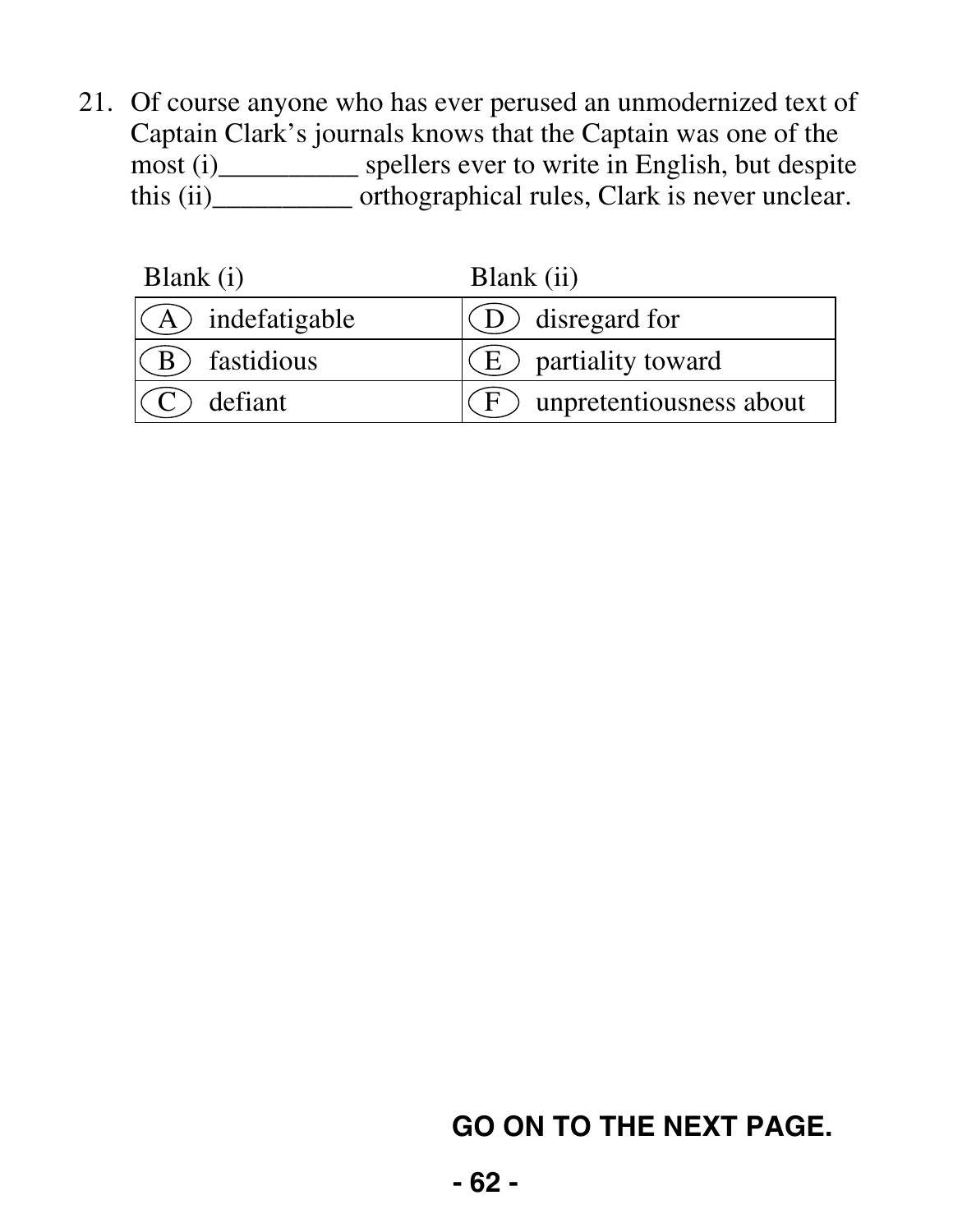21. Of course anyone who has ever perused an unmodernized text of Captain Clark's journals knows that the Captain was one of the most (i)\_\_\_\_\_\_\_\_\_\_ spellers ever to write in English, but despite this (ii)\_\_\_\_\_\_\_\_\_\_ orthographical rules, Clark is never unclear.

| Blank (i)           | Blank (ii)                          |
|---------------------|-------------------------------------|
| $(A)$ indefatigable | $(O)$ disregard for                 |
| $(B)$ fastidious    | $\left( E\right)$ partiality toward |
| $(C)$ defiant       | $(F)$ unpretentiousness about       |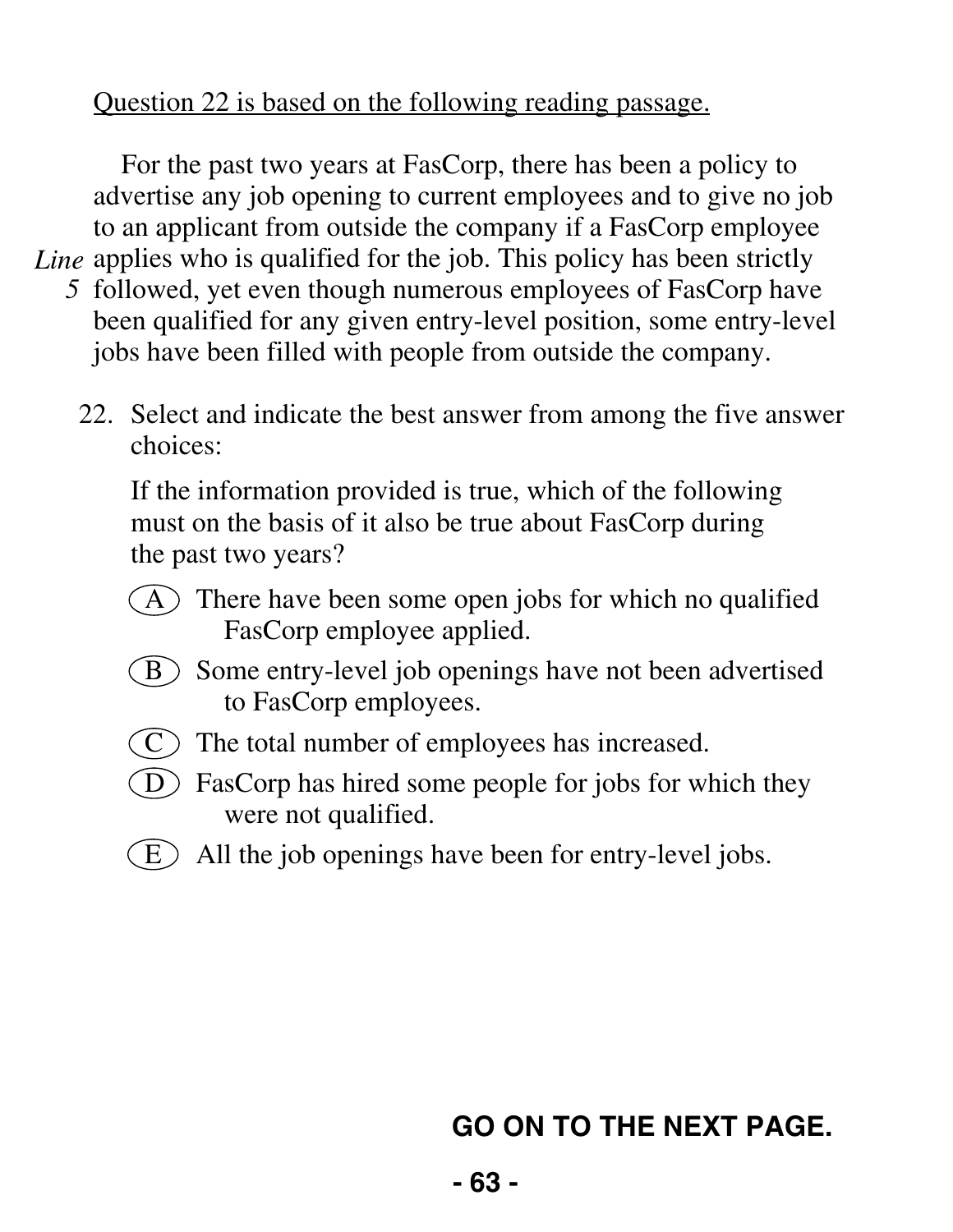#### Question 22 is based on the following reading passage.

For the past two years at FasCorp, there has been a policy to advertise any job opening to current employees and to give no job to an applicant from outside the company if a FasCorp employee Line applies who is qualified for the job. This policy has been strictly *5* followed, yet even though numerous employees of FasCorp have been qualified for any given entry-level position, some entry-level jobs have been filled with people from outside the company.

 22. Select and indicate the best answer from among the five answer choices:

 If the information provided is true, which of the following must on the basis of it also be true about FasCorp during the past two years?

- $(A)$  There have been some open jobs for which no qualified FasCorp employee applied.
- **B** Some entry-level job openings have not been advertised to FasCorp employees.
- $(C)$  The total number of employees has increased.
- $\widehat{D}$  FasCorp has hired some people for jobs for which they were not qualified.
- $(E)$  All the job openings have been for entry-level jobs.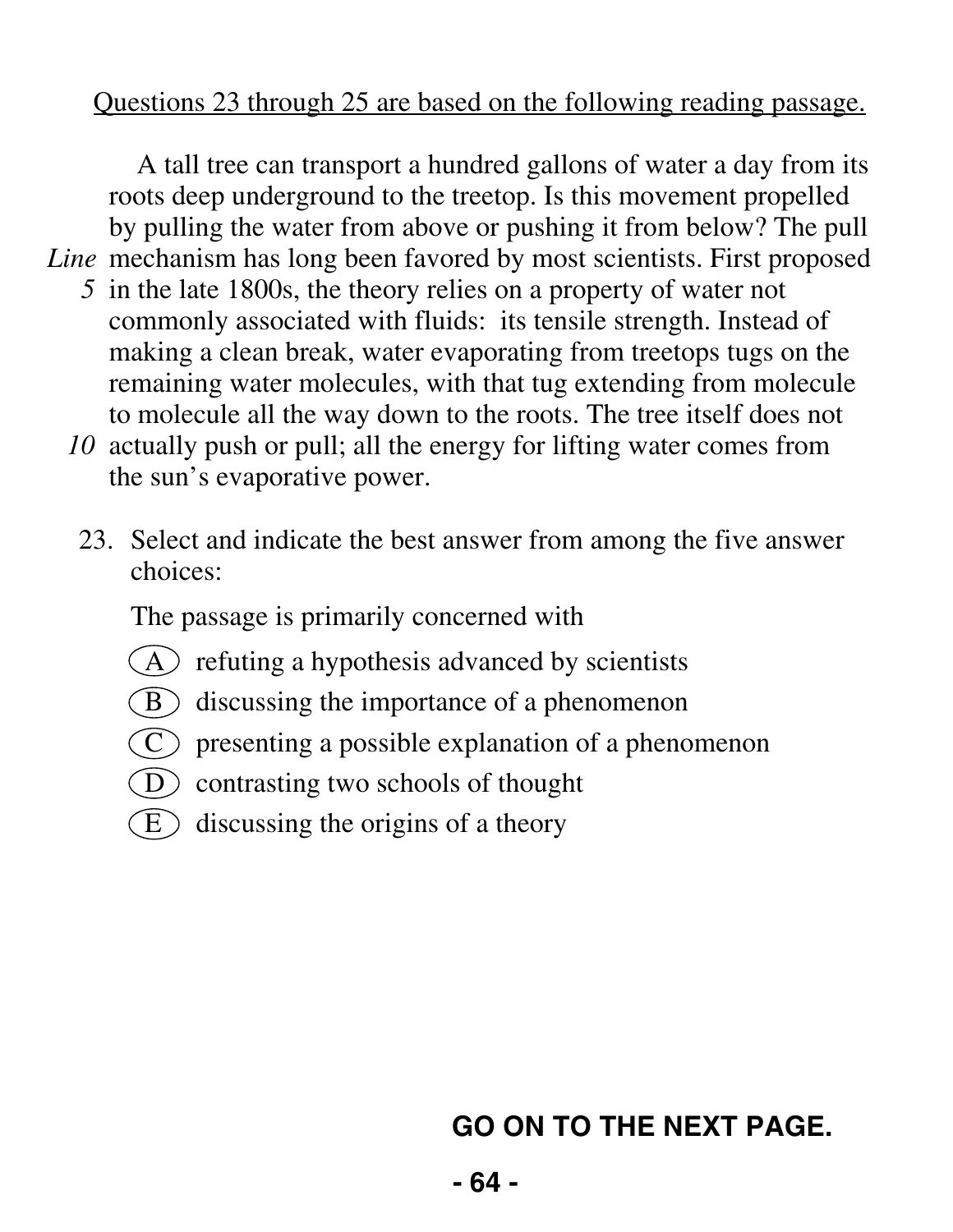#### Questions 23 through 25 are based on the following reading passage.

A tall tree can transport a hundred gallons of water a day from its roots deep underground to the treetop. Is this movement propelled by pulling the water from above or pushing it from below? The pull Line mechanism has long been favored by most scientists. First proposed

- *5* in the late 1800s, the theory relies on a property of water not commonly associated with fluids: its tensile strength. Instead of making a clean break, water evaporating from treetops tugs on the remaining water molecules, with that tug extending from molecule to molecule all the way down to the roots. The tree itself does not
- *10* actually push or pull; all the energy for lifting water comes from the sun's evaporative power.
	- 23. Select and indicate the best answer from among the five answer choices:

The passage is primarily concerned with

- $(A)$  refuting a hypothesis advanced by scientists
- $(B)$  discussing the importance of a phenomenon
- $(C)$  presenting a possible explanation of a phenomenon
- D contrasting two schools of thought
- $\left( E\right)$  discussing the origins of a theory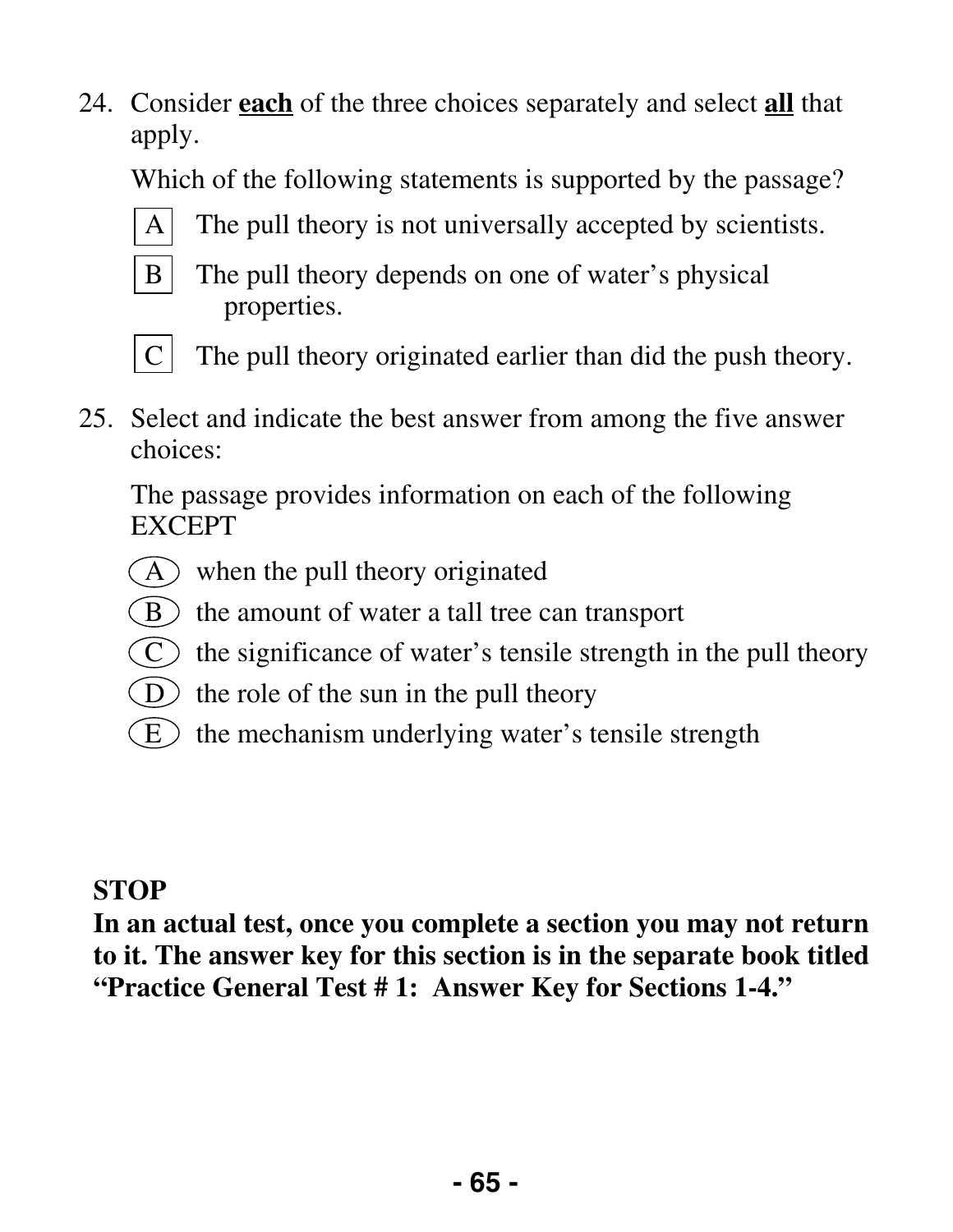24. Consider **each** of the three choices separately and select **all** that apply.

Which of the following statements is supported by the passage?



A The pull theory is not universally accepted by scientists.



B The pull theory depends on one of water's physical properties.



- $C$  The pull theory originated earlier than did the push theory.
- 25. Select and indicate the best answer from among the five answer choices:

 The passage provides information on each of the following EXCEPT

- $(A)$  when the pull theory originated
- $\bullet$  the amount of water a tall tree can transport
- $(C)$  the significance of water's tensile strength in the pull theory
- $(D)$  the role of the sun in the pull theory
- $(E)$  the mechanism underlying water's tensile strength

#### **STOP**

**In an actual test, once you complete a section you may not return to it. The answer key for this section is in the separate book titled "Practice General Test # 1: Answer Key for Sections 1-4."**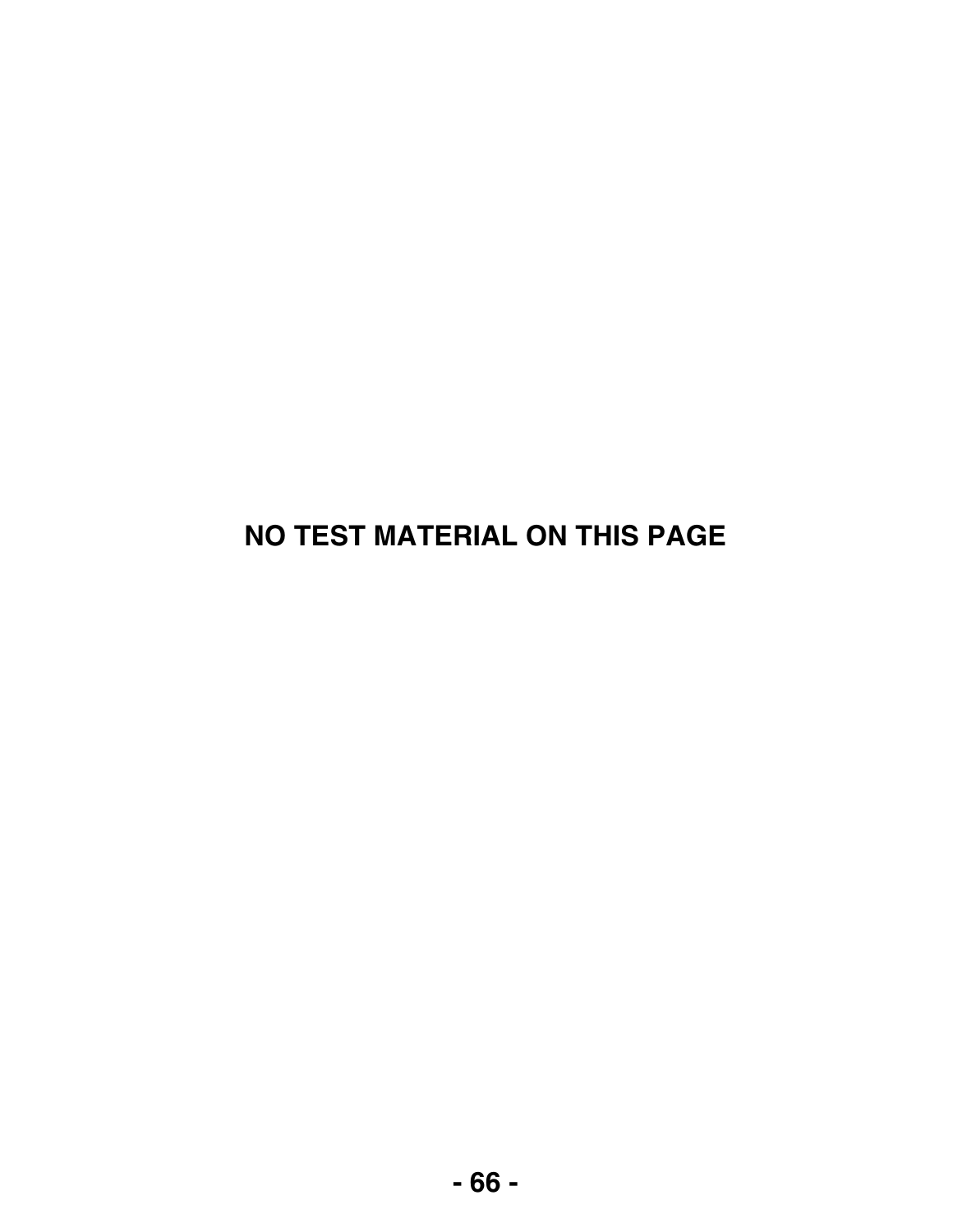## **NO TEST MATERIAL ON THIS PAGE**